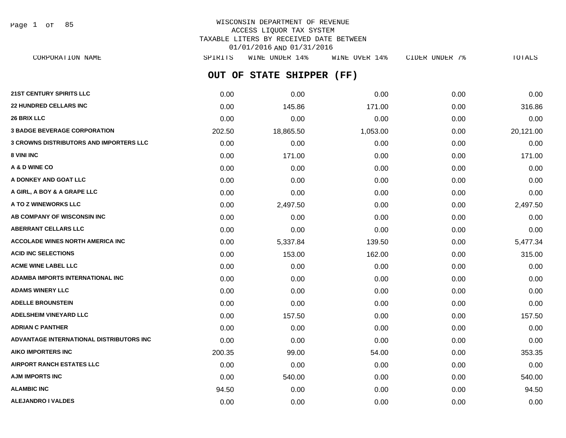Page 1 of 85

# WISCONSIN DEPARTMENT OF REVENUE ACCESS LIQUOR TAX SYSTEM TAXABLE LITERS BY RECEIVED DATE BETWEEN 01/01/2016 AND 01/31/2016

**OUT OF STATE SHIPPER (FF)** CORPORATION NAME SPIRITS WINE UNDER 14% WINE OVER 14% CIDER UNDER 7% TOTALS

| 21ST CENTURY SPIRITS LLC                       | 0.00   | 0.00      | 0.00     | 0.00 | 0.00      |
|------------------------------------------------|--------|-----------|----------|------|-----------|
| <b>22 HUNDRED CELLARS INC</b>                  | 0.00   | 145.86    | 171.00   | 0.00 | 316.86    |
| <b>26 BRIX LLC</b>                             | 0.00   | 0.00      | 0.00     | 0.00 | 0.00      |
| <b>3 BADGE BEVERAGE CORPORATION</b>            | 202.50 | 18,865.50 | 1,053.00 | 0.00 | 20,121.00 |
| <b>3 CROWNS DISTRIBUTORS AND IMPORTERS LLC</b> | 0.00   | 0.00      | 0.00     | 0.00 | 0.00      |
| 8 VINI INC                                     | 0.00   | 171.00    | 0.00     | 0.00 | 171.00    |
| A & D WINE CO                                  | 0.00   | 0.00      | 0.00     | 0.00 | 0.00      |
| A DONKEY AND GOAT LLC                          | 0.00   | 0.00      | 0.00     | 0.00 | 0.00      |
| A GIRL, A BOY & A GRAPE LLC                    | 0.00   | 0.00      | 0.00     | 0.00 | 0.00      |
| A TO Z WINEWORKS LLC                           | 0.00   | 2,497.50  | 0.00     | 0.00 | 2,497.50  |
| AB COMPANY OF WISCONSIN INC                    | 0.00   | 0.00      | 0.00     | 0.00 | 0.00      |
| <b>ABERRANT CELLARS LLC</b>                    | 0.00   | 0.00      | 0.00     | 0.00 | 0.00      |
| ACCOLADE WINES NORTH AMERICA INC               | 0.00   | 5,337.84  | 139.50   | 0.00 | 5,477.34  |
| <b>ACID INC SELECTIONS</b>                     | 0.00   | 153.00    | 162.00   | 0.00 | 315.00    |
| <b>ACME WINE LABEL LLC</b>                     | 0.00   | 0.00      | 0.00     | 0.00 | 0.00      |
| ADAMBA IMPORTS INTERNATIONAL INC               | 0.00   | 0.00      | 0.00     | 0.00 | 0.00      |
| <b>ADAMS WINERY LLC</b>                        | 0.00   | 0.00      | 0.00     | 0.00 | 0.00      |
| <b>ADELLE BROUNSTEIN</b>                       | 0.00   | 0.00      | 0.00     | 0.00 | 0.00      |
| <b>ADELSHEIM VINEYARD LLC</b>                  | 0.00   | 157.50    | 0.00     | 0.00 | 157.50    |
| <b>ADRIAN C PANTHER</b>                        | 0.00   | 0.00      | 0.00     | 0.00 | 0.00      |
| ADVANTAGE INTERNATIONAL DISTRIBUTORS INC       | 0.00   | 0.00      | 0.00     | 0.00 | 0.00      |
| <b>AIKO IMPORTERS INC</b>                      | 200.35 | 99.00     | 54.00    | 0.00 | 353.35    |
| <b>AIRPORT RANCH ESTATES LLC</b>               | 0.00   | 0.00      | 0.00     | 0.00 | 0.00      |
| <b>AJM IMPORTS INC</b>                         | 0.00   | 540.00    | 0.00     | 0.00 | 540.00    |
| <b>ALAMBIC INC</b>                             | 94.50  | 0.00      | 0.00     | 0.00 | 94.50     |
| <b>ALEJANDRO I VALDES</b>                      | 0.00   | 0.00      | 0.00     | 0.00 | 0.00      |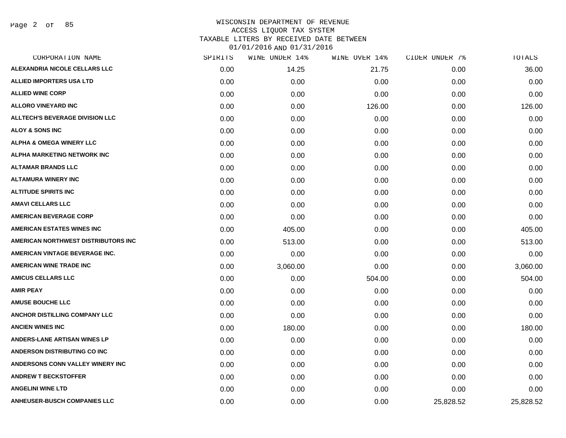Page 2 of 85

## WISCONSIN DEPARTMENT OF REVENUE ACCESS LIQUOR TAX SYSTEM TAXABLE LITERS BY RECEIVED DATE BETWEEN

| CORPORATION NAME                       | SPIRITS | WINE UNDER 14% | WINE OVER 14% | CIDER UNDER 7% | TOTALS    |
|----------------------------------------|---------|----------------|---------------|----------------|-----------|
| ALEXANDRIA NICOLE CELLARS LLC          | 0.00    | 14.25          | 21.75         | 0.00           | 36.00     |
| <b>ALLIED IMPORTERS USA LTD</b>        | 0.00    | 0.00           | 0.00          | 0.00           | 0.00      |
| <b>ALLIED WINE CORP</b>                | 0.00    | 0.00           | 0.00          | 0.00           | 0.00      |
| <b>ALLORO VINEYARD INC</b>             | 0.00    | 0.00           | 126.00        | 0.00           | 126.00    |
| <b>ALLTECH'S BEVERAGE DIVISION LLC</b> | 0.00    | 0.00           | 0.00          | 0.00           | 0.00      |
| <b>ALOY &amp; SONS INC</b>             | 0.00    | 0.00           | 0.00          | 0.00           | 0.00      |
| <b>ALPHA &amp; OMEGA WINERY LLC</b>    | 0.00    | 0.00           | 0.00          | 0.00           | 0.00      |
| ALPHA MARKETING NETWORK INC            | 0.00    | 0.00           | 0.00          | 0.00           | 0.00      |
| <b>ALTAMAR BRANDS LLC</b>              | 0.00    | 0.00           | 0.00          | 0.00           | 0.00      |
| <b>ALTAMURA WINERY INC</b>             | 0.00    | 0.00           | 0.00          | 0.00           | 0.00      |
| <b>ALTITUDE SPIRITS INC</b>            | 0.00    | 0.00           | 0.00          | 0.00           | 0.00      |
| <b>AMAVI CELLARS LLC</b>               | 0.00    | 0.00           | 0.00          | 0.00           | 0.00      |
| <b>AMERICAN BEVERAGE CORP</b>          | 0.00    | 0.00           | 0.00          | 0.00           | 0.00      |
| <b>AMERICAN ESTATES WINES INC</b>      | 0.00    | 405.00         | 0.00          | 0.00           | 405.00    |
| AMERICAN NORTHWEST DISTRIBUTORS INC    | 0.00    | 513.00         | 0.00          | 0.00           | 513.00    |
| AMERICAN VINTAGE BEVERAGE INC.         | 0.00    | 0.00           | 0.00          | 0.00           | 0.00      |
| <b>AMERICAN WINE TRADE INC</b>         | 0.00    | 3,060.00       | 0.00          | 0.00           | 3,060.00  |
| <b>AMICUS CELLARS LLC</b>              | 0.00    | 0.00           | 504.00        | 0.00           | 504.00    |
| <b>AMIR PEAY</b>                       | 0.00    | 0.00           | 0.00          | 0.00           | 0.00      |
| <b>AMUSE BOUCHE LLC</b>                | 0.00    | 0.00           | 0.00          | 0.00           | 0.00      |
| ANCHOR DISTILLING COMPANY LLC          | 0.00    | 0.00           | 0.00          | 0.00           | 0.00      |
| <b>ANCIEN WINES INC</b>                | 0.00    | 180.00         | 0.00          | 0.00           | 180.00    |
| <b>ANDERS-LANE ARTISAN WINES LP</b>    | 0.00    | 0.00           | 0.00          | 0.00           | 0.00      |
| ANDERSON DISTRIBUTING CO INC           | 0.00    | 0.00           | 0.00          | 0.00           | 0.00      |
| ANDERSONS CONN VALLEY WINERY INC       | 0.00    | 0.00           | 0.00          | 0.00           | 0.00      |
| <b>ANDREW T BECKSTOFFER</b>            | 0.00    | 0.00           | 0.00          | 0.00           | 0.00      |
| <b>ANGELINI WINE LTD</b>               | 0.00    | 0.00           | 0.00          | 0.00           | 0.00      |
| <b>ANHEUSER-BUSCH COMPANIES LLC</b>    | 0.00    | 0.00           | 0.00          | 25,828.52      | 25,828.52 |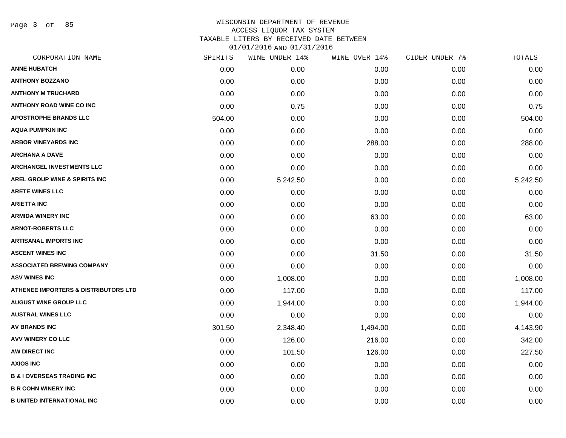Page 3 of 85

| CORPORATION NAME                                | SPIRITS | WINE UNDER 14% | WINE OVER 14% | CIDER UNDER 7% | TOTALS   |
|-------------------------------------------------|---------|----------------|---------------|----------------|----------|
| <b>ANNE HUBATCH</b>                             | 0.00    | 0.00           | 0.00          | 0.00           | 0.00     |
| <b>ANTHONY BOZZANO</b>                          | 0.00    | 0.00           | 0.00          | 0.00           | 0.00     |
| <b>ANTHONY M TRUCHARD</b>                       | 0.00    | 0.00           | 0.00          | 0.00           | 0.00     |
| <b>ANTHONY ROAD WINE CO INC</b>                 | 0.00    | 0.75           | 0.00          | 0.00           | 0.75     |
| <b>APOSTROPHE BRANDS LLC</b>                    | 504.00  | 0.00           | 0.00          | 0.00           | 504.00   |
| <b>AQUA PUMPKIN INC</b>                         | 0.00    | 0.00           | 0.00          | 0.00           | 0.00     |
| <b>ARBOR VINEYARDS INC</b>                      | 0.00    | 0.00           | 288.00        | 0.00           | 288.00   |
| <b>ARCHANA A DAVE</b>                           | 0.00    | 0.00           | 0.00          | 0.00           | 0.00     |
| <b>ARCHANGEL INVESTMENTS LLC</b>                | 0.00    | 0.00           | 0.00          | 0.00           | 0.00     |
| AREL GROUP WINE & SPIRITS INC                   | 0.00    | 5,242.50       | 0.00          | 0.00           | 5,242.50 |
| <b>ARETE WINES LLC</b>                          | 0.00    | 0.00           | 0.00          | 0.00           | 0.00     |
| <b>ARIETTA INC</b>                              | 0.00    | 0.00           | 0.00          | 0.00           | 0.00     |
| <b>ARMIDA WINERY INC</b>                        | 0.00    | 0.00           | 63.00         | 0.00           | 63.00    |
| <b>ARNOT-ROBERTS LLC</b>                        | 0.00    | 0.00           | 0.00          | 0.00           | 0.00     |
| <b>ARTISANAL IMPORTS INC</b>                    | 0.00    | 0.00           | 0.00          | 0.00           | 0.00     |
| <b>ASCENT WINES INC</b>                         | 0.00    | 0.00           | 31.50         | 0.00           | 31.50    |
| <b>ASSOCIATED BREWING COMPANY</b>               | 0.00    | 0.00           | 0.00          | 0.00           | 0.00     |
| <b>ASV WINES INC</b>                            | 0.00    | 1,008.00       | 0.00          | 0.00           | 1,008.00 |
| <b>ATHENEE IMPORTERS &amp; DISTRIBUTORS LTD</b> | 0.00    | 117.00         | 0.00          | 0.00           | 117.00   |
| <b>AUGUST WINE GROUP LLC</b>                    | 0.00    | 1,944.00       | 0.00          | 0.00           | 1,944.00 |
| <b>AUSTRAL WINES LLC</b>                        | 0.00    | 0.00           | 0.00          | 0.00           | 0.00     |
| AV BRANDS INC                                   | 301.50  | 2,348.40       | 1,494.00      | 0.00           | 4,143.90 |
| AVV WINERY CO LLC                               | 0.00    | 126.00         | 216.00        | 0.00           | 342.00   |
| AW DIRECT INC                                   | 0.00    | 101.50         | 126.00        | 0.00           | 227.50   |
| <b>AXIOS INC</b>                                | 0.00    | 0.00           | 0.00          | 0.00           | 0.00     |
| <b>B &amp; I OVERSEAS TRADING INC</b>           | 0.00    | 0.00           | 0.00          | 0.00           | 0.00     |
| <b>B R COHN WINERY INC</b>                      | 0.00    | 0.00           | 0.00          | 0.00           | 0.00     |
| <b>B UNITED INTERNATIONAL INC</b>               | 0.00    | 0.00           | 0.00          | 0.00           | 0.00     |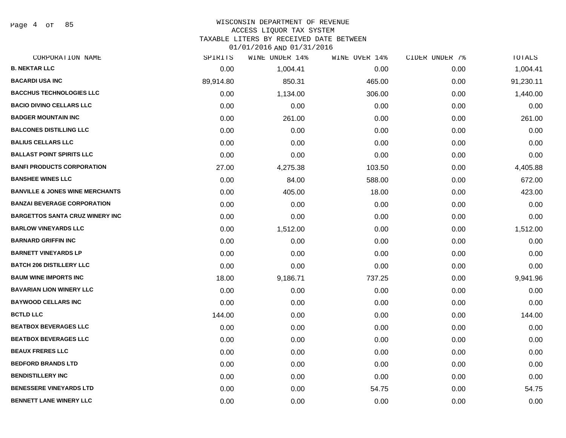Page 4 of 85

### WISCONSIN DEPARTMENT OF REVENUE ACCESS LIQUOR TAX SYSTEM

TAXABLE LITERS BY RECEIVED DATE BETWEEN

| CORPORATION NAME                           | SPIRITS   | WINE UNDER 14% | WINE OVER 14% | CIDER UNDER 7% | TOTALS    |
|--------------------------------------------|-----------|----------------|---------------|----------------|-----------|
| <b>B. NEKTAR LLC</b>                       | 0.00      | 1,004.41       | 0.00          | 0.00           | 1,004.41  |
| <b>BACARDI USA INC</b>                     | 89,914.80 | 850.31         | 465.00        | 0.00           | 91,230.11 |
| <b>BACCHUS TECHNOLOGIES LLC</b>            | 0.00      | 1,134.00       | 306.00        | 0.00           | 1,440.00  |
| <b>BACIO DIVINO CELLARS LLC</b>            | 0.00      | 0.00           | 0.00          | 0.00           | 0.00      |
| <b>BADGER MOUNTAIN INC</b>                 | 0.00      | 261.00         | 0.00          | 0.00           | 261.00    |
| <b>BALCONES DISTILLING LLC</b>             | 0.00      | 0.00           | 0.00          | 0.00           | 0.00      |
| <b>BALIUS CELLARS LLC</b>                  | 0.00      | 0.00           | 0.00          | 0.00           | 0.00      |
| <b>BALLAST POINT SPIRITS LLC</b>           | 0.00      | 0.00           | 0.00          | 0.00           | 0.00      |
| <b>BANFI PRODUCTS CORPORATION</b>          | 27.00     | 4,275.38       | 103.50        | 0.00           | 4,405.88  |
| <b>BANSHEE WINES LLC</b>                   | 0.00      | 84.00          | 588.00        | 0.00           | 672.00    |
| <b>BANVILLE &amp; JONES WINE MERCHANTS</b> | 0.00      | 405.00         | 18.00         | 0.00           | 423.00    |
| <b>BANZAI BEVERAGE CORPORATION</b>         | 0.00      | 0.00           | 0.00          | 0.00           | 0.00      |
| <b>BARGETTOS SANTA CRUZ WINERY INC</b>     | 0.00      | 0.00           | 0.00          | 0.00           | 0.00      |
| <b>BARLOW VINEYARDS LLC</b>                | 0.00      | 1,512.00       | 0.00          | 0.00           | 1,512.00  |
| <b>BARNARD GRIFFIN INC</b>                 | 0.00      | 0.00           | 0.00          | 0.00           | 0.00      |
| <b>BARNETT VINEYARDS LP</b>                | 0.00      | 0.00           | 0.00          | 0.00           | 0.00      |
| <b>BATCH 206 DISTILLERY LLC</b>            | 0.00      | 0.00           | 0.00          | 0.00           | 0.00      |
| <b>BAUM WINE IMPORTS INC</b>               | 18.00     | 9,186.71       | 737.25        | 0.00           | 9,941.96  |
| <b>BAVARIAN LION WINERY LLC</b>            | 0.00      | 0.00           | 0.00          | 0.00           | 0.00      |
| <b>BAYWOOD CELLARS INC</b>                 | 0.00      | 0.00           | 0.00          | 0.00           | 0.00      |
| <b>BCTLD LLC</b>                           | 144.00    | 0.00           | 0.00          | 0.00           | 144.00    |
| <b>BEATBOX BEVERAGES LLC</b>               | 0.00      | 0.00           | 0.00          | 0.00           | 0.00      |
| <b>BEATBOX BEVERAGES LLC</b>               | 0.00      | 0.00           | 0.00          | 0.00           | 0.00      |
| <b>BEAUX FRERES LLC</b>                    | 0.00      | 0.00           | 0.00          | 0.00           | 0.00      |
| <b>BEDFORD BRANDS LTD</b>                  | 0.00      | 0.00           | 0.00          | 0.00           | 0.00      |
| <b>BENDISTILLERY INC</b>                   | 0.00      | 0.00           | 0.00          | 0.00           | 0.00      |
| <b>BENESSERE VINEYARDS LTD</b>             | 0.00      | 0.00           | 54.75         | 0.00           | 54.75     |
| <b>BENNETT LANE WINERY LLC</b>             | 0.00      | 0.00           | 0.00          | 0.00           | 0.00      |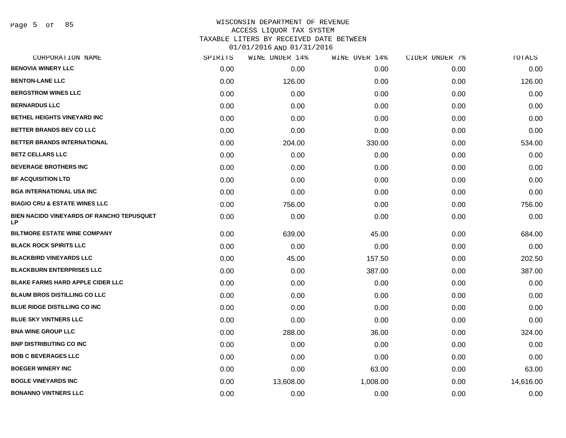Page 5 of 85

### WISCONSIN DEPARTMENT OF REVENUE ACCESS LIQUOR TAX SYSTEM TAXABLE LITERS BY RECEIVED DATE BETWEEN

| CORPORATION NAME                                | SPIRITS | WINE UNDER 14% | WINE OVER 14% | CIDER UNDER 7% | TOTALS    |
|-------------------------------------------------|---------|----------------|---------------|----------------|-----------|
| <b>BENOVIA WINERY LLC</b>                       | 0.00    | 0.00           | 0.00          | 0.00           | 0.00      |
| <b>BENTON-LANE LLC</b>                          | 0.00    | 126.00         | 0.00          | 0.00           | 126.00    |
| <b>BERGSTROM WINES LLC</b>                      | 0.00    | 0.00           | 0.00          | 0.00           | 0.00      |
| <b>BERNARDUS LLC</b>                            | 0.00    | 0.00           | 0.00          | 0.00           | 0.00      |
| <b>BETHEL HEIGHTS VINEYARD INC</b>              | 0.00    | 0.00           | 0.00          | 0.00           | 0.00      |
| BETTER BRANDS BEV CO LLC                        | 0.00    | 0.00           | 0.00          | 0.00           | 0.00      |
| <b>BETTER BRANDS INTERNATIONAL</b>              | 0.00    | 204.00         | 330.00        | 0.00           | 534.00    |
| <b>BETZ CELLARS LLC</b>                         | 0.00    | 0.00           | 0.00          | 0.00           | 0.00      |
| <b>BEVERAGE BROTHERS INC</b>                    | 0.00    | 0.00           | 0.00          | 0.00           | 0.00      |
| <b>BF ACQUISITION LTD</b>                       | 0.00    | 0.00           | 0.00          | 0.00           | 0.00      |
| <b>BGA INTERNATIONAL USA INC</b>                | 0.00    | 0.00           | 0.00          | 0.00           | 0.00      |
| <b>BIAGIO CRU &amp; ESTATE WINES LLC</b>        | 0.00    | 756.00         | 0.00          | 0.00           | 756.00    |
| BIEN NACIDO VINEYARDS OF RANCHO TEPUSQUET<br>LP | 0.00    | 0.00           | 0.00          | 0.00           | 0.00      |
| <b>BILTMORE ESTATE WINE COMPANY</b>             | 0.00    | 639.00         | 45.00         | 0.00           | 684.00    |
| <b>BLACK ROCK SPIRITS LLC</b>                   | 0.00    | 0.00           | 0.00          | 0.00           | 0.00      |
| <b>BLACKBIRD VINEYARDS LLC</b>                  | 0.00    | 45.00          | 157.50        | 0.00           | 202.50    |
| <b>BLACKBURN ENTERPRISES LLC</b>                | 0.00    | 0.00           | 387.00        | 0.00           | 387.00    |
| <b>BLAKE FARMS HARD APPLE CIDER LLC</b>         | 0.00    | 0.00           | 0.00          | 0.00           | 0.00      |
| <b>BLAUM BROS DISTILLING CO LLC</b>             | 0.00    | 0.00           | 0.00          | 0.00           | 0.00      |
| <b>BLUE RIDGE DISTILLING CO INC</b>             | 0.00    | 0.00           | 0.00          | 0.00           | 0.00      |
| <b>BLUE SKY VINTNERS LLC</b>                    | 0.00    | 0.00           | 0.00          | 0.00           | 0.00      |
| <b>BNA WINE GROUP LLC</b>                       | 0.00    | 288.00         | 36.00         | 0.00           | 324.00    |
| <b>BNP DISTRIBUTING CO INC</b>                  | 0.00    | 0.00           | 0.00          | 0.00           | 0.00      |
| <b>BOB C BEVERAGES LLC</b>                      | 0.00    | 0.00           | 0.00          | 0.00           | 0.00      |
| <b>BOEGER WINERY INC</b>                        | 0.00    | 0.00           | 63.00         | 0.00           | 63.00     |
| <b>BOGLE VINEYARDS INC</b>                      | 0.00    | 13,608.00      | 1,008.00      | 0.00           | 14,616.00 |
| <b>BONANNO VINTNERS LLC</b>                     | 0.00    | 0.00           | 0.00          | 0.00           | 0.00      |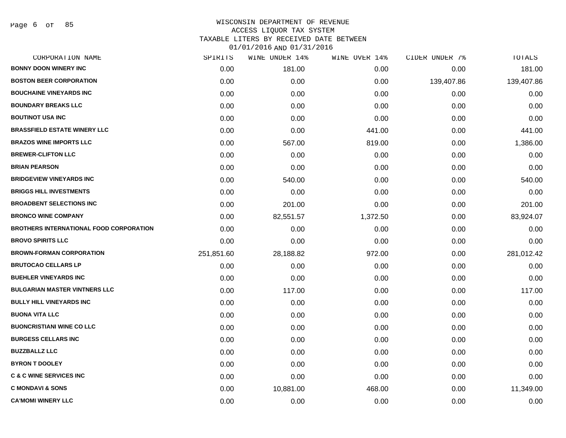Page 6 of 85

| CORPORATION NAME                               | SPIRITS    | WINE UNDER 14% | WINE OVER 14% | CIDER UNDER 7% | <b>TOTALS</b> |
|------------------------------------------------|------------|----------------|---------------|----------------|---------------|
| <b>BONNY DOON WINERY INC</b>                   | 0.00       | 181.00         | 0.00          | 0.00           | 181.00        |
| <b>BOSTON BEER CORPORATION</b>                 | 0.00       | 0.00           | 0.00          | 139,407.86     | 139,407.86    |
| <b>BOUCHAINE VINEYARDS INC</b>                 | 0.00       | 0.00           | 0.00          | 0.00           | 0.00          |
| <b>BOUNDARY BREAKS LLC</b>                     | 0.00       | 0.00           | 0.00          | 0.00           | 0.00          |
| <b>BOUTINOT USA INC</b>                        | 0.00       | 0.00           | 0.00          | 0.00           | 0.00          |
| <b>BRASSFIELD ESTATE WINERY LLC</b>            | 0.00       | 0.00           | 441.00        | 0.00           | 441.00        |
| <b>BRAZOS WINE IMPORTS LLC</b>                 | 0.00       | 567.00         | 819.00        | 0.00           | 1,386.00      |
| <b>BREWER-CLIFTON LLC</b>                      | 0.00       | 0.00           | 0.00          | 0.00           | 0.00          |
| <b>BRIAN PEARSON</b>                           | 0.00       | 0.00           | 0.00          | 0.00           | 0.00          |
| <b>BRIDGEVIEW VINEYARDS INC</b>                | 0.00       | 540.00         | 0.00          | 0.00           | 540.00        |
| <b>BRIGGS HILL INVESTMENTS</b>                 | 0.00       | 0.00           | 0.00          | 0.00           | 0.00          |
| <b>BROADBENT SELECTIONS INC</b>                | 0.00       | 201.00         | 0.00          | 0.00           | 201.00        |
| <b>BRONCO WINE COMPANY</b>                     | 0.00       | 82,551.57      | 1,372.50      | 0.00           | 83,924.07     |
| <b>BROTHERS INTERNATIONAL FOOD CORPORATION</b> | 0.00       | 0.00           | 0.00          | 0.00           | 0.00          |
| <b>BROVO SPIRITS LLC</b>                       | 0.00       | 0.00           | 0.00          | 0.00           | 0.00          |
| <b>BROWN-FORMAN CORPORATION</b>                | 251,851.60 | 28,188.82      | 972.00        | 0.00           | 281,012.42    |
| <b>BRUTOCAO CELLARS LP</b>                     | 0.00       | 0.00           | 0.00          | 0.00           | 0.00          |
| <b>BUEHLER VINEYARDS INC</b>                   | 0.00       | 0.00           | 0.00          | 0.00           | 0.00          |
| <b>BULGARIAN MASTER VINTNERS LLC</b>           | 0.00       | 117.00         | 0.00          | 0.00           | 117.00        |
| <b>BULLY HILL VINEYARDS INC</b>                | 0.00       | 0.00           | 0.00          | 0.00           | 0.00          |
| <b>BUONA VITA LLC</b>                          | 0.00       | 0.00           | 0.00          | 0.00           | 0.00          |
| <b>BUONCRISTIANI WINE CO LLC</b>               | 0.00       | 0.00           | 0.00          | 0.00           | 0.00          |
| <b>BURGESS CELLARS INC</b>                     | 0.00       | 0.00           | 0.00          | 0.00           | 0.00          |
| <b>BUZZBALLZ LLC</b>                           | 0.00       | 0.00           | 0.00          | 0.00           | 0.00          |
| <b>BYRON T DOOLEY</b>                          | 0.00       | 0.00           | 0.00          | 0.00           | 0.00          |
| <b>C &amp; C WINE SERVICES INC</b>             | 0.00       | 0.00           | 0.00          | 0.00           | 0.00          |
| <b>C MONDAVI &amp; SONS</b>                    | 0.00       | 10,881.00      | 468.00        | 0.00           | 11,349.00     |
| <b>CA'MOMI WINERY LLC</b>                      | 0.00       | 0.00           | 0.00          | 0.00           | 0.00          |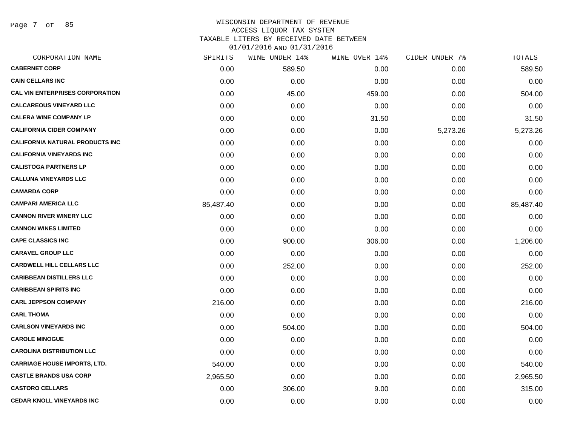Page 7 of 85

# WISCONSIN DEPARTMENT OF REVENUE ACCESS LIQUOR TAX SYSTEM TAXABLE LITERS BY RECEIVED DATE BETWEEN

| CORPORATION NAME                       | SPIRITS   | WINE UNDER 14% | WINE OVER 14% | CIDER UNDER 7% | TOTALS    |
|----------------------------------------|-----------|----------------|---------------|----------------|-----------|
| <b>CABERNET CORP</b>                   | 0.00      | 589.50         | 0.00          | 0.00           | 589.50    |
| <b>CAIN CELLARS INC</b>                | 0.00      | 0.00           | 0.00          | 0.00           | 0.00      |
| <b>CAL VIN ENTERPRISES CORPORATION</b> | 0.00      | 45.00          | 459.00        | 0.00           | 504.00    |
| <b>CALCAREOUS VINEYARD LLC</b>         | 0.00      | 0.00           | 0.00          | 0.00           | 0.00      |
| <b>CALERA WINE COMPANY LP</b>          | 0.00      | 0.00           | 31.50         | 0.00           | 31.50     |
| <b>CALIFORNIA CIDER COMPANY</b>        | 0.00      | 0.00           | 0.00          | 5,273.26       | 5,273.26  |
| <b>CALIFORNIA NATURAL PRODUCTS INC</b> | 0.00      | 0.00           | 0.00          | 0.00           | 0.00      |
| <b>CALIFORNIA VINEYARDS INC</b>        | 0.00      | 0.00           | 0.00          | 0.00           | 0.00      |
| <b>CALISTOGA PARTNERS LP</b>           | 0.00      | 0.00           | 0.00          | 0.00           | 0.00      |
| <b>CALLUNA VINEYARDS LLC</b>           | 0.00      | 0.00           | 0.00          | 0.00           | 0.00      |
| <b>CAMARDA CORP</b>                    | 0.00      | 0.00           | 0.00          | 0.00           | 0.00      |
| <b>CAMPARI AMERICA LLC</b>             | 85,487.40 | 0.00           | 0.00          | 0.00           | 85,487.40 |
| <b>CANNON RIVER WINERY LLC</b>         | 0.00      | 0.00           | 0.00          | 0.00           | 0.00      |
| <b>CANNON WINES LIMITED</b>            | 0.00      | 0.00           | 0.00          | 0.00           | 0.00      |
| <b>CAPE CLASSICS INC</b>               | 0.00      | 900.00         | 306.00        | 0.00           | 1,206.00  |
| <b>CARAVEL GROUP LLC</b>               | 0.00      | 0.00           | 0.00          | 0.00           | 0.00      |
| <b>CARDWELL HILL CELLARS LLC</b>       | 0.00      | 252.00         | 0.00          | 0.00           | 252.00    |
| <b>CARIBBEAN DISTILLERS LLC</b>        | 0.00      | 0.00           | 0.00          | 0.00           | 0.00      |
| <b>CARIBBEAN SPIRITS INC</b>           | 0.00      | 0.00           | 0.00          | 0.00           | 0.00      |
| <b>CARL JEPPSON COMPANY</b>            | 216.00    | 0.00           | 0.00          | 0.00           | 216.00    |
| <b>CARL THOMA</b>                      | 0.00      | 0.00           | 0.00          | 0.00           | 0.00      |
| <b>CARLSON VINEYARDS INC</b>           | 0.00      | 504.00         | 0.00          | 0.00           | 504.00    |
| <b>CAROLE MINOGUE</b>                  | 0.00      | 0.00           | 0.00          | 0.00           | 0.00      |
| <b>CAROLINA DISTRIBUTION LLC</b>       | 0.00      | 0.00           | 0.00          | 0.00           | 0.00      |
| <b>CARRIAGE HOUSE IMPORTS, LTD.</b>    | 540.00    | 0.00           | 0.00          | 0.00           | 540.00    |
| <b>CASTLE BRANDS USA CORP</b>          | 2,965.50  | 0.00           | 0.00          | 0.00           | 2,965.50  |
| <b>CASTORO CELLARS</b>                 | 0.00      | 306.00         | 9.00          | 0.00           | 315.00    |
| <b>CEDAR KNOLL VINEYARDS INC</b>       | 0.00      | 0.00           | 0.00          | 0.00           | 0.00      |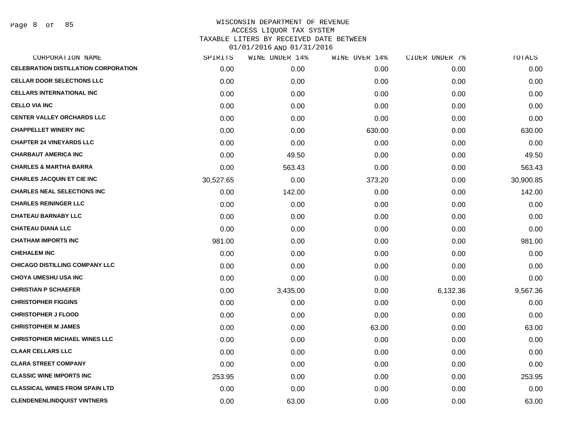Page 8 of 85

| CORPORATION NAME                            | SPIRITS   | WINE UNDER 14% | WINE OVER 14% | CIDER UNDER 7% | TOTALS    |
|---------------------------------------------|-----------|----------------|---------------|----------------|-----------|
| <b>CELEBRATION DISTILLATION CORPORATION</b> | 0.00      | 0.00           | 0.00          | 0.00           | 0.00      |
| <b>CELLAR DOOR SELECTIONS LLC</b>           | 0.00      | 0.00           | 0.00          | 0.00           | 0.00      |
| <b>CELLARS INTERNATIONAL INC</b>            | 0.00      | 0.00           | 0.00          | 0.00           | 0.00      |
| <b>CELLO VIA INC</b>                        | 0.00      | 0.00           | 0.00          | 0.00           | 0.00      |
| <b>CENTER VALLEY ORCHARDS LLC</b>           | 0.00      | 0.00           | 0.00          | 0.00           | 0.00      |
| <b>CHAPPELLET WINERY INC</b>                | 0.00      | 0.00           | 630.00        | 0.00           | 630.00    |
| <b>CHAPTER 24 VINEYARDS LLC</b>             | 0.00      | 0.00           | 0.00          | 0.00           | 0.00      |
| <b>CHARBAUT AMERICA INC</b>                 | 0.00      | 49.50          | 0.00          | 0.00           | 49.50     |
| <b>CHARLES &amp; MARTHA BARRA</b>           | 0.00      | 563.43         | 0.00          | 0.00           | 563.43    |
| <b>CHARLES JACQUIN ET CIE INC</b>           | 30,527.65 | 0.00           | 373.20        | 0.00           | 30,900.85 |
| <b>CHARLES NEAL SELECTIONS INC</b>          | 0.00      | 142.00         | 0.00          | 0.00           | 142.00    |
| <b>CHARLES REININGER LLC</b>                | 0.00      | 0.00           | 0.00          | 0.00           | 0.00      |
| <b>CHATEAU BARNABY LLC</b>                  | 0.00      | 0.00           | 0.00          | 0.00           | 0.00      |
| <b>CHATEAU DIANA LLC</b>                    | 0.00      | 0.00           | 0.00          | 0.00           | 0.00      |
| <b>CHATHAM IMPORTS INC</b>                  | 981.00    | 0.00           | 0.00          | 0.00           | 981.00    |
| <b>CHEHALEM INC</b>                         | 0.00      | 0.00           | 0.00          | 0.00           | 0.00      |
| <b>CHICAGO DISTILLING COMPANY LLC</b>       | 0.00      | 0.00           | 0.00          | 0.00           | 0.00      |
| <b>CHOYA UMESHU USA INC</b>                 | 0.00      | 0.00           | 0.00          | 0.00           | 0.00      |
| <b>CHRISTIAN P SCHAEFER</b>                 | 0.00      | 3,435.00       | 0.00          | 6,132.36       | 9,567.36  |
| <b>CHRISTOPHER FIGGINS</b>                  | 0.00      | 0.00           | 0.00          | 0.00           | 0.00      |
| <b>CHRISTOPHER J FLOOD</b>                  | 0.00      | 0.00           | 0.00          | 0.00           | 0.00      |
| <b>CHRISTOPHER M JAMES</b>                  | 0.00      | 0.00           | 63.00         | 0.00           | 63.00     |
| <b>CHRISTOPHER MICHAEL WINES LLC</b>        | 0.00      | 0.00           | 0.00          | 0.00           | 0.00      |
| <b>CLAAR CELLARS LLC</b>                    | 0.00      | 0.00           | 0.00          | 0.00           | 0.00      |
| <b>CLARA STREET COMPANY</b>                 | 0.00      | 0.00           | 0.00          | 0.00           | 0.00      |
| <b>CLASSIC WINE IMPORTS INC</b>             | 253.95    | 0.00           | 0.00          | 0.00           | 253.95    |
| <b>CLASSICAL WINES FROM SPAIN LTD</b>       | 0.00      | 0.00           | 0.00          | 0.00           | 0.00      |
| <b>CLENDENENLINDQUIST VINTNERS</b>          | 0.00      | 63.00          | 0.00          | 0.00           | 63.00     |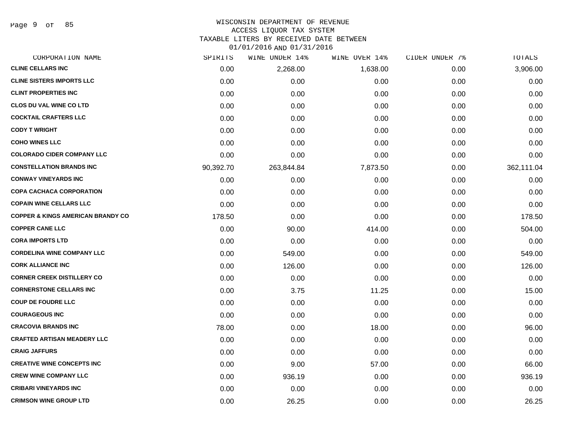Page 9 of 85

# WISCONSIN DEPARTMENT OF REVENUE

ACCESS LIQUOR TAX SYSTEM

TAXABLE LITERS BY RECEIVED DATE BETWEEN

| CORPORATION NAME                             | SPIRITS   | WINE UNDER 14% | WINE OVER 14% | CIDER UNDER 7% | TOTALS     |
|----------------------------------------------|-----------|----------------|---------------|----------------|------------|
| <b>CLINE CELLARS INC</b>                     | 0.00      | 2,268.00       | 1,638.00      | 0.00           | 3,906.00   |
| <b>CLINE SISTERS IMPORTS LLC</b>             | 0.00      | 0.00           | 0.00          | 0.00           | 0.00       |
| <b>CLINT PROPERTIES INC</b>                  | 0.00      | 0.00           | 0.00          | 0.00           | 0.00       |
| <b>CLOS DU VAL WINE CO LTD</b>               | 0.00      | 0.00           | 0.00          | 0.00           | 0.00       |
| <b>COCKTAIL CRAFTERS LLC</b>                 | 0.00      | 0.00           | 0.00          | 0.00           | 0.00       |
| <b>CODY T WRIGHT</b>                         | 0.00      | 0.00           | 0.00          | 0.00           | 0.00       |
| <b>COHO WINES LLC</b>                        | 0.00      | 0.00           | 0.00          | 0.00           | 0.00       |
| <b>COLORADO CIDER COMPANY LLC</b>            | 0.00      | 0.00           | 0.00          | 0.00           | 0.00       |
| <b>CONSTELLATION BRANDS INC</b>              | 90,392.70 | 263,844.84     | 7,873.50      | 0.00           | 362,111.04 |
| <b>CONWAY VINEYARDS INC</b>                  | 0.00      | 0.00           | 0.00          | 0.00           | 0.00       |
| <b>COPA CACHACA CORPORATION</b>              | 0.00      | 0.00           | 0.00          | 0.00           | 0.00       |
| <b>COPAIN WINE CELLARS LLC</b>               | 0.00      | 0.00           | 0.00          | 0.00           | 0.00       |
| <b>COPPER &amp; KINGS AMERICAN BRANDY CO</b> | 178.50    | 0.00           | 0.00          | 0.00           | 178.50     |
| <b>COPPER CANE LLC</b>                       | 0.00      | 90.00          | 414.00        | 0.00           | 504.00     |
| <b>CORA IMPORTS LTD</b>                      | 0.00      | 0.00           | 0.00          | 0.00           | 0.00       |
| <b>CORDELINA WINE COMPANY LLC</b>            | 0.00      | 549.00         | 0.00          | 0.00           | 549.00     |
| <b>CORK ALLIANCE INC</b>                     | 0.00      | 126.00         | 0.00          | 0.00           | 126.00     |
| <b>CORNER CREEK DISTILLERY CO</b>            | 0.00      | 0.00           | 0.00          | 0.00           | 0.00       |
| <b>CORNERSTONE CELLARS INC</b>               | 0.00      | 3.75           | 11.25         | 0.00           | 15.00      |
| <b>COUP DE FOUDRE LLC</b>                    | 0.00      | 0.00           | 0.00          | 0.00           | 0.00       |
| <b>COURAGEOUS INC</b>                        | 0.00      | 0.00           | 0.00          | 0.00           | 0.00       |
| <b>CRACOVIA BRANDS INC</b>                   | 78.00     | 0.00           | 18.00         | 0.00           | 96.00      |
| <b>CRAFTED ARTISAN MEADERY LLC</b>           | 0.00      | 0.00           | 0.00          | 0.00           | 0.00       |
| <b>CRAIG JAFFURS</b>                         | 0.00      | 0.00           | 0.00          | 0.00           | 0.00       |
| <b>CREATIVE WINE CONCEPTS INC</b>            | 0.00      | 9.00           | 57.00         | 0.00           | 66.00      |
| <b>CREW WINE COMPANY LLC</b>                 | 0.00      | 936.19         | 0.00          | 0.00           | 936.19     |
| <b>CRIBARI VINEYARDS INC</b>                 | 0.00      | 0.00           | 0.00          | 0.00           | 0.00       |
| <b>CRIMSON WINE GROUP LTD</b>                | 0.00      | 26.25          | 0.00          | 0.00           | 26.25      |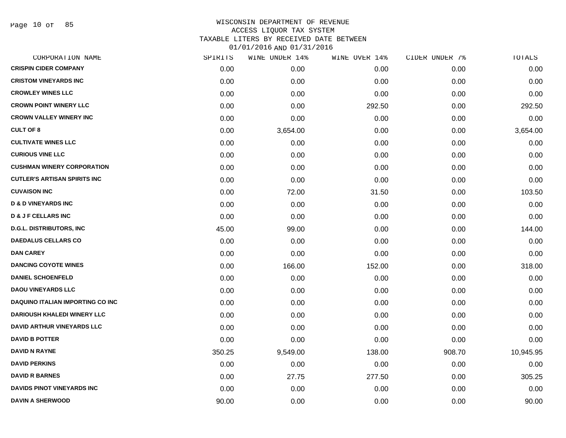Page 10 of 85

# WISCONSIN DEPARTMENT OF REVENUE ACCESS LIQUOR TAX SYSTEM TAXABLE LITERS BY RECEIVED DATE BETWEEN

| CORPORATION NAME                        | SPIRITS | WINE UNDER 14% | WINE OVER 14% | CIDER UNDER 7% | TOTALS    |
|-----------------------------------------|---------|----------------|---------------|----------------|-----------|
| <b>CRISPIN CIDER COMPANY</b>            | 0.00    | 0.00           | 0.00          | 0.00           | 0.00      |
| <b>CRISTOM VINEYARDS INC</b>            | 0.00    | 0.00           | 0.00          | 0.00           | 0.00      |
| <b>CROWLEY WINES LLC</b>                | 0.00    | 0.00           | 0.00          | 0.00           | 0.00      |
| <b>CROWN POINT WINERY LLC</b>           | 0.00    | 0.00           | 292.50        | 0.00           | 292.50    |
| <b>CROWN VALLEY WINERY INC</b>          | 0.00    | 0.00           | 0.00          | 0.00           | 0.00      |
| <b>CULT OF 8</b>                        | 0.00    | 3,654.00       | 0.00          | 0.00           | 3,654.00  |
| <b>CULTIVATE WINES LLC</b>              | 0.00    | 0.00           | 0.00          | 0.00           | 0.00      |
| <b>CURIOUS VINE LLC</b>                 | 0.00    | 0.00           | 0.00          | 0.00           | 0.00      |
| <b>CUSHMAN WINERY CORPORATION</b>       | 0.00    | 0.00           | 0.00          | 0.00           | 0.00      |
| <b>CUTLER'S ARTISAN SPIRITS INC</b>     | 0.00    | 0.00           | 0.00          | 0.00           | 0.00      |
| <b>CUVAISON INC</b>                     | 0.00    | 72.00          | 31.50         | 0.00           | 103.50    |
| <b>D &amp; D VINEYARDS INC</b>          | 0.00    | 0.00           | 0.00          | 0.00           | 0.00      |
| <b>D &amp; J F CELLARS INC</b>          | 0.00    | 0.00           | 0.00          | 0.00           | 0.00      |
| <b>D.G.L. DISTRIBUTORS, INC.</b>        | 45.00   | 99.00          | 0.00          | 0.00           | 144.00    |
| <b>DAEDALUS CELLARS CO</b>              | 0.00    | 0.00           | 0.00          | 0.00           | 0.00      |
| <b>DAN CAREY</b>                        | 0.00    | 0.00           | 0.00          | 0.00           | 0.00      |
| <b>DANCING COYOTE WINES</b>             | 0.00    | 166.00         | 152.00        | 0.00           | 318.00    |
| <b>DANIEL SCHOENFELD</b>                | 0.00    | 0.00           | 0.00          | 0.00           | 0.00      |
| <b>DAOU VINEYARDS LLC</b>               | 0.00    | 0.00           | 0.00          | 0.00           | 0.00      |
| <b>DAQUINO ITALIAN IMPORTING CO INC</b> | 0.00    | 0.00           | 0.00          | 0.00           | 0.00      |
| <b>DARIOUSH KHALEDI WINERY LLC</b>      | 0.00    | 0.00           | 0.00          | 0.00           | 0.00      |
| DAVID ARTHUR VINEYARDS LLC              | 0.00    | 0.00           | 0.00          | 0.00           | 0.00      |
| <b>DAVID B POTTER</b>                   | 0.00    | 0.00           | 0.00          | 0.00           | 0.00      |
| <b>DAVID N RAYNE</b>                    | 350.25  | 9,549.00       | 138.00        | 908.70         | 10,945.95 |
| <b>DAVID PERKINS</b>                    | 0.00    | 0.00           | 0.00          | 0.00           | 0.00      |
| <b>DAVID R BARNES</b>                   | 0.00    | 27.75          | 277.50        | 0.00           | 305.25    |
| <b>DAVIDS PINOT VINEYARDS INC</b>       | 0.00    | 0.00           | 0.00          | 0.00           | 0.00      |
| <b>DAVIN A SHERWOOD</b>                 | 90.00   | 0.00           | 0.00          | 0.00           | 90.00     |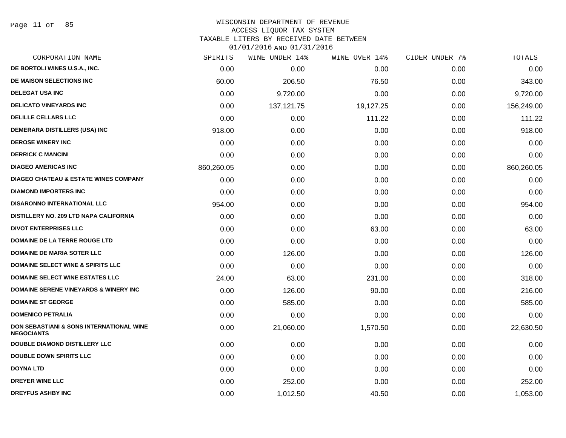# WISCONSIN DEPARTMENT OF REVENUE

### ACCESS LIQUOR TAX SYSTEM

TAXABLE LITERS BY RECEIVED DATE BETWEEN

| CORPORATION NAME                                              | SPIRITS    | WINE UNDER 14% | WINE OVER 14% | CIDER UNDER 7% | TOTALS     |
|---------------------------------------------------------------|------------|----------------|---------------|----------------|------------|
| DE BORTOLI WINES U.S.A., INC.                                 | 0.00       | 0.00           | 0.00          | 0.00           | 0.00       |
| DE MAISON SELECTIONS INC                                      | 60.00      | 206.50         | 76.50         | 0.00           | 343.00     |
| <b>DELEGAT USA INC</b>                                        | 0.00       | 9,720.00       | 0.00          | 0.00           | 9,720.00   |
| <b>DELICATO VINEYARDS INC</b>                                 | 0.00       | 137, 121. 75   | 19,127.25     | 0.00           | 156,249.00 |
| <b>DELILLE CELLARS LLC</b>                                    | 0.00       | 0.00           | 111.22        | 0.00           | 111.22     |
| DEMERARA DISTILLERS (USA) INC                                 | 918.00     | 0.00           | 0.00          | 0.00           | 918.00     |
| <b>DEROSE WINERY INC</b>                                      | 0.00       | 0.00           | 0.00          | 0.00           | 0.00       |
| <b>DERRICK C MANCINI</b>                                      | 0.00       | 0.00           | 0.00          | 0.00           | 0.00       |
| <b>DIAGEO AMERICAS INC</b>                                    | 860,260.05 | 0.00           | 0.00          | 0.00           | 860,260.05 |
| <b>DIAGEO CHATEAU &amp; ESTATE WINES COMPANY</b>              | 0.00       | 0.00           | 0.00          | 0.00           | 0.00       |
| <b>DIAMOND IMPORTERS INC</b>                                  | 0.00       | 0.00           | 0.00          | 0.00           | 0.00       |
| <b>DISARONNO INTERNATIONAL LLC</b>                            | 954.00     | 0.00           | 0.00          | 0.00           | 954.00     |
| DISTILLERY NO. 209 LTD NAPA CALIFORNIA                        | 0.00       | 0.00           | 0.00          | 0.00           | 0.00       |
| <b>DIVOT ENTERPRISES LLC</b>                                  | 0.00       | 0.00           | 63.00         | 0.00           | 63.00      |
| DOMAINE DE LA TERRE ROUGE LTD                                 | 0.00       | 0.00           | 0.00          | 0.00           | 0.00       |
| <b>DOMAINE DE MARIA SOTER LLC</b>                             | 0.00       | 126.00         | 0.00          | 0.00           | 126.00     |
| DOMAINE SELECT WINE & SPIRITS LLC                             | 0.00       | 0.00           | 0.00          | 0.00           | 0.00       |
| DOMAINE SELECT WINE ESTATES LLC                               | 24.00      | 63.00          | 231.00        | 0.00           | 318.00     |
| <b>DOMAINE SERENE VINEYARDS &amp; WINERY INC</b>              | 0.00       | 126.00         | 90.00         | 0.00           | 216.00     |
| <b>DOMAINE ST GEORGE</b>                                      | 0.00       | 585.00         | 0.00          | 0.00           | 585.00     |
| <b>DOMENICO PETRALIA</b>                                      | 0.00       | 0.00           | 0.00          | 0.00           | 0.00       |
| DON SEBASTIANI & SONS INTERNATIONAL WINE<br><b>NEGOCIANTS</b> | 0.00       | 21,060.00      | 1,570.50      | 0.00           | 22,630.50  |
| <b>DOUBLE DIAMOND DISTILLERY LLC</b>                          | 0.00       | 0.00           | 0.00          | 0.00           | 0.00       |
| <b>DOUBLE DOWN SPIRITS LLC</b>                                | 0.00       | 0.00           | 0.00          | 0.00           | 0.00       |
| <b>DOYNA LTD</b>                                              | 0.00       | 0.00           | 0.00          | 0.00           | 0.00       |
| DREYER WINE LLC                                               | 0.00       | 252.00         | 0.00          | 0.00           | 252.00     |
| <b>DREYFUS ASHBY INC</b>                                      | 0.00       | 1,012.50       | 40.50         | 0.00           | 1,053.00   |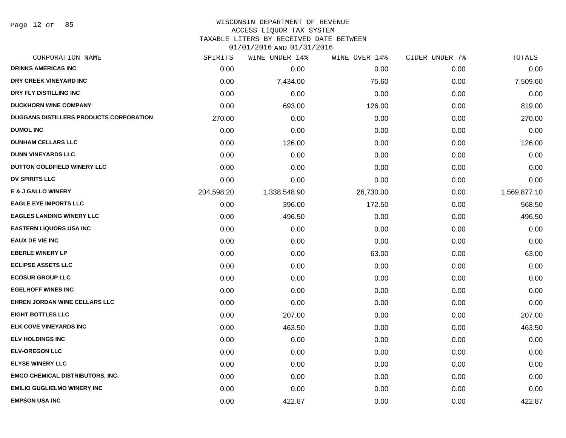Page 12 of 85

# WISCONSIN DEPARTMENT OF REVENUE

### ACCESS LIQUOR TAX SYSTEM

TAXABLE LITERS BY RECEIVED DATE BETWEEN

| CORPORATION NAME                        | SPIRITS    | WINE UNDER 14% | WINE OVER 14% | CIDER UNDER 7% | TOTALS       |
|-----------------------------------------|------------|----------------|---------------|----------------|--------------|
| <b>DRINKS AMERICAS INC</b>              | 0.00       | 0.00           | 0.00          | 0.00           | 0.00         |
| DRY CREEK VINEYARD INC                  | 0.00       | 7,434.00       | 75.60         | 0.00           | 7,509.60     |
| DRY FLY DISTILLING INC                  | 0.00       | 0.00           | 0.00          | 0.00           | 0.00         |
| <b>DUCKHORN WINE COMPANY</b>            | 0.00       | 693.00         | 126.00        | 0.00           | 819.00       |
| DUGGANS DISTILLERS PRODUCTS CORPORATION | 270.00     | 0.00           | 0.00          | 0.00           | 270.00       |
| <b>DUMOL INC</b>                        | 0.00       | 0.00           | 0.00          | 0.00           | 0.00         |
| <b>DUNHAM CELLARS LLC</b>               | 0.00       | 126.00         | 0.00          | 0.00           | 126.00       |
| <b>DUNN VINEYARDS LLC</b>               | 0.00       | 0.00           | 0.00          | 0.00           | 0.00         |
| DUTTON GOLDFIELD WINERY LLC             | 0.00       | 0.00           | 0.00          | 0.00           | 0.00         |
| <b>DV SPIRITS LLC</b>                   | 0.00       | 0.00           | 0.00          | 0.00           | 0.00         |
| <b>E &amp; J GALLO WINERY</b>           | 204,598.20 | 1,338,548.90   | 26,730.00     | 0.00           | 1,569,877.10 |
| <b>EAGLE EYE IMPORTS LLC</b>            | 0.00       | 396.00         | 172.50        | 0.00           | 568.50       |
| <b>EAGLES LANDING WINERY LLC</b>        | 0.00       | 496.50         | 0.00          | 0.00           | 496.50       |
| <b>EASTERN LIQUORS USA INC</b>          | 0.00       | 0.00           | 0.00          | 0.00           | 0.00         |
| <b>EAUX DE VIE INC</b>                  | 0.00       | 0.00           | 0.00          | 0.00           | 0.00         |
| <b>EBERLE WINERY LP</b>                 | 0.00       | 0.00           | 63.00         | 0.00           | 63.00        |
| <b>ECLIPSE ASSETS LLC</b>               | 0.00       | 0.00           | 0.00          | 0.00           | 0.00         |
| <b>ECOSUR GROUP LLC</b>                 | 0.00       | 0.00           | 0.00          | 0.00           | 0.00         |
| <b>EGELHOFF WINES INC</b>               | 0.00       | 0.00           | 0.00          | 0.00           | 0.00         |
| <b>EHREN JORDAN WINE CELLARS LLC</b>    | 0.00       | 0.00           | 0.00          | 0.00           | 0.00         |
| <b>EIGHT BOTTLES LLC</b>                | 0.00       | 207.00         | 0.00          | 0.00           | 207.00       |
| <b>ELK COVE VINEYARDS INC</b>           | 0.00       | 463.50         | 0.00          | 0.00           | 463.50       |
| <b>ELV HOLDINGS INC</b>                 | 0.00       | 0.00           | 0.00          | 0.00           | 0.00         |
| <b>ELV-OREGON LLC</b>                   | 0.00       | 0.00           | 0.00          | 0.00           | 0.00         |
| <b>ELYSE WINERY LLC</b>                 | 0.00       | 0.00           | 0.00          | 0.00           | 0.00         |
| <b>EMCO CHEMICAL DISTRIBUTORS, INC.</b> | 0.00       | 0.00           | 0.00          | 0.00           | 0.00         |
| <b>EMILIO GUGLIELMO WINERY INC</b>      | 0.00       | 0.00           | 0.00          | 0.00           | 0.00         |
| <b>EMPSON USA INC</b>                   | 0.00       | 422.87         | 0.00          | 0.00           | 422.87       |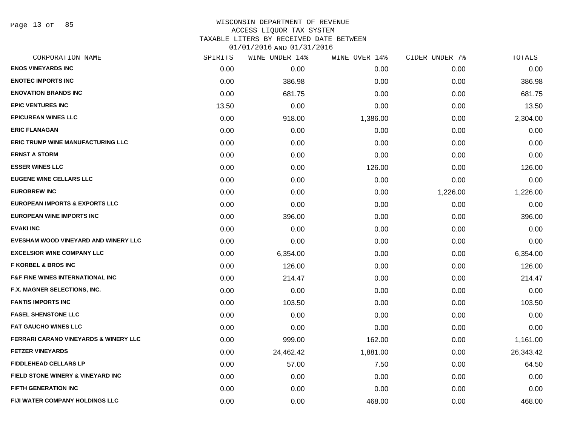Page 13 of 85

### WISCONSIN DEPARTMENT OF REVENUE ACCESS LIQUOR TAX SYSTEM

TAXABLE LITERS BY RECEIVED DATE BETWEEN

| CORPORATION NAME                                 | SPIRITS | WINE UNDER 14% | WINE OVER 14% | CIDER UNDER 7% | TOTALS    |
|--------------------------------------------------|---------|----------------|---------------|----------------|-----------|
| <b>ENOS VINEYARDS INC</b>                        | 0.00    | 0.00           | 0.00          | 0.00           | 0.00      |
| <b>ENOTEC IMPORTS INC</b>                        | 0.00    | 386.98         | 0.00          | 0.00           | 386.98    |
| <b>ENOVATION BRANDS INC</b>                      | 0.00    | 681.75         | 0.00          | 0.00           | 681.75    |
| <b>EPIC VENTURES INC</b>                         | 13.50   | 0.00           | 0.00          | 0.00           | 13.50     |
| <b>EPICUREAN WINES LLC</b>                       | 0.00    | 918.00         | 1,386.00      | 0.00           | 2,304.00  |
| <b>ERIC FLANAGAN</b>                             | 0.00    | 0.00           | 0.00          | 0.00           | 0.00      |
| <b>ERIC TRUMP WINE MANUFACTURING LLC</b>         | 0.00    | 0.00           | 0.00          | 0.00           | 0.00      |
| <b>ERNST A STORM</b>                             | 0.00    | 0.00           | 0.00          | 0.00           | 0.00      |
| <b>ESSER WINES LLC</b>                           | 0.00    | 0.00           | 126.00        | 0.00           | 126.00    |
| <b>EUGENE WINE CELLARS LLC</b>                   | 0.00    | 0.00           | 0.00          | 0.00           | 0.00      |
| <b>EUROBREW INC</b>                              | 0.00    | 0.00           | 0.00          | 1,226.00       | 1,226.00  |
| <b>EUROPEAN IMPORTS &amp; EXPORTS LLC</b>        | 0.00    | 0.00           | 0.00          | 0.00           | 0.00      |
| <b>EUROPEAN WINE IMPORTS INC</b>                 | 0.00    | 396.00         | 0.00          | 0.00           | 396.00    |
| <b>EVAKI INC</b>                                 | 0.00    | 0.00           | 0.00          | 0.00           | 0.00      |
| EVESHAM WOOD VINEYARD AND WINERY LLC             | 0.00    | 0.00           | 0.00          | 0.00           | 0.00      |
| <b>EXCELSIOR WINE COMPANY LLC</b>                | 0.00    | 6,354.00       | 0.00          | 0.00           | 6,354.00  |
| <b>F KORBEL &amp; BROS INC</b>                   | 0.00    | 126.00         | 0.00          | 0.00           | 126.00    |
| <b>F&amp;F FINE WINES INTERNATIONAL INC.</b>     | 0.00    | 214.47         | 0.00          | 0.00           | 214.47    |
| F.X. MAGNER SELECTIONS, INC.                     | 0.00    | 0.00           | 0.00          | 0.00           | 0.00      |
| <b>FANTIS IMPORTS INC</b>                        | 0.00    | 103.50         | 0.00          | 0.00           | 103.50    |
| <b>FASEL SHENSTONE LLC</b>                       | 0.00    | 0.00           | 0.00          | 0.00           | 0.00      |
| <b>FAT GAUCHO WINES LLC</b>                      | 0.00    | 0.00           | 0.00          | 0.00           | 0.00      |
| <b>FERRARI CARANO VINEYARDS &amp; WINERY LLC</b> | 0.00    | 999.00         | 162.00        | 0.00           | 1,161.00  |
| <b>FETZER VINEYARDS</b>                          | 0.00    | 24,462.42      | 1,881.00      | 0.00           | 26,343.42 |
| <b>FIDDLEHEAD CELLARS LP</b>                     | 0.00    | 57.00          | 7.50          | 0.00           | 64.50     |
| FIELD STONE WINERY & VINEYARD INC                | 0.00    | 0.00           | 0.00          | 0.00           | 0.00      |
| <b>FIFTH GENERATION INC</b>                      | 0.00    | 0.00           | 0.00          | 0.00           | 0.00      |
| <b>FIJI WATER COMPANY HOLDINGS LLC</b>           | 0.00    | 0.00           | 468.00        | 0.00           | 468.00    |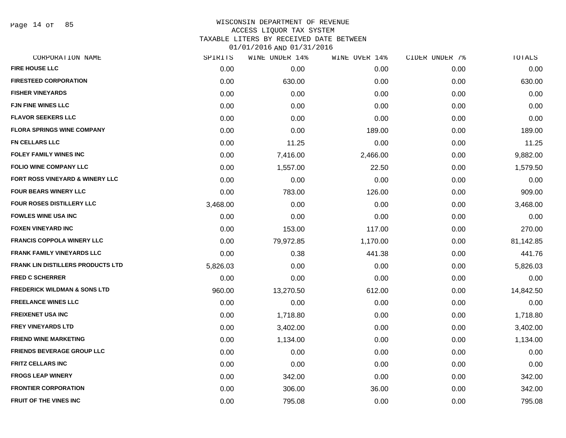Page 14 of 85

### WISCONSIN DEPARTMENT OF REVENUE ACCESS LIQUOR TAX SYSTEM TAXABLE LITERS BY RECEIVED DATE BETWEEN

| CORPORATION NAME                         | SPIRITS  | WINE UNDER 14% | WINE OVER 14% | CIDER UNDER 7% | TOTALS    |
|------------------------------------------|----------|----------------|---------------|----------------|-----------|
| <b>FIRE HOUSE LLC</b>                    | 0.00     | 0.00           | 0.00          | 0.00           | 0.00      |
| <b>FIRESTEED CORPORATION</b>             | 0.00     | 630.00         | 0.00          | 0.00           | 630.00    |
| <b>FISHER VINEYARDS</b>                  | 0.00     | 0.00           | 0.00          | 0.00           | 0.00      |
| <b>FJN FINE WINES LLC</b>                | 0.00     | 0.00           | 0.00          | 0.00           | 0.00      |
| <b>FLAVOR SEEKERS LLC</b>                | 0.00     | 0.00           | 0.00          | 0.00           | 0.00      |
| <b>FLORA SPRINGS WINE COMPANY</b>        | 0.00     | 0.00           | 189.00        | 0.00           | 189.00    |
| <b>FN CELLARS LLC</b>                    | 0.00     | 11.25          | 0.00          | 0.00           | 11.25     |
| FOLEY FAMILY WINES INC                   | 0.00     | 7,416.00       | 2,466.00      | 0.00           | 9,882.00  |
| <b>FOLIO WINE COMPANY LLC</b>            | 0.00     | 1,557.00       | 22.50         | 0.00           | 1,579.50  |
| FORT ROSS VINEYARD & WINERY LLC          | 0.00     | 0.00           | 0.00          | 0.00           | 0.00      |
| <b>FOUR BEARS WINERY LLC</b>             | 0.00     | 783.00         | 126.00        | 0.00           | 909.00    |
| FOUR ROSES DISTILLERY LLC                | 3,468.00 | 0.00           | 0.00          | 0.00           | 3,468.00  |
| <b>FOWLES WINE USA INC</b>               | 0.00     | 0.00           | 0.00          | 0.00           | 0.00      |
| <b>FOXEN VINEYARD INC</b>                | 0.00     | 153.00         | 117.00        | 0.00           | 270.00    |
| <b>FRANCIS COPPOLA WINERY LLC</b>        | 0.00     | 79,972.85      | 1,170.00      | 0.00           | 81,142.85 |
| <b>FRANK FAMILY VINEYARDS LLC</b>        | 0.00     | 0.38           | 441.38        | 0.00           | 441.76    |
| <b>FRANK LIN DISTILLERS PRODUCTS LTD</b> | 5,826.03 | 0.00           | 0.00          | 0.00           | 5,826.03  |
| <b>FRED C SCHERRER</b>                   | 0.00     | 0.00           | 0.00          | 0.00           | 0.00      |
| <b>FREDERICK WILDMAN &amp; SONS LTD</b>  | 960.00   | 13,270.50      | 612.00        | 0.00           | 14,842.50 |
| <b>FREELANCE WINES LLC</b>               | 0.00     | 0.00           | 0.00          | 0.00           | 0.00      |
| <b>FREIXENET USA INC</b>                 | 0.00     | 1,718.80       | 0.00          | 0.00           | 1,718.80  |
| <b>FREY VINEYARDS LTD</b>                | 0.00     | 3,402.00       | 0.00          | 0.00           | 3,402.00  |
| <b>FRIEND WINE MARKETING</b>             | 0.00     | 1,134.00       | 0.00          | 0.00           | 1,134.00  |
| <b>FRIENDS BEVERAGE GROUP LLC</b>        | 0.00     | 0.00           | 0.00          | 0.00           | 0.00      |
| <b>FRITZ CELLARS INC</b>                 | 0.00     | 0.00           | 0.00          | 0.00           | 0.00      |
| <b>FROGS LEAP WINERY</b>                 | 0.00     | 342.00         | 0.00          | 0.00           | 342.00    |
| <b>FRONTIER CORPORATION</b>              | 0.00     | 306.00         | 36.00         | 0.00           | 342.00    |
| <b>FRUIT OF THE VINES INC</b>            | 0.00     | 795.08         | 0.00          | 0.00           | 795.08    |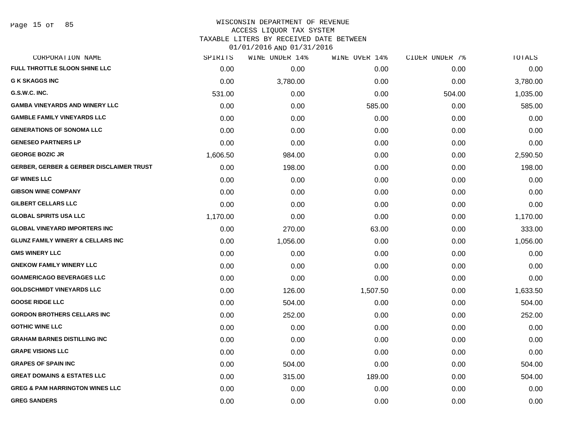### WISCONSIN DEPARTMENT OF REVENUE ACCESS LIQUOR TAX SYSTEM TAXABLE LITERS BY RECEIVED DATE BETWEEN

| CORPORATION NAME                                    | SPIRITS  | WINE UNDER 14% | WINE OVER 14% | CIDER UNDER 7% | TOTALS   |
|-----------------------------------------------------|----------|----------------|---------------|----------------|----------|
| FULL THROTTLE SLOON SHINE LLC                       | 0.00     | 0.00           | 0.00          | 0.00           | 0.00     |
| <b>G K SKAGGS INC</b>                               | 0.00     | 3,780.00       | 0.00          | 0.00           | 3,780.00 |
| G.S.W.C. INC.                                       | 531.00   | 0.00           | 0.00          | 504.00         | 1,035.00 |
| <b>GAMBA VINEYARDS AND WINERY LLC</b>               | 0.00     | 0.00           | 585.00        | 0.00           | 585.00   |
| <b>GAMBLE FAMILY VINEYARDS LLC</b>                  | 0.00     | 0.00           | 0.00          | 0.00           | 0.00     |
| <b>GENERATIONS OF SONOMA LLC</b>                    | 0.00     | 0.00           | 0.00          | 0.00           | 0.00     |
| <b>GENESEO PARTNERS LP</b>                          | 0.00     | 0.00           | 0.00          | 0.00           | 0.00     |
| <b>GEORGE BOZIC JR</b>                              | 1,606.50 | 984.00         | 0.00          | 0.00           | 2,590.50 |
| <b>GERBER, GERBER &amp; GERBER DISCLAIMER TRUST</b> | 0.00     | 198.00         | 0.00          | 0.00           | 198.00   |
| <b>GF WINES LLC</b>                                 | 0.00     | 0.00           | 0.00          | 0.00           | 0.00     |
| <b>GIBSON WINE COMPANY</b>                          | 0.00     | 0.00           | 0.00          | 0.00           | 0.00     |
| <b>GILBERT CELLARS LLC</b>                          | 0.00     | 0.00           | 0.00          | 0.00           | 0.00     |
| <b>GLOBAL SPIRITS USA LLC</b>                       | 1,170.00 | 0.00           | 0.00          | 0.00           | 1,170.00 |
| <b>GLOBAL VINEYARD IMPORTERS INC.</b>               | 0.00     | 270.00         | 63.00         | 0.00           | 333.00   |
| <b>GLUNZ FAMILY WINERY &amp; CELLARS INC</b>        | 0.00     | 1,056.00       | 0.00          | 0.00           | 1,056.00 |
| <b>GMS WINERY LLC</b>                               | 0.00     | 0.00           | 0.00          | 0.00           | 0.00     |
| <b>GNEKOW FAMILY WINERY LLC</b>                     | 0.00     | 0.00           | 0.00          | 0.00           | 0.00     |
| <b>GOAMERICAGO BEVERAGES LLC</b>                    | 0.00     | 0.00           | 0.00          | 0.00           | 0.00     |
| <b>GOLDSCHMIDT VINEYARDS LLC</b>                    | 0.00     | 126.00         | 1,507.50      | 0.00           | 1,633.50 |
| <b>GOOSE RIDGE LLC</b>                              | 0.00     | 504.00         | 0.00          | 0.00           | 504.00   |
| <b>GORDON BROTHERS CELLARS INC</b>                  | 0.00     | 252.00         | 0.00          | 0.00           | 252.00   |
| <b>GOTHIC WINE LLC</b>                              | 0.00     | 0.00           | 0.00          | 0.00           | 0.00     |
| <b>GRAHAM BARNES DISTILLING INC</b>                 | 0.00     | 0.00           | 0.00          | 0.00           | 0.00     |
| <b>GRAPE VISIONS LLC</b>                            | 0.00     | 0.00           | 0.00          | 0.00           | 0.00     |
| <b>GRAPES OF SPAIN INC</b>                          | 0.00     | 504.00         | 0.00          | 0.00           | 504.00   |
| <b>GREAT DOMAINS &amp; ESTATES LLC</b>              | 0.00     | 315.00         | 189.00        | 0.00           | 504.00   |
| <b>GREG &amp; PAM HARRINGTON WINES LLC</b>          | 0.00     | 0.00           | 0.00          | 0.00           | 0.00     |
| <b>GREG SANDERS</b>                                 | 0.00     | 0.00           | 0.00          | 0.00           | 0.00     |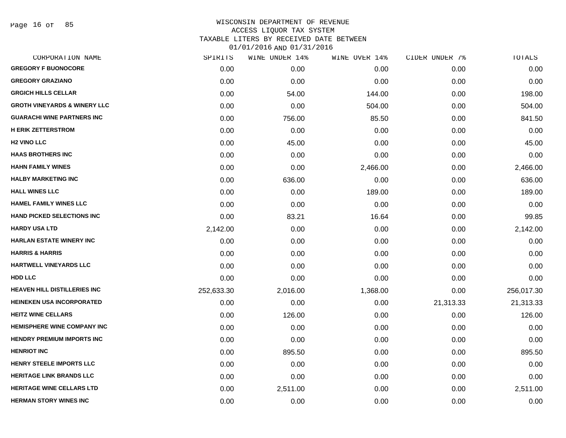Page 16 of 85

|            | WINE UNDER 14% |          |               | TOTALS         |
|------------|----------------|----------|---------------|----------------|
| 0.00       | 0.00           | 0.00     | 0.00          | 0.00           |
| 0.00       | 0.00           | 0.00     | 0.00          | 0.00           |
| 0.00       | 54.00          | 144.00   | 0.00          | 198.00         |
| 0.00       | 0.00           | 504.00   | 0.00          | 504.00         |
| 0.00       | 756.00         | 85.50    | 0.00          | 841.50         |
| 0.00       | 0.00           | 0.00     | 0.00          | 0.00           |
| 0.00       | 45.00          | 0.00     | 0.00          | 45.00          |
| 0.00       | 0.00           | 0.00     | 0.00          | 0.00           |
| 0.00       | 0.00           | 2,466.00 | 0.00          | 2,466.00       |
| 0.00       | 636.00         | 0.00     | 0.00          | 636.00         |
| 0.00       | 0.00           | 189.00   | 0.00          | 189.00         |
| 0.00       | 0.00           | 0.00     | 0.00          | 0.00           |
| 0.00       | 83.21          | 16.64    | 0.00          | 99.85          |
| 2,142.00   | 0.00           | 0.00     | 0.00          | 2,142.00       |
| 0.00       | 0.00           | 0.00     | 0.00          | 0.00           |
| 0.00       | 0.00           | 0.00     | 0.00          | 0.00           |
| 0.00       | 0.00           | 0.00     | 0.00          | 0.00           |
| 0.00       | 0.00           | 0.00     | 0.00          | 0.00           |
| 252,633.30 | 2,016.00       | 1,368.00 | 0.00          | 256,017.30     |
| 0.00       | 0.00           | 0.00     | 21,313.33     | 21,313.33      |
| 0.00       | 126.00         | 0.00     | 0.00          | 126.00         |
| 0.00       | 0.00           | 0.00     | 0.00          | 0.00           |
| 0.00       | 0.00           | 0.00     | 0.00          | 0.00           |
| 0.00       | 895.50         | 0.00     | 0.00          | 895.50         |
| 0.00       | 0.00           | 0.00     | 0.00          | 0.00           |
| 0.00       | 0.00           | 0.00     | 0.00          | 0.00           |
| 0.00       | 2,511.00       | 0.00     | 0.00          | 2,511.00       |
| 0.00       | 0.00           | 0.00     | 0.00          | 0.00           |
|            | SPIRITS        |          | WINE OVER 14% | CIDER UNDER 7% |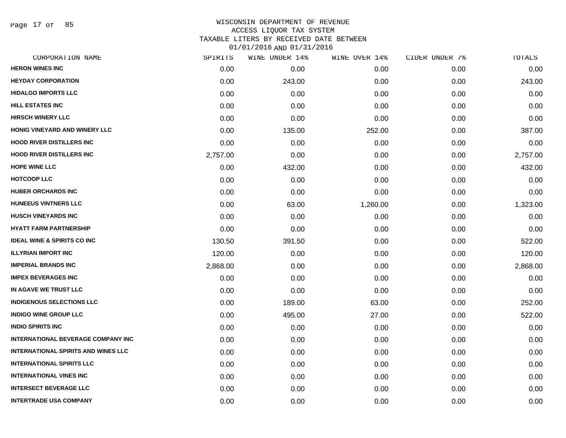Page 17 of 85

### WISCONSIN DEPARTMENT OF REVENUE ACCESS LIQUOR TAX SYSTEM TAXABLE LITERS BY RECEIVED DATE BETWEEN

| CORPORATION NAME                           | SPIRITS  | WINE UNDER 14% | WINE OVER 14% | CIDER UNDER 7% | TOTALS   |
|--------------------------------------------|----------|----------------|---------------|----------------|----------|
| <b>HERON WINES INC</b>                     | 0.00     | 0.00           | 0.00          | 0.00           | 0.00     |
| <b>HEYDAY CORPORATION</b>                  | 0.00     | 243.00         | 0.00          | 0.00           | 243.00   |
| <b>HIDALGO IMPORTS LLC</b>                 | 0.00     | 0.00           | 0.00          | 0.00           | 0.00     |
| <b>HILL ESTATES INC</b>                    | 0.00     | 0.00           | 0.00          | 0.00           | 0.00     |
| <b>HIRSCH WINERY LLC</b>                   | 0.00     | 0.00           | 0.00          | 0.00           | 0.00     |
| HONIG VINEYARD AND WINERY LLC              | 0.00     | 135.00         | 252.00        | 0.00           | 387.00   |
| <b>HOOD RIVER DISTILLERS INC</b>           | 0.00     | 0.00           | 0.00          | 0.00           | 0.00     |
| <b>HOOD RIVER DISTILLERS INC</b>           | 2,757.00 | 0.00           | 0.00          | 0.00           | 2,757.00 |
| <b>HOPE WINE LLC</b>                       | 0.00     | 432.00         | 0.00          | 0.00           | 432.00   |
| <b>HOTCOOP LLC</b>                         | 0.00     | 0.00           | 0.00          | 0.00           | 0.00     |
| <b>HUBER ORCHARDS INC</b>                  | 0.00     | 0.00           | 0.00          | 0.00           | 0.00     |
| <b>HUNEEUS VINTNERS LLC</b>                | 0.00     | 63.00          | 1,260.00      | 0.00           | 1,323.00 |
| <b>HUSCH VINEYARDS INC</b>                 | 0.00     | 0.00           | 0.00          | 0.00           | 0.00     |
| <b>HYATT FARM PARTNERSHIP</b>              | 0.00     | 0.00           | 0.00          | 0.00           | 0.00     |
| <b>IDEAL WINE &amp; SPIRITS CO INC</b>     | 130.50   | 391.50         | 0.00          | 0.00           | 522.00   |
| <b>ILLYRIAN IMPORT INC</b>                 | 120.00   | 0.00           | 0.00          | 0.00           | 120.00   |
| <b>IMPERIAL BRANDS INC</b>                 | 2,868.00 | 0.00           | 0.00          | 0.00           | 2,868.00 |
| <b>IMPEX BEVERAGES INC</b>                 | 0.00     | 0.00           | 0.00          | 0.00           | 0.00     |
| IN AGAVE WE TRUST LLC                      | 0.00     | 0.00           | 0.00          | 0.00           | 0.00     |
| <b>INDIGENOUS SELECTIONS LLC</b>           | 0.00     | 189.00         | 63.00         | 0.00           | 252.00   |
| <b>INDIGO WINE GROUP LLC</b>               | 0.00     | 495.00         | 27.00         | 0.00           | 522.00   |
| <b>INDIO SPIRITS INC</b>                   | 0.00     | 0.00           | 0.00          | 0.00           | 0.00     |
| <b>INTERNATIONAL BEVERAGE COMPANY INC</b>  | 0.00     | 0.00           | 0.00          | 0.00           | 0.00     |
| <b>INTERNATIONAL SPIRITS AND WINES LLC</b> | 0.00     | 0.00           | 0.00          | 0.00           | 0.00     |
| <b>INTERNATIONAL SPIRITS LLC</b>           | 0.00     | 0.00           | 0.00          | 0.00           | 0.00     |
| <b>INTERNATIONAL VINES INC</b>             | 0.00     | 0.00           | 0.00          | 0.00           | 0.00     |
| <b>INTERSECT BEVERAGE LLC</b>              | 0.00     | 0.00           | 0.00          | 0.00           | 0.00     |
| <b>INTERTRADE USA COMPANY</b>              | 0.00     | 0.00           | 0.00          | 0.00           | 0.00     |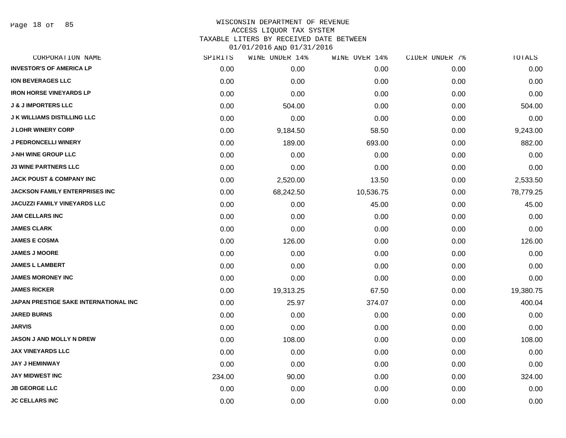Page 18 of 85

## WISCONSIN DEPARTMENT OF REVENUE ACCESS LIQUOR TAX SYSTEM TAXABLE LITERS BY RECEIVED DATE BETWEEN

| CORPORATION NAME                      | SPIRITS | WINE UNDER 14% | WINE OVER 14% | CIDER UNDER 7% | TOTALS    |
|---------------------------------------|---------|----------------|---------------|----------------|-----------|
| <b>INVESTOR'S OF AMERICA LP</b>       | 0.00    | 0.00           | 0.00          | 0.00           | 0.00      |
| <b>ION BEVERAGES LLC</b>              | 0.00    | 0.00           | 0.00          | 0.00           | 0.00      |
| <b>IRON HORSE VINEYARDS LP</b>        | 0.00    | 0.00           | 0.00          | 0.00           | 0.00      |
| <b>J &amp; J IMPORTERS LLC</b>        | 0.00    | 504.00         | 0.00          | 0.00           | 504.00    |
| <b>J K WILLIAMS DISTILLING LLC</b>    | 0.00    | 0.00           | 0.00          | 0.00           | 0.00      |
| <b>J LOHR WINERY CORP</b>             | 0.00    | 9,184.50       | 58.50         | 0.00           | 9,243.00  |
| <b>J PEDRONCELLI WINERY</b>           | 0.00    | 189.00         | 693.00        | 0.00           | 882.00    |
| <b>J-NH WINE GROUP LLC</b>            | 0.00    | 0.00           | 0.00          | 0.00           | 0.00      |
| <b>J3 WINE PARTNERS LLC</b>           | 0.00    | 0.00           | 0.00          | 0.00           | 0.00      |
| <b>JACK POUST &amp; COMPANY INC</b>   | 0.00    | 2,520.00       | 13.50         | 0.00           | 2,533.50  |
| <b>JACKSON FAMILY ENTERPRISES INC</b> | 0.00    | 68,242.50      | 10,536.75     | 0.00           | 78,779.25 |
| JACUZZI FAMILY VINEYARDS LLC          | 0.00    | 0.00           | 45.00         | 0.00           | 45.00     |
| <b>JAM CELLARS INC</b>                | 0.00    | 0.00           | 0.00          | 0.00           | 0.00      |
| <b>JAMES CLARK</b>                    | 0.00    | 0.00           | 0.00          | 0.00           | 0.00      |
| <b>JAMES E COSMA</b>                  | 0.00    | 126.00         | 0.00          | 0.00           | 126.00    |
| <b>JAMES J MOORE</b>                  | 0.00    | 0.00           | 0.00          | 0.00           | 0.00      |
| <b>JAMES L LAMBERT</b>                | 0.00    | 0.00           | 0.00          | 0.00           | 0.00      |
| <b>JAMES MORONEY INC</b>              | 0.00    | 0.00           | 0.00          | 0.00           | 0.00      |
| <b>JAMES RICKER</b>                   | 0.00    | 19,313.25      | 67.50         | 0.00           | 19,380.75 |
| JAPAN PRESTIGE SAKE INTERNATIONAL INC | 0.00    | 25.97          | 374.07        | 0.00           | 400.04    |
| <b>JARED BURNS</b>                    | 0.00    | 0.00           | 0.00          | 0.00           | 0.00      |
| <b>JARVIS</b>                         | 0.00    | 0.00           | 0.00          | 0.00           | 0.00      |
| JASON J AND MOLLY N DREW              | 0.00    | 108.00         | 0.00          | 0.00           | 108.00    |
| <b>JAX VINEYARDS LLC</b>              | 0.00    | 0.00           | 0.00          | 0.00           | 0.00      |
| <b>JAY J HEMINWAY</b>                 | 0.00    | 0.00           | 0.00          | 0.00           | 0.00      |
| <b>JAY MIDWEST INC</b>                | 234.00  | 90.00          | 0.00          | 0.00           | 324.00    |
| <b>JB GEORGE LLC</b>                  | 0.00    | 0.00           | 0.00          | 0.00           | 0.00      |
| <b>JC CELLARS INC</b>                 | 0.00    | 0.00           | 0.00          | 0.00           | 0.00      |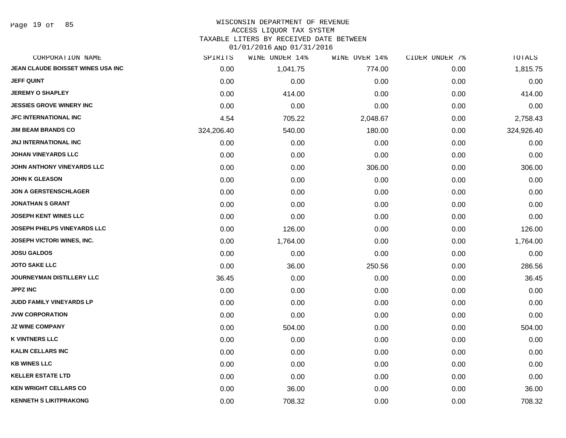Page 19 of 85

### WISCONSIN DEPARTMENT OF REVENUE ACCESS LIQUOR TAX SYSTEM TAXABLE LITERS BY RECEIVED DATE BETWEEN

| CORPORATION NAME                   | SPIRITS    | WINE UNDER 14% | WINE OVER 14% | CIDER UNDER 7% | <b>TOTALS</b> |
|------------------------------------|------------|----------------|---------------|----------------|---------------|
| JEAN CLAUDE BOISSET WINES USA INC  | 0.00       | 1,041.75       | 774.00        | 0.00           | 1,815.75      |
| <b>JEFF QUINT</b>                  | 0.00       | 0.00           | 0.00          | 0.00           | 0.00          |
| <b>JEREMY O SHAPLEY</b>            | 0.00       | 414.00         | 0.00          | 0.00           | 414.00        |
| <b>JESSIES GROVE WINERY INC</b>    | 0.00       | 0.00           | 0.00          | 0.00           | 0.00          |
| <b>JFC INTERNATIONAL INC</b>       | 4.54       | 705.22         | 2,048.67      | 0.00           | 2,758.43      |
| <b>JIM BEAM BRANDS CO</b>          | 324,206.40 | 540.00         | 180.00        | 0.00           | 324,926.40    |
| JNJ INTERNATIONAL INC              | 0.00       | 0.00           | 0.00          | 0.00           | 0.00          |
| <b>JOHAN VINEYARDS LLC</b>         | 0.00       | 0.00           | 0.00          | 0.00           | 0.00          |
| JOHN ANTHONY VINEYARDS LLC         | 0.00       | 0.00           | 306.00        | 0.00           | 306.00        |
| <b>JOHN K GLEASON</b>              | 0.00       | 0.00           | 0.00          | 0.00           | 0.00          |
| <b>JON A GERSTENSCHLAGER</b>       | 0.00       | 0.00           | 0.00          | 0.00           | 0.00          |
| <b>JONATHAN S GRANT</b>            | 0.00       | 0.00           | 0.00          | 0.00           | 0.00          |
| <b>JOSEPH KENT WINES LLC</b>       | 0.00       | 0.00           | 0.00          | 0.00           | 0.00          |
| <b>JOSEPH PHELPS VINEYARDS LLC</b> | 0.00       | 126.00         | 0.00          | 0.00           | 126.00        |
| JOSEPH VICTORI WINES, INC.         | 0.00       | 1,764.00       | 0.00          | 0.00           | 1,764.00      |
| <b>JOSU GALDOS</b>                 | 0.00       | 0.00           | 0.00          | 0.00           | 0.00          |
| <b>JOTO SAKE LLC</b>               | 0.00       | 36.00          | 250.56        | 0.00           | 286.56        |
| <b>JOURNEYMAN DISTILLERY LLC</b>   | 36.45      | 0.00           | 0.00          | 0.00           | 36.45         |
| <b>JPPZ INC</b>                    | 0.00       | 0.00           | 0.00          | 0.00           | 0.00          |
| <b>JUDD FAMILY VINEYARDS LP</b>    | 0.00       | 0.00           | 0.00          | 0.00           | 0.00          |
| <b>JVW CORPORATION</b>             | 0.00       | 0.00           | 0.00          | 0.00           | 0.00          |
| <b>JZ WINE COMPANY</b>             | 0.00       | 504.00         | 0.00          | 0.00           | 504.00        |
| <b>K VINTNERS LLC</b>              | 0.00       | 0.00           | 0.00          | 0.00           | 0.00          |
| <b>KALIN CELLARS INC</b>           | 0.00       | 0.00           | 0.00          | 0.00           | 0.00          |
| <b>KB WINES LLC</b>                | 0.00       | 0.00           | 0.00          | 0.00           | 0.00          |
| <b>KELLER ESTATE LTD</b>           | 0.00       | 0.00           | 0.00          | 0.00           | 0.00          |
| <b>KEN WRIGHT CELLARS CO</b>       | 0.00       | 36.00          | 0.00          | 0.00           | 36.00         |
| <b>KENNETH S LIKITPRAKONG</b>      | 0.00       | 708.32         | 0.00          | 0.00           | 708.32        |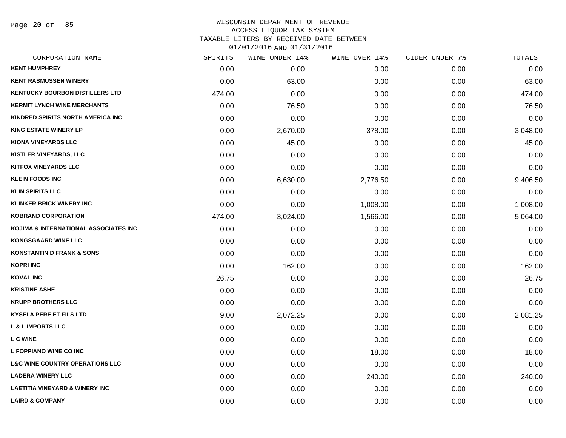Page 20 of 85

# WISCONSIN DEPARTMENT OF REVENUE ACCESS LIQUOR TAX SYSTEM TAXABLE LITERS BY RECEIVED DATE BETWEEN

| CORPORATION NAME                           | SPIRITS | WINE UNDER 14% | WINE OVER 14% | CIDER UNDER 7% | TOTALS   |
|--------------------------------------------|---------|----------------|---------------|----------------|----------|
| <b>KENT HUMPHREY</b>                       | 0.00    | 0.00           | 0.00          | 0.00           | 0.00     |
| <b>KENT RASMUSSEN WINERY</b>               | 0.00    | 63.00          | 0.00          | 0.00           | 63.00    |
| <b>KENTUCKY BOURBON DISTILLERS LTD</b>     | 474.00  | 0.00           | 0.00          | 0.00           | 474.00   |
| <b>KERMIT LYNCH WINE MERCHANTS</b>         | 0.00    | 76.50          | 0.00          | 0.00           | 76.50    |
| KINDRED SPIRITS NORTH AMERICA INC          | 0.00    | 0.00           | 0.00          | 0.00           | 0.00     |
| <b>KING ESTATE WINERY LP</b>               | 0.00    | 2,670.00       | 378.00        | 0.00           | 3,048.00 |
| <b>KIONA VINEYARDS LLC</b>                 | 0.00    | 45.00          | 0.00          | 0.00           | 45.00    |
| <b>KISTLER VINEYARDS, LLC</b>              | 0.00    | 0.00           | 0.00          | 0.00           | 0.00     |
| <b>KITFOX VINEYARDS LLC</b>                | 0.00    | 0.00           | 0.00          | 0.00           | 0.00     |
| <b>KLEIN FOODS INC</b>                     | 0.00    | 6,630.00       | 2,776.50      | 0.00           | 9,406.50 |
| <b>KLIN SPIRITS LLC</b>                    | 0.00    | 0.00           | 0.00          | 0.00           | 0.00     |
| <b>KLINKER BRICK WINERY INC</b>            | 0.00    | 0.00           | 1,008.00      | 0.00           | 1,008.00 |
| <b>KOBRAND CORPORATION</b>                 | 474.00  | 3,024.00       | 1,566.00      | 0.00           | 5,064.00 |
| KOJIMA & INTERNATIONAL ASSOCIATES INC      | 0.00    | 0.00           | 0.00          | 0.00           | 0.00     |
| <b>KONGSGAARD WINE LLC</b>                 | 0.00    | 0.00           | 0.00          | 0.00           | 0.00     |
| <b>KONSTANTIN D FRANK &amp; SONS</b>       | 0.00    | 0.00           | 0.00          | 0.00           | 0.00     |
| <b>KOPRI INC</b>                           | 0.00    | 162.00         | 0.00          | 0.00           | 162.00   |
| <b>KOVAL INC</b>                           | 26.75   | 0.00           | 0.00          | 0.00           | 26.75    |
| <b>KRISTINE ASHE</b>                       | 0.00    | 0.00           | 0.00          | 0.00           | 0.00     |
| <b>KRUPP BROTHERS LLC</b>                  | 0.00    | 0.00           | 0.00          | 0.00           | 0.00     |
| <b>KYSELA PERE ET FILS LTD</b>             | 9.00    | 2,072.25       | 0.00          | 0.00           | 2,081.25 |
| <b>L &amp; L IMPORTS LLC</b>               | 0.00    | 0.00           | 0.00          | 0.00           | 0.00     |
| <b>LCWINE</b>                              | 0.00    | 0.00           | 0.00          | 0.00           | 0.00     |
| L FOPPIANO WINE CO INC                     | 0.00    | 0.00           | 18.00         | 0.00           | 18.00    |
| <b>L&amp;C WINE COUNTRY OPERATIONS LLC</b> | 0.00    | 0.00           | 0.00          | 0.00           | 0.00     |
| <b>LADERA WINERY LLC</b>                   | 0.00    | 0.00           | 240.00        | 0.00           | 240.00   |
| <b>LAETITIA VINEYARD &amp; WINERY INC</b>  | 0.00    | 0.00           | 0.00          | 0.00           | 0.00     |
| <b>LAIRD &amp; COMPANY</b>                 | 0.00    | 0.00           | 0.00          | 0.00           | 0.00     |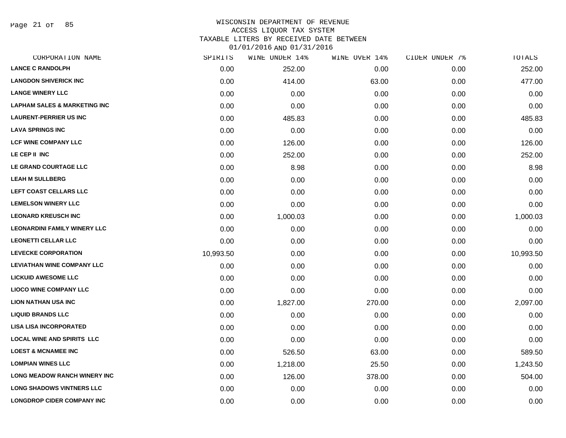Page 21 of 85

### WISCONSIN DEPARTMENT OF REVENUE ACCESS LIQUOR TAX SYSTEM TAXABLE LITERS BY RECEIVED DATE BETWEEN

| CORPORATION NAME                        | SPIRITS   | WINE UNDER 14% | WINE OVER 14% | CIDER UNDER 7% | TOTALS    |
|-----------------------------------------|-----------|----------------|---------------|----------------|-----------|
| <b>LANCE C RANDOLPH</b>                 | 0.00      | 252.00         | 0.00          | 0.00           | 252.00    |
| <b>LANGDON SHIVERICK INC</b>            | 0.00      | 414.00         | 63.00         | 0.00           | 477.00    |
| <b>LANGE WINERY LLC</b>                 | 0.00      | 0.00           | 0.00          | 0.00           | 0.00      |
| <b>LAPHAM SALES &amp; MARKETING INC</b> | 0.00      | 0.00           | 0.00          | 0.00           | 0.00      |
| <b>LAURENT-PERRIER US INC</b>           | 0.00      | 485.83         | 0.00          | 0.00           | 485.83    |
| <b>LAVA SPRINGS INC</b>                 | 0.00      | 0.00           | 0.00          | 0.00           | 0.00      |
| <b>LCF WINE COMPANY LLC</b>             | 0.00      | 126.00         | 0.00          | 0.00           | 126.00    |
| LE CEP II INC                           | 0.00      | 252.00         | 0.00          | 0.00           | 252.00    |
| LE GRAND COURTAGE LLC                   | 0.00      | 8.98           | 0.00          | 0.00           | 8.98      |
| <b>LEAH M SULLBERG</b>                  | 0.00      | 0.00           | 0.00          | 0.00           | 0.00      |
| LEFT COAST CELLARS LLC                  | 0.00      | 0.00           | 0.00          | 0.00           | 0.00      |
| <b>LEMELSON WINERY LLC</b>              | 0.00      | 0.00           | 0.00          | 0.00           | 0.00      |
| <b>LEONARD KREUSCH INC</b>              | 0.00      | 1,000.03       | 0.00          | 0.00           | 1,000.03  |
| <b>LEONARDINI FAMILY WINERY LLC</b>     | 0.00      | 0.00           | 0.00          | 0.00           | 0.00      |
| <b>LEONETTI CELLAR LLC</b>              | 0.00      | 0.00           | 0.00          | 0.00           | 0.00      |
| <b>LEVECKE CORPORATION</b>              | 10,993.50 | 0.00           | 0.00          | 0.00           | 10,993.50 |
| <b>LEVIATHAN WINE COMPANY LLC</b>       | 0.00      | 0.00           | 0.00          | 0.00           | 0.00      |
| <b>LICKUID AWESOME LLC</b>              | 0.00      | 0.00           | 0.00          | 0.00           | 0.00      |
| <b>LIOCO WINE COMPANY LLC</b>           | 0.00      | 0.00           | 0.00          | 0.00           | 0.00      |
| <b>LION NATHAN USA INC</b>              | 0.00      | 1,827.00       | 270.00        | 0.00           | 2,097.00  |
| <b>LIQUID BRANDS LLC</b>                | 0.00      | 0.00           | 0.00          | 0.00           | 0.00      |
| <b>LISA LISA INCORPORATED</b>           | 0.00      | 0.00           | 0.00          | 0.00           | 0.00      |
| <b>LOCAL WINE AND SPIRITS LLC</b>       | 0.00      | 0.00           | 0.00          | 0.00           | 0.00      |
| <b>LOEST &amp; MCNAMEE INC</b>          | 0.00      | 526.50         | 63.00         | 0.00           | 589.50    |
| <b>LOMPIAN WINES LLC</b>                | 0.00      | 1,218.00       | 25.50         | 0.00           | 1,243.50  |
| <b>LONG MEADOW RANCH WINERY INC</b>     | 0.00      | 126.00         | 378.00        | 0.00           | 504.00    |
| <b>LONG SHADOWS VINTNERS LLC</b>        | 0.00      | 0.00           | 0.00          | 0.00           | 0.00      |
| <b>LONGDROP CIDER COMPANY INC</b>       | 0.00      | 0.00           | 0.00          | 0.00           | 0.00      |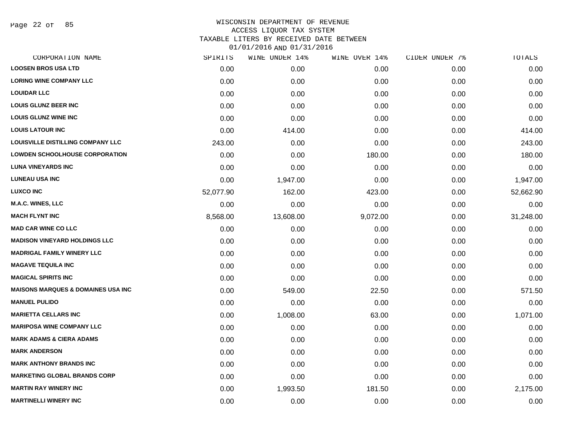Page 22 of 85

# WISCONSIN DEPARTMENT OF REVENUE ACCESS LIQUOR TAX SYSTEM TAXABLE LITERS BY RECEIVED DATE BETWEEN

| CORPORATION NAME                              | SPIRITS   | WINE UNDER 14% | WINE OVER 14% | CIDER UNDER 7% | TOTALS    |
|-----------------------------------------------|-----------|----------------|---------------|----------------|-----------|
| <b>LOOSEN BROS USA LTD</b>                    | 0.00      | 0.00           | 0.00          | 0.00           | 0.00      |
| <b>LORING WINE COMPANY LLC</b>                | 0.00      | 0.00           | 0.00          | 0.00           | 0.00      |
| <b>LOUIDAR LLC</b>                            | 0.00      | 0.00           | 0.00          | 0.00           | 0.00      |
| <b>LOUIS GLUNZ BEER INC</b>                   | 0.00      | 0.00           | 0.00          | 0.00           | 0.00      |
| <b>LOUIS GLUNZ WINE INC</b>                   | 0.00      | 0.00           | 0.00          | 0.00           | 0.00      |
| <b>LOUIS LATOUR INC</b>                       | 0.00      | 414.00         | 0.00          | 0.00           | 414.00    |
| LOUISVILLE DISTILLING COMPANY LLC             | 243.00    | 0.00           | 0.00          | 0.00           | 243.00    |
| LOWDEN SCHOOLHOUSE CORPORATION                | 0.00      | 0.00           | 180.00        | 0.00           | 180.00    |
| <b>LUNA VINEYARDS INC</b>                     | 0.00      | 0.00           | 0.00          | 0.00           | 0.00      |
| <b>LUNEAU USA INC</b>                         | 0.00      | 1,947.00       | 0.00          | 0.00           | 1,947.00  |
| <b>LUXCO INC</b>                              | 52,077.90 | 162.00         | 423.00        | 0.00           | 52,662.90 |
| <b>M.A.C. WINES, LLC</b>                      | 0.00      | 0.00           | 0.00          | 0.00           | 0.00      |
| <b>MACH FLYNT INC</b>                         | 8,568.00  | 13,608.00      | 9,072.00      | 0.00           | 31,248.00 |
| <b>MAD CAR WINE CO LLC</b>                    | 0.00      | 0.00           | 0.00          | 0.00           | 0.00      |
| <b>MADISON VINEYARD HOLDINGS LLC</b>          | 0.00      | 0.00           | 0.00          | 0.00           | 0.00      |
| <b>MADRIGAL FAMILY WINERY LLC</b>             | 0.00      | 0.00           | 0.00          | 0.00           | 0.00      |
| <b>MAGAVE TEQUILA INC</b>                     | 0.00      | 0.00           | 0.00          | 0.00           | 0.00      |
| <b>MAGICAL SPIRITS INC</b>                    | 0.00      | 0.00           | 0.00          | 0.00           | 0.00      |
| <b>MAISONS MARQUES &amp; DOMAINES USA INC</b> | 0.00      | 549.00         | 22.50         | 0.00           | 571.50    |
| <b>MANUEL PULIDO</b>                          | 0.00      | 0.00           | 0.00          | 0.00           | 0.00      |
| <b>MARIETTA CELLARS INC</b>                   | 0.00      | 1,008.00       | 63.00         | 0.00           | 1,071.00  |
| <b>MARIPOSA WINE COMPANY LLC</b>              | 0.00      | 0.00           | 0.00          | 0.00           | 0.00      |
| <b>MARK ADAMS &amp; CIERA ADAMS</b>           | 0.00      | 0.00           | 0.00          | 0.00           | 0.00      |
| <b>MARK ANDERSON</b>                          | 0.00      | 0.00           | 0.00          | 0.00           | 0.00      |
| <b>MARK ANTHONY BRANDS INC</b>                | 0.00      | 0.00           | 0.00          | 0.00           | 0.00      |
| <b>MARKETING GLOBAL BRANDS CORP</b>           | 0.00      | 0.00           | 0.00          | 0.00           | 0.00      |
| <b>MARTIN RAY WINERY INC</b>                  | 0.00      | 1,993.50       | 181.50        | 0.00           | 2,175.00  |
| <b>MARTINELLI WINERY INC</b>                  | 0.00      | 0.00           | 0.00          | 0.00           | 0.00      |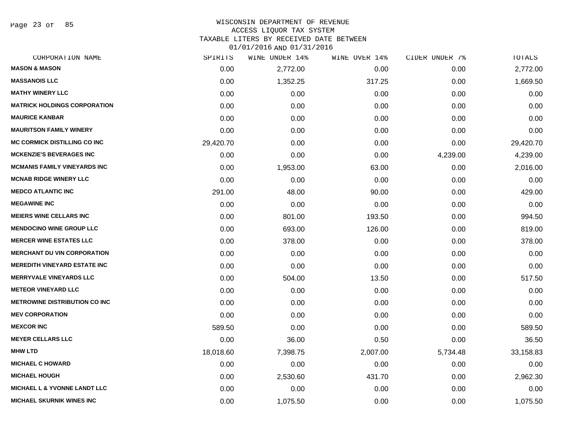Page 23 of 85

# WISCONSIN DEPARTMENT OF REVENUE ACCESS LIQUOR TAX SYSTEM TAXABLE LITERS BY RECEIVED DATE BETWEEN

| CORPORATION NAME                        | SPIRITS   | WINE UNDER 14% | WINE OVER 14% | CIDER UNDER 7% | TOTALS    |
|-----------------------------------------|-----------|----------------|---------------|----------------|-----------|
| <b>MASON &amp; MASON</b>                | 0.00      | 2,772.00       | 0.00          | 0.00           | 2,772.00  |
| <b>MASSANOIS LLC</b>                    | 0.00      | 1,352.25       | 317.25        | 0.00           | 1,669.50  |
| <b>MATHY WINERY LLC</b>                 | 0.00      | 0.00           | 0.00          | 0.00           | 0.00      |
| <b>MATRICK HOLDINGS CORPORATION</b>     | 0.00      | 0.00           | 0.00          | 0.00           | 0.00      |
| <b>MAURICE KANBAR</b>                   | 0.00      | 0.00           | 0.00          | 0.00           | 0.00      |
| <b>MAURITSON FAMILY WINERY</b>          | 0.00      | 0.00           | 0.00          | 0.00           | 0.00      |
| <b>MC CORMICK DISTILLING CO INC</b>     | 29,420.70 | 0.00           | 0.00          | 0.00           | 29,420.70 |
| <b>MCKENZIE'S BEVERAGES INC</b>         | 0.00      | 0.00           | 0.00          | 4,239.00       | 4,239.00  |
| <b>MCMANIS FAMILY VINEYARDS INC</b>     | 0.00      | 1,953.00       | 63.00         | 0.00           | 2,016.00  |
| <b>MCNAB RIDGE WINERY LLC</b>           | 0.00      | 0.00           | 0.00          | 0.00           | 0.00      |
| <b>MEDCO ATLANTIC INC</b>               | 291.00    | 48.00          | 90.00         | 0.00           | 429.00    |
| <b>MEGAWINE INC</b>                     | 0.00      | 0.00           | 0.00          | 0.00           | 0.00      |
| <b>MEIERS WINE CELLARS INC</b>          | 0.00      | 801.00         | 193.50        | 0.00           | 994.50    |
| <b>MENDOCINO WINE GROUP LLC</b>         | 0.00      | 693.00         | 126.00        | 0.00           | 819.00    |
| <b>MERCER WINE ESTATES LLC</b>          | 0.00      | 378.00         | 0.00          | 0.00           | 378.00    |
| <b>MERCHANT DU VIN CORPORATION</b>      | 0.00      | 0.00           | 0.00          | 0.00           | 0.00      |
| <b>MEREDITH VINEYARD ESTATE INC</b>     | 0.00      | 0.00           | 0.00          | 0.00           | 0.00      |
| <b>MERRYVALE VINEYARDS LLC</b>          | 0.00      | 504.00         | 13.50         | 0.00           | 517.50    |
| <b>METEOR VINEYARD LLC</b>              | 0.00      | 0.00           | 0.00          | 0.00           | 0.00      |
| <b>METROWINE DISTRIBUTION CO INC</b>    | 0.00      | 0.00           | 0.00          | 0.00           | 0.00      |
| <b>MEV CORPORATION</b>                  | 0.00      | 0.00           | 0.00          | 0.00           | 0.00      |
| <b>MEXCOR INC</b>                       | 589.50    | 0.00           | 0.00          | 0.00           | 589.50    |
| <b>MEYER CELLARS LLC</b>                | 0.00      | 36.00          | 0.50          | 0.00           | 36.50     |
| <b>MHW LTD</b>                          | 18,018.60 | 7,398.75       | 2,007.00      | 5,734.48       | 33,158.83 |
| <b>MICHAEL C HOWARD</b>                 | 0.00      | 0.00           | 0.00          | 0.00           | 0.00      |
| <b>MICHAEL HOUGH</b>                    | 0.00      | 2,530.60       | 431.70        | 0.00           | 2,962.30  |
| <b>MICHAEL L &amp; YVONNE LANDT LLC</b> | 0.00      | 0.00           | 0.00          | 0.00           | 0.00      |
| <b>MICHAEL SKURNIK WINES INC</b>        | 0.00      | 1,075.50       | 0.00          | 0.00           | 1,075.50  |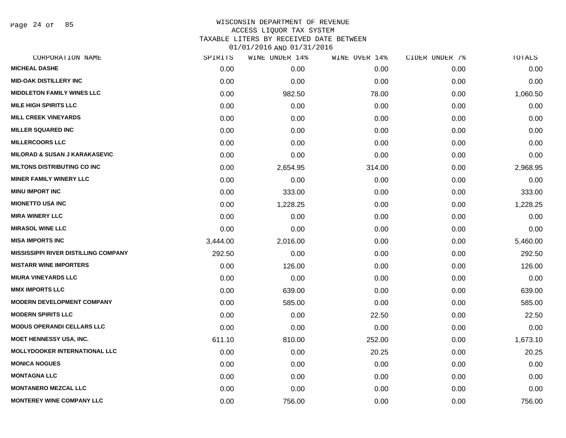Page 24 of 85

# WISCONSIN DEPARTMENT OF REVENUE ACCESS LIQUOR TAX SYSTEM TAXABLE LITERS BY RECEIVED DATE BETWEEN

| CORPORATION NAME                            | SPIRITS  | WINE UNDER 14% | WINE OVER 14% | CIDER UNDER 7% | TOTALS   |
|---------------------------------------------|----------|----------------|---------------|----------------|----------|
| <b>MICHEAL DASHE</b>                        | 0.00     | 0.00           | 0.00          | 0.00           | 0.00     |
| <b>MID-OAK DISTILLERY INC</b>               | 0.00     | 0.00           | 0.00          | 0.00           | 0.00     |
| <b>MIDDLETON FAMILY WINES LLC</b>           | 0.00     | 982.50         | 78.00         | 0.00           | 1,060.50 |
| <b>MILE HIGH SPIRITS LLC</b>                | 0.00     | 0.00           | 0.00          | 0.00           | 0.00     |
| <b>MILL CREEK VINEYARDS</b>                 | 0.00     | 0.00           | 0.00          | 0.00           | 0.00     |
| <b>MILLER SQUARED INC</b>                   | 0.00     | 0.00           | 0.00          | 0.00           | 0.00     |
| <b>MILLERCOORS LLC</b>                      | 0.00     | 0.00           | 0.00          | 0.00           | 0.00     |
| <b>MILORAD &amp; SUSAN J KARAKASEVIC</b>    | 0.00     | 0.00           | 0.00          | 0.00           | 0.00     |
| <b>MILTONS DISTRIBUTING CO INC</b>          | 0.00     | 2,654.95       | 314.00        | 0.00           | 2,968.95 |
| <b>MINER FAMILY WINERY LLC</b>              | 0.00     | 0.00           | 0.00          | 0.00           | 0.00     |
| <b>MINU IMPORT INC</b>                      | 0.00     | 333.00         | 0.00          | 0.00           | 333.00   |
| <b>MIONETTO USA INC</b>                     | 0.00     | 1,228.25       | 0.00          | 0.00           | 1,228.25 |
| <b>MIRA WINERY LLC</b>                      | 0.00     | 0.00           | 0.00          | 0.00           | 0.00     |
| <b>MIRASOL WINE LLC</b>                     | 0.00     | 0.00           | 0.00          | 0.00           | 0.00     |
| <b>MISA IMPORTS INC</b>                     | 3,444.00 | 2,016.00       | 0.00          | 0.00           | 5,460.00 |
| <b>MISSISSIPPI RIVER DISTILLING COMPANY</b> | 292.50   | 0.00           | 0.00          | 0.00           | 292.50   |
| <b>MISTARR WINE IMPORTERS</b>               | 0.00     | 126.00         | 0.00          | 0.00           | 126.00   |
| <b>MIURA VINEYARDS LLC</b>                  | 0.00     | 0.00           | 0.00          | 0.00           | 0.00     |
| <b>MMX IMPORTS LLC</b>                      | 0.00     | 639.00         | 0.00          | 0.00           | 639.00   |
| <b>MODERN DEVELOPMENT COMPANY</b>           | 0.00     | 585.00         | 0.00          | 0.00           | 585.00   |
| <b>MODERN SPIRITS LLC</b>                   | 0.00     | 0.00           | 22.50         | 0.00           | 22.50    |
| <b>MODUS OPERANDI CELLARS LLC</b>           | 0.00     | 0.00           | 0.00          | 0.00           | 0.00     |
| <b>MOET HENNESSY USA, INC.</b>              | 611.10   | 810.00         | 252.00        | 0.00           | 1,673.10 |
| MOLLYDOOKER INTERNATIONAL LLC               | 0.00     | 0.00           | 20.25         | 0.00           | 20.25    |
| <b>MONICA NOGUES</b>                        | 0.00     | 0.00           | 0.00          | 0.00           | 0.00     |
| <b>MONTAGNA LLC</b>                         | 0.00     | 0.00           | 0.00          | 0.00           | 0.00     |
| <b>MONTANERO MEZCAL LLC</b>                 | 0.00     | 0.00           | 0.00          | 0.00           | 0.00     |
| <b>MONTEREY WINE COMPANY LLC</b>            | 0.00     | 756.00         | 0.00          | 0.00           | 756.00   |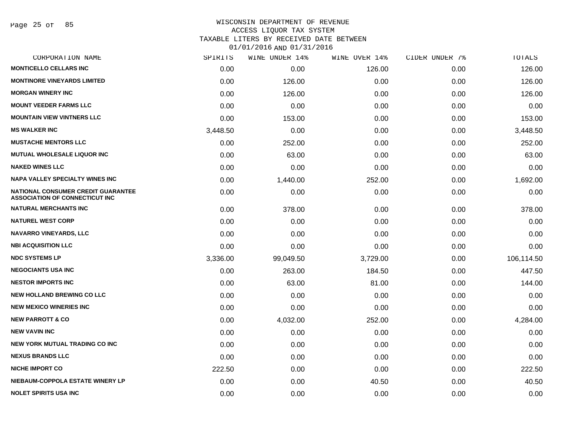Page 25 of 85

# WISCONSIN DEPARTMENT OF REVENUE ACCESS LIQUOR TAX SYSTEM TAXABLE LITERS BY RECEIVED DATE BETWEEN

| CORPORATION NAME                                                                   | SPIRITS  | WINE UNDER 14% | WINE OVER 14% | CIDER UNDER 7% | TOTALS     |
|------------------------------------------------------------------------------------|----------|----------------|---------------|----------------|------------|
| <b>MONTICELLO CELLARS INC</b>                                                      | 0.00     | 0.00           | 126.00        | 0.00           | 126.00     |
| <b>MONTINORE VINEYARDS LIMITED</b>                                                 | 0.00     | 126.00         | 0.00          | 0.00           | 126.00     |
| <b>MORGAN WINERY INC</b>                                                           | 0.00     | 126.00         | 0.00          | 0.00           | 126.00     |
| <b>MOUNT VEEDER FARMS LLC</b>                                                      | 0.00     | 0.00           | 0.00          | 0.00           | 0.00       |
| <b>MOUNTAIN VIEW VINTNERS LLC</b>                                                  | 0.00     | 153.00         | 0.00          | 0.00           | 153.00     |
| <b>MS WALKER INC</b>                                                               | 3,448.50 | 0.00           | 0.00          | 0.00           | 3,448.50   |
| <b>MUSTACHE MENTORS LLC</b>                                                        | 0.00     | 252.00         | 0.00          | 0.00           | 252.00     |
| <b>MUTUAL WHOLESALE LIQUOR INC</b>                                                 | 0.00     | 63.00          | 0.00          | 0.00           | 63.00      |
| <b>NAKED WINES LLC</b>                                                             | 0.00     | 0.00           | 0.00          | 0.00           | 0.00       |
| <b>NAPA VALLEY SPECIALTY WINES INC</b>                                             | 0.00     | 1,440.00       | 252.00        | 0.00           | 1,692.00   |
| <b>NATIONAL CONSUMER CREDIT GUARANTEE</b><br><b>ASSOCIATION OF CONNECTICUT INC</b> | 0.00     | 0.00           | 0.00          | 0.00           | 0.00       |
| <b>NATURAL MERCHANTS INC</b>                                                       | 0.00     | 378.00         | 0.00          | 0.00           | 378.00     |
| <b>NATUREL WEST CORP</b>                                                           | 0.00     | 0.00           | 0.00          | 0.00           | 0.00       |
| <b>NAVARRO VINEYARDS, LLC</b>                                                      | 0.00     | 0.00           | 0.00          | 0.00           | 0.00       |
| <b>NBI ACQUISITION LLC</b>                                                         | 0.00     | 0.00           | 0.00          | 0.00           | 0.00       |
| <b>NDC SYSTEMS LP</b>                                                              | 3,336.00 | 99,049.50      | 3,729.00      | 0.00           | 106,114.50 |
| <b>NEGOCIANTS USA INC</b>                                                          | 0.00     | 263.00         | 184.50        | 0.00           | 447.50     |
| <b>NESTOR IMPORTS INC</b>                                                          | 0.00     | 63.00          | 81.00         | 0.00           | 144.00     |
| <b>NEW HOLLAND BREWING CO LLC</b>                                                  | 0.00     | 0.00           | 0.00          | 0.00           | 0.00       |
| <b>NEW MEXICO WINERIES INC</b>                                                     | 0.00     | 0.00           | 0.00          | 0.00           | 0.00       |
| <b>NEW PARROTT &amp; CO</b>                                                        | 0.00     | 4,032.00       | 252.00        | 0.00           | 4,284.00   |
| <b>NEW VAVIN INC</b>                                                               | 0.00     | 0.00           | 0.00          | 0.00           | 0.00       |
| NEW YORK MUTUAL TRADING CO INC                                                     | 0.00     | 0.00           | 0.00          | 0.00           | 0.00       |
| <b>NEXUS BRANDS LLC</b>                                                            | 0.00     | 0.00           | 0.00          | 0.00           | 0.00       |
| <b>NICHE IMPORT CO</b>                                                             | 222.50   | 0.00           | 0.00          | 0.00           | 222.50     |
| NIEBAUM-COPPOLA ESTATE WINERY LP                                                   | 0.00     | 0.00           | 40.50         | 0.00           | 40.50      |
| NOLET SPIRITS USA INC                                                              | 0.00     | 0.00           | 0.00          | 0.00           | 0.00       |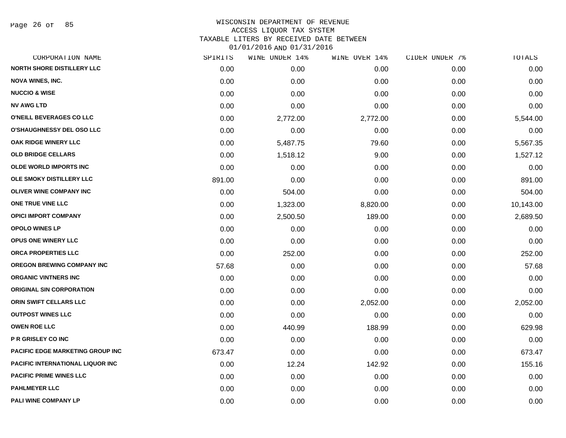### WISCONSIN DEPARTMENT OF REVENUE ACCESS LIQUOR TAX SYSTEM TAXABLE LITERS BY RECEIVED DATE BETWEEN

| CORPORATION NAME                        | SPIRITS | WINE UNDER 14% | WINE OVER 14% | CIDER UNDER 7% | TOTALS    |
|-----------------------------------------|---------|----------------|---------------|----------------|-----------|
| <b>NORTH SHORE DISTILLERY LLC</b>       | 0.00    | 0.00           | 0.00          | 0.00           | 0.00      |
| <b>NOVA WINES, INC.</b>                 | 0.00    | 0.00           | 0.00          | 0.00           | 0.00      |
| <b>NUCCIO &amp; WISE</b>                | 0.00    | 0.00           | 0.00          | 0.00           | 0.00      |
| <b>NV AWG LTD</b>                       | 0.00    | 0.00           | 0.00          | 0.00           | 0.00      |
| O'NEILL BEVERAGES CO LLC                | 0.00    | 2,772.00       | 2,772.00      | 0.00           | 5,544.00  |
| O'SHAUGHNESSY DEL OSO LLC               | 0.00    | 0.00           | 0.00          | 0.00           | 0.00      |
| <b>OAK RIDGE WINERY LLC</b>             | 0.00    | 5,487.75       | 79.60         | 0.00           | 5,567.35  |
| <b>OLD BRIDGE CELLARS</b>               | 0.00    | 1,518.12       | 9.00          | 0.00           | 1,527.12  |
| <b>OLDE WORLD IMPORTS INC</b>           | 0.00    | 0.00           | 0.00          | 0.00           | 0.00      |
| OLE SMOKY DISTILLERY LLC                | 891.00  | 0.00           | 0.00          | 0.00           | 891.00    |
| <b>OLIVER WINE COMPANY INC</b>          | 0.00    | 504.00         | 0.00          | 0.00           | 504.00    |
| ONE TRUE VINE LLC                       | 0.00    | 1,323.00       | 8,820.00      | 0.00           | 10,143.00 |
| <b>OPICI IMPORT COMPANY</b>             | 0.00    | 2,500.50       | 189.00        | 0.00           | 2,689.50  |
| <b>OPOLO WINES LP</b>                   | 0.00    | 0.00           | 0.00          | 0.00           | 0.00      |
| <b>OPUS ONE WINERY LLC</b>              | 0.00    | 0.00           | 0.00          | 0.00           | 0.00      |
| ORCA PROPERTIES LLC                     | 0.00    | 252.00         | 0.00          | 0.00           | 252.00    |
| <b>OREGON BREWING COMPANY INC</b>       | 57.68   | 0.00           | 0.00          | 0.00           | 57.68     |
| <b>ORGANIC VINTNERS INC</b>             | 0.00    | 0.00           | 0.00          | 0.00           | 0.00      |
| <b>ORIGINAL SIN CORPORATION</b>         | 0.00    | 0.00           | 0.00          | 0.00           | 0.00      |
| ORIN SWIFT CELLARS LLC                  | 0.00    | 0.00           | 2,052.00      | 0.00           | 2,052.00  |
| <b>OUTPOST WINES LLC</b>                | 0.00    | 0.00           | 0.00          | 0.00           | 0.00      |
| <b>OWEN ROE LLC</b>                     | 0.00    | 440.99         | 188.99        | 0.00           | 629.98    |
| P R GRISLEY CO INC                      | 0.00    | 0.00           | 0.00          | 0.00           | 0.00      |
| <b>PACIFIC EDGE MARKETING GROUP INC</b> | 673.47  | 0.00           | 0.00          | 0.00           | 673.47    |
| <b>PACIFIC INTERNATIONAL LIQUOR INC</b> | 0.00    | 12.24          | 142.92        | 0.00           | 155.16    |
| <b>PACIFIC PRIME WINES LLC</b>          | 0.00    | 0.00           | 0.00          | 0.00           | 0.00      |
| <b>PAHLMEYER LLC</b>                    | 0.00    | 0.00           | 0.00          | 0.00           | 0.00      |
| PALI WINE COMPANY LP                    | 0.00    | 0.00           | 0.00          | 0.00           | 0.00      |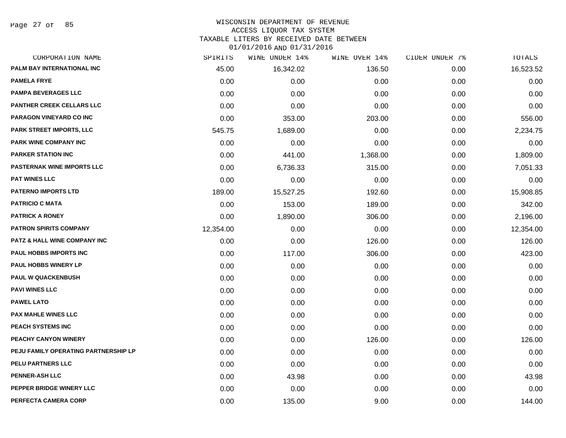### WISCONSIN DEPARTMENT OF REVENUE ACCESS LIQUOR TAX SYSTEM

TAXABLE LITERS BY RECEIVED DATE BETWEEN

| CORPORATION NAME                        | SPIRITS   | WINE UNDER 14% | WINE OVER 14% | CIDER UNDER 7% | TOTALS    |
|-----------------------------------------|-----------|----------------|---------------|----------------|-----------|
| PALM BAY INTERNATIONAL INC              | 45.00     | 16,342.02      | 136.50        | 0.00           | 16,523.52 |
| <b>PAMELA FRYE</b>                      | 0.00      | 0.00           | 0.00          | 0.00           | 0.00      |
| <b>PAMPA BEVERAGES LLC</b>              | 0.00      | 0.00           | 0.00          | 0.00           | 0.00      |
| PANTHER CREEK CELLARS LLC               | 0.00      | 0.00           | 0.00          | 0.00           | 0.00      |
| PARAGON VINEYARD CO INC                 | 0.00      | 353.00         | 203.00        | 0.00           | 556.00    |
| <b>PARK STREET IMPORTS, LLC</b>         | 545.75    | 1,689.00       | 0.00          | 0.00           | 2,234.75  |
| PARK WINE COMPANY INC                   | 0.00      | 0.00           | 0.00          | 0.00           | 0.00      |
| <b>PARKER STATION INC</b>               | 0.00      | 441.00         | 1,368.00      | 0.00           | 1,809.00  |
| <b>PASTERNAK WINE IMPORTS LLC</b>       | 0.00      | 6,736.33       | 315.00        | 0.00           | 7,051.33  |
| <b>PAT WINES LLC</b>                    | 0.00      | 0.00           | 0.00          | 0.00           | 0.00      |
| <b>PATERNO IMPORTS LTD</b>              | 189.00    | 15,527.25      | 192.60        | 0.00           | 15,908.85 |
| <b>PATRICIO C MATA</b>                  | 0.00      | 153.00         | 189.00        | 0.00           | 342.00    |
| <b>PATRICK A RONEY</b>                  | 0.00      | 1,890.00       | 306.00        | 0.00           | 2,196.00  |
| <b>PATRON SPIRITS COMPANY</b>           | 12,354.00 | 0.00           | 0.00          | 0.00           | 12,354.00 |
| <b>PATZ &amp; HALL WINE COMPANY INC</b> | 0.00      | 0.00           | 126.00        | 0.00           | 126.00    |
| <b>PAUL HOBBS IMPORTS INC</b>           | 0.00      | 117.00         | 306.00        | 0.00           | 423.00    |
| <b>PAUL HOBBS WINERY LP</b>             | 0.00      | 0.00           | 0.00          | 0.00           | 0.00      |
| PAUL W QUACKENBUSH                      | 0.00      | 0.00           | 0.00          | 0.00           | 0.00      |
| <b>PAVI WINES LLC</b>                   | 0.00      | 0.00           | 0.00          | 0.00           | 0.00      |
| <b>PAWEL LATO</b>                       | 0.00      | 0.00           | 0.00          | 0.00           | 0.00      |
| <b>PAX MAHLE WINES LLC</b>              | 0.00      | 0.00           | 0.00          | 0.00           | 0.00      |
| PEACH SYSTEMS INC                       | 0.00      | 0.00           | 0.00          | 0.00           | 0.00      |
| PEACHY CANYON WINERY                    | 0.00      | 0.00           | 126.00        | 0.00           | 126.00    |
| PEJU FAMILY OPERATING PARTNERSHIP LP    | 0.00      | 0.00           | 0.00          | 0.00           | 0.00      |
| PELU PARTNERS LLC                       | 0.00      | 0.00           | 0.00          | 0.00           | 0.00      |
| <b>PENNER-ASH LLC</b>                   | 0.00      | 43.98          | 0.00          | 0.00           | 43.98     |
| PEPPER BRIDGE WINERY LLC                | 0.00      | 0.00           | 0.00          | 0.00           | 0.00      |
| PERFECTA CAMERA CORP                    | 0.00      | 135.00         | 9.00          | 0.00           | 144.00    |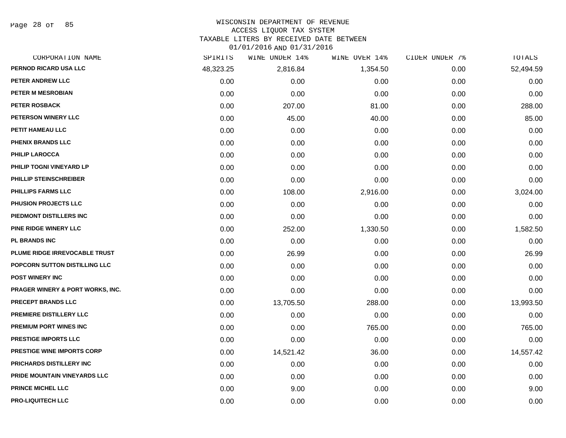Page 28 of 85

#### WISCONSIN DEPARTMENT OF REVENUE

### ACCESS LIQUOR TAX SYSTEM

TAXABLE LITERS BY RECEIVED DATE BETWEEN

| CORPORATION NAME                  | SPIRITS   | WINE UNDER 14% | WINE OVER 14% | CIDER UNDER 7% | TOTALS    |
|-----------------------------------|-----------|----------------|---------------|----------------|-----------|
| PERNOD RICARD USA LLC             | 48,323.25 | 2,816.84       | 1,354.50      | 0.00           | 52,494.59 |
| PETER ANDREW LLC                  | 0.00      | 0.00           | 0.00          | 0.00           | 0.00      |
| <b>PETER M MESROBIAN</b>          | 0.00      | 0.00           | 0.00          | 0.00           | 0.00      |
| <b>PETER ROSBACK</b>              | 0.00      | 207.00         | 81.00         | 0.00           | 288.00    |
| PETERSON WINERY LLC               | 0.00      | 45.00          | 40.00         | 0.00           | 85.00     |
| PETIT HAMEAU LLC                  | 0.00      | 0.00           | 0.00          | 0.00           | 0.00      |
| PHENIX BRANDS LLC                 | 0.00      | 0.00           | 0.00          | 0.00           | 0.00      |
| <b>PHILIP LAROCCA</b>             | 0.00      | 0.00           | 0.00          | 0.00           | 0.00      |
| PHILIP TOGNI VINEYARD LP          | 0.00      | 0.00           | 0.00          | 0.00           | 0.00      |
| PHILLIP STEINSCHREIBER            | 0.00      | 0.00           | 0.00          | 0.00           | 0.00      |
| <b>PHILLIPS FARMS LLC</b>         | 0.00      | 108.00         | 2,916.00      | 0.00           | 3,024.00  |
| PHUSION PROJECTS LLC              | 0.00      | 0.00           | 0.00          | 0.00           | 0.00      |
| PIEDMONT DISTILLERS INC           | 0.00      | 0.00           | 0.00          | 0.00           | 0.00      |
| PINE RIDGE WINERY LLC             | 0.00      | 252.00         | 1,330.50      | 0.00           | 1,582.50  |
| <b>PL BRANDS INC</b>              | 0.00      | 0.00           | 0.00          | 0.00           | 0.00      |
| PLUME RIDGE IRREVOCABLE TRUST     | 0.00      | 26.99          | 0.00          | 0.00           | 26.99     |
| POPCORN SUTTON DISTILLING LLC     | 0.00      | 0.00           | 0.00          | 0.00           | 0.00      |
| <b>POST WINERY INC</b>            | 0.00      | 0.00           | 0.00          | 0.00           | 0.00      |
| PRAGER WINERY & PORT WORKS, INC.  | 0.00      | 0.00           | 0.00          | 0.00           | 0.00      |
| <b>PRECEPT BRANDS LLC</b>         | 0.00      | 13,705.50      | 288.00        | 0.00           | 13,993.50 |
| PREMIERE DISTILLERY LLC           | 0.00      | 0.00           | 0.00          | 0.00           | 0.00      |
| <b>PREMIUM PORT WINES INC</b>     | 0.00      | 0.00           | 765.00        | 0.00           | 765.00    |
| PRESTIGE IMPORTS LLC              | 0.00      | 0.00           | 0.00          | 0.00           | 0.00      |
| <b>PRESTIGE WINE IMPORTS CORP</b> | 0.00      | 14,521.42      | 36.00         | 0.00           | 14,557.42 |
| <b>PRICHARDS DISTILLERY INC</b>   | 0.00      | 0.00           | 0.00          | 0.00           | 0.00      |
| PRIDE MOUNTAIN VINEYARDS LLC      | 0.00      | 0.00           | 0.00          | 0.00           | 0.00      |
| PRINCE MICHEL LLC                 | 0.00      | 9.00           | 0.00          | 0.00           | 9.00      |
| <b>PRO-LIQUITECH LLC</b>          | 0.00      | 0.00           | 0.00          | 0.00           | 0.00      |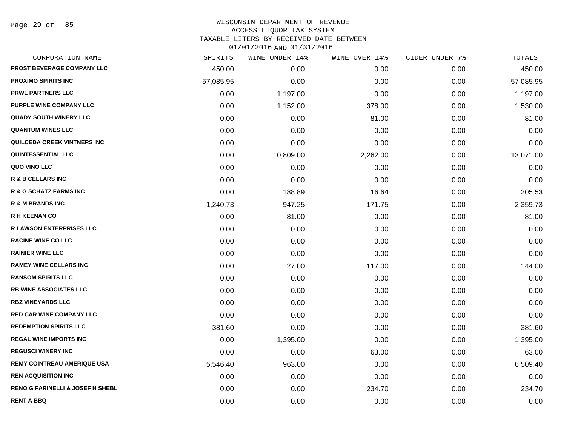Page 29 of 85

### WISCONSIN DEPARTMENT OF REVENUE ACCESS LIQUOR TAX SYSTEM

TAXABLE LITERS BY RECEIVED DATE BETWEEN

| CORPORATION NAME                            | SPIRITS   | WINE UNDER 14% | WINE OVER 14% | CIDER UNDER 7% | TOTALS    |
|---------------------------------------------|-----------|----------------|---------------|----------------|-----------|
| PROST BEVERAGE COMPANY LLC                  | 450.00    | 0.00           | 0.00          | 0.00           | 450.00    |
| <b>PROXIMO SPIRITS INC</b>                  | 57,085.95 | 0.00           | 0.00          | 0.00           | 57,085.95 |
| <b>PRWL PARTNERS LLC</b>                    | 0.00      | 1,197.00       | 0.00          | 0.00           | 1,197.00  |
| <b>PURPLE WINE COMPANY LLC</b>              | 0.00      | 1,152.00       | 378.00        | 0.00           | 1,530.00  |
| <b>QUADY SOUTH WINERY LLC</b>               | 0.00      | 0.00           | 81.00         | 0.00           | 81.00     |
| <b>QUANTUM WINES LLC</b>                    | 0.00      | 0.00           | 0.00          | 0.00           | 0.00      |
| QUILCEDA CREEK VINTNERS INC                 | 0.00      | 0.00           | 0.00          | 0.00           | 0.00      |
| <b>QUINTESSENTIAL LLC</b>                   | 0.00      | 10,809.00      | 2,262.00      | 0.00           | 13,071.00 |
| QUO VINO LLC                                | 0.00      | 0.00           | 0.00          | 0.00           | 0.00      |
| <b>R &amp; B CELLARS INC</b>                | 0.00      | 0.00           | 0.00          | 0.00           | 0.00      |
| R & G SCHATZ FARMS INC                      | 0.00      | 188.89         | 16.64         | 0.00           | 205.53    |
| R & M BRANDS INC                            | 1,240.73  | 947.25         | 171.75        | 0.00           | 2,359.73  |
| <b>R H KEENAN CO</b>                        | 0.00      | 81.00          | 0.00          | 0.00           | 81.00     |
| <b>R LAWSON ENTERPRISES LLC</b>             | 0.00      | 0.00           | 0.00          | 0.00           | 0.00      |
| <b>RACINE WINE CO LLC</b>                   | 0.00      | 0.00           | 0.00          | 0.00           | 0.00      |
| <b>RAINIER WINE LLC</b>                     | 0.00      | 0.00           | 0.00          | 0.00           | 0.00      |
| <b>RAMEY WINE CELLARS INC</b>               | 0.00      | 27.00          | 117.00        | 0.00           | 144.00    |
| <b>RANSOM SPIRITS LLC</b>                   | 0.00      | 0.00           | 0.00          | 0.00           | 0.00      |
| <b>RB WINE ASSOCIATES LLC</b>               | 0.00      | 0.00           | 0.00          | 0.00           | 0.00      |
| <b>RBZ VINEYARDS LLC</b>                    | 0.00      | 0.00           | 0.00          | 0.00           | 0.00      |
| <b>RED CAR WINE COMPANY LLC</b>             | 0.00      | 0.00           | 0.00          | 0.00           | 0.00      |
| <b>REDEMPTION SPIRITS LLC</b>               | 381.60    | 0.00           | 0.00          | 0.00           | 381.60    |
| <b>REGAL WINE IMPORTS INC</b>               | 0.00      | 1,395.00       | 0.00          | 0.00           | 1,395.00  |
| <b>REGUSCI WINERY INC</b>                   | 0.00      | 0.00           | 63.00         | 0.00           | 63.00     |
| <b>REMY COINTREAU AMERIQUE USA</b>          | 5,546.40  | 963.00         | 0.00          | 0.00           | 6,509.40  |
| <b>REN ACQUISITION INC</b>                  | 0.00      | 0.00           | 0.00          | 0.00           | 0.00      |
| <b>RENO G FARINELLI &amp; JOSEF H SHEBL</b> | 0.00      | 0.00           | 234.70        | 0.00           | 234.70    |
| RENT A BBQ                                  | 0.00      | 0.00           | 0.00          | 0.00           | 0.00      |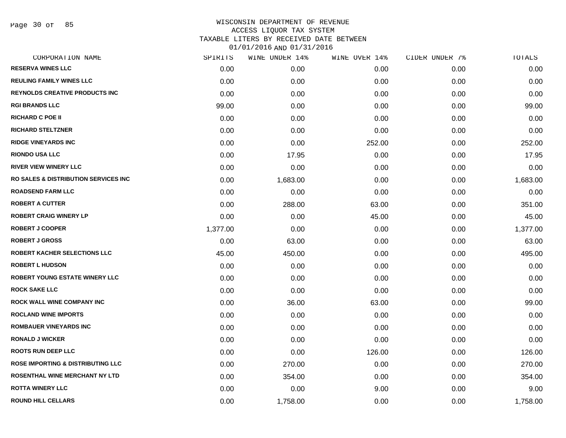Page 30 of 85

| CORPORATION NAME                                 | SPIRITS  | WINE UNDER 14% | WINE OVER 14% | CIDER UNDER 7% | TOTALS   |
|--------------------------------------------------|----------|----------------|---------------|----------------|----------|
| <b>RESERVA WINES LLC</b>                         | 0.00     | 0.00           | 0.00          | 0.00           | 0.00     |
| <b>REULING FAMILY WINES LLC</b>                  | 0.00     | 0.00           | 0.00          | 0.00           | 0.00     |
| <b>REYNOLDS CREATIVE PRODUCTS INC</b>            | 0.00     | 0.00           | 0.00          | 0.00           | 0.00     |
| <b>RGI BRANDS LLC</b>                            | 99.00    | 0.00           | 0.00          | 0.00           | 99.00    |
| <b>RICHARD C POE II</b>                          | 0.00     | 0.00           | 0.00          | 0.00           | 0.00     |
| <b>RICHARD STELTZNER</b>                         | 0.00     | 0.00           | 0.00          | 0.00           | 0.00     |
| <b>RIDGE VINEYARDS INC</b>                       | 0.00     | 0.00           | 252.00        | 0.00           | 252.00   |
| <b>RIONDO USA LLC</b>                            | 0.00     | 17.95          | 0.00          | 0.00           | 17.95    |
| <b>RIVER VIEW WINERY LLC</b>                     | 0.00     | 0.00           | 0.00          | 0.00           | 0.00     |
| <b>RO SALES &amp; DISTRIBUTION SERVICES INC.</b> | 0.00     | 1,683.00       | 0.00          | 0.00           | 1,683.00 |
| <b>ROADSEND FARM LLC</b>                         | 0.00     | 0.00           | 0.00          | 0.00           | 0.00     |
| <b>ROBERT A CUTTER</b>                           | 0.00     | 288.00         | 63.00         | 0.00           | 351.00   |
| <b>ROBERT CRAIG WINERY LP</b>                    | 0.00     | 0.00           | 45.00         | 0.00           | 45.00    |
| <b>ROBERT J COOPER</b>                           | 1,377.00 | 0.00           | 0.00          | 0.00           | 1,377.00 |
| <b>ROBERT J GROSS</b>                            | 0.00     | 63.00          | 0.00          | 0.00           | 63.00    |
| ROBERT KACHER SELECTIONS LLC                     | 45.00    | 450.00         | 0.00          | 0.00           | 495.00   |
| <b>ROBERT L HUDSON</b>                           | 0.00     | 0.00           | 0.00          | 0.00           | 0.00     |
| <b>ROBERT YOUNG ESTATE WINERY LLC</b>            | 0.00     | 0.00           | 0.00          | 0.00           | 0.00     |
| <b>ROCK SAKE LLC</b>                             | 0.00     | 0.00           | 0.00          | 0.00           | 0.00     |
| <b>ROCK WALL WINE COMPANY INC</b>                | 0.00     | 36.00          | 63.00         | 0.00           | 99.00    |
| <b>ROCLAND WINE IMPORTS</b>                      | 0.00     | 0.00           | 0.00          | 0.00           | 0.00     |
| <b>ROMBAUER VINEYARDS INC</b>                    | 0.00     | 0.00           | 0.00          | 0.00           | 0.00     |
| <b>RONALD J WICKER</b>                           | 0.00     | 0.00           | 0.00          | 0.00           | 0.00     |
| <b>ROOTS RUN DEEP LLC</b>                        | 0.00     | 0.00           | 126.00        | 0.00           | 126.00   |
| <b>ROSE IMPORTING &amp; DISTRIBUTING LLC</b>     | 0.00     | 270.00         | 0.00          | 0.00           | 270.00   |
| ROSENTHAL WINE MERCHANT NY LTD                   | 0.00     | 354.00         | 0.00          | 0.00           | 354.00   |
| <b>ROTTA WINERY LLC</b>                          | 0.00     | 0.00           | 9.00          | 0.00           | 9.00     |
| <b>ROUND HILL CELLARS</b>                        | 0.00     | 1,758.00       | 0.00          | 0.00           | 1,758.00 |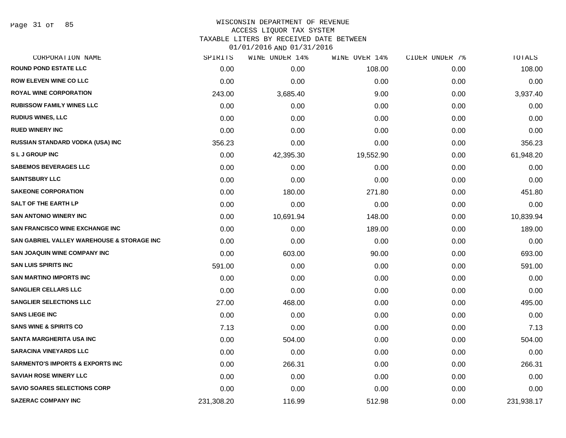### WISCONSIN DEPARTMENT OF REVENUE ACCESS LIQUOR TAX SYSTEM

TAXABLE LITERS BY RECEIVED DATE BETWEEN

| CORPORATION NAME                                      | SPIRITS    | WINE UNDER 14% | WINE OVER 14% | CIDER UNDER 7% | TOTALS     |
|-------------------------------------------------------|------------|----------------|---------------|----------------|------------|
| <b>ROUND POND ESTATE LLC</b>                          | 0.00       | 0.00           | 108.00        | 0.00           | 108.00     |
| <b>ROW ELEVEN WINE CO LLC</b>                         | 0.00       | 0.00           | 0.00          | 0.00           | 0.00       |
| <b>ROYAL WINE CORPORATION</b>                         | 243.00     | 3,685.40       | 9.00          | 0.00           | 3,937.40   |
| <b>RUBISSOW FAMILY WINES LLC</b>                      | 0.00       | 0.00           | 0.00          | 0.00           | 0.00       |
| <b>RUDIUS WINES, LLC</b>                              | 0.00       | 0.00           | 0.00          | 0.00           | 0.00       |
| <b>RUED WINERY INC</b>                                | 0.00       | 0.00           | 0.00          | 0.00           | 0.00       |
| <b>RUSSIAN STANDARD VODKA (USA) INC</b>               | 356.23     | 0.00           | 0.00          | 0.00           | 356.23     |
| <b>SLJGROUPINC</b>                                    | 0.00       | 42,395.30      | 19,552.90     | 0.00           | 61,948.20  |
| <b>SABEMOS BEVERAGES LLC</b>                          | 0.00       | 0.00           | 0.00          | 0.00           | 0.00       |
| <b>SAINTSBURY LLC</b>                                 | 0.00       | 0.00           | 0.00          | 0.00           | 0.00       |
| <b>SAKEONE CORPORATION</b>                            | 0.00       | 180.00         | 271.80        | 0.00           | 451.80     |
| SALT OF THE EARTH LP                                  | 0.00       | 0.00           | 0.00          | 0.00           | 0.00       |
| <b>SAN ANTONIO WINERY INC</b>                         | 0.00       | 10,691.94      | 148.00        | 0.00           | 10,839.94  |
| <b>SAN FRANCISCO WINE EXCHANGE INC</b>                | 0.00       | 0.00           | 189.00        | 0.00           | 189.00     |
| <b>SAN GABRIEL VALLEY WAREHOUSE &amp; STORAGE INC</b> | 0.00       | 0.00           | 0.00          | 0.00           | 0.00       |
| <b>SAN JOAQUIN WINE COMPANY INC</b>                   | 0.00       | 603.00         | 90.00         | 0.00           | 693.00     |
| <b>SAN LUIS SPIRITS INC</b>                           | 591.00     | 0.00           | 0.00          | 0.00           | 591.00     |
| <b>SAN MARTINO IMPORTS INC</b>                        | 0.00       | 0.00           | 0.00          | 0.00           | 0.00       |
| <b>SANGLIER CELLARS LLC</b>                           | 0.00       | 0.00           | 0.00          | 0.00           | 0.00       |
| <b>SANGLIER SELECTIONS LLC</b>                        | 27.00      | 468.00         | 0.00          | 0.00           | 495.00     |
| <b>SANS LIEGE INC</b>                                 | 0.00       | 0.00           | 0.00          | 0.00           | 0.00       |
| <b>SANS WINE &amp; SPIRITS CO</b>                     | 7.13       | 0.00           | 0.00          | 0.00           | 7.13       |
| <b>SANTA MARGHERITA USA INC</b>                       | 0.00       | 504.00         | 0.00          | 0.00           | 504.00     |
| <b>SARACINA VINEYARDS LLC</b>                         | 0.00       | 0.00           | 0.00          | 0.00           | 0.00       |
| <b>SARMENTO'S IMPORTS &amp; EXPORTS INC</b>           | 0.00       | 266.31         | 0.00          | 0.00           | 266.31     |
| <b>SAVIAH ROSE WINERY LLC</b>                         | 0.00       | 0.00           | 0.00          | 0.00           | 0.00       |
| <b>SAVIO SOARES SELECTIONS CORP</b>                   | 0.00       | 0.00           | 0.00          | 0.00           | 0.00       |
| <b>SAZERAC COMPANY INC</b>                            | 231,308.20 | 116.99         | 512.98        | 0.00           | 231,938.17 |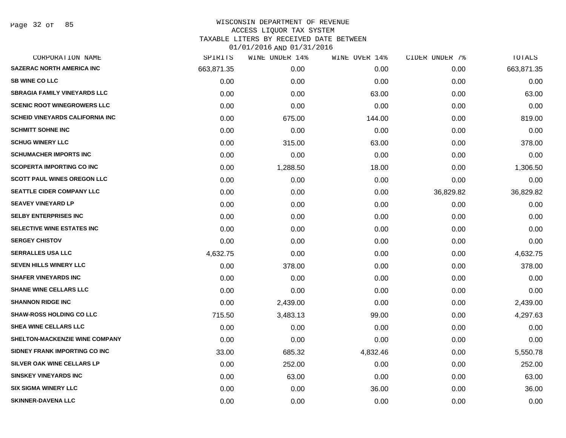### WISCONSIN DEPARTMENT OF REVENUE ACCESS LIQUOR TAX SYSTEM TAXABLE LITERS BY RECEIVED DATE BETWEEN

| CORPORATION NAME                       | SPIRITS    | WINE UNDER 14% | WINE OVER 14% | CIDER UNDER 7% | <b>TOTALS</b> |
|----------------------------------------|------------|----------------|---------------|----------------|---------------|
| <b>SAZERAC NORTH AMERICA INC</b>       | 663,871.35 | 0.00           | 0.00          | 0.00           | 663,871.35    |
| <b>SB WINE CO LLC</b>                  | 0.00       | 0.00           | 0.00          | 0.00           | 0.00          |
| <b>SBRAGIA FAMILY VINEYARDS LLC</b>    | 0.00       | 0.00           | 63.00         | 0.00           | 63.00         |
| <b>SCENIC ROOT WINEGROWERS LLC</b>     | 0.00       | 0.00           | 0.00          | 0.00           | 0.00          |
| <b>SCHEID VINEYARDS CALIFORNIA INC</b> | 0.00       | 675.00         | 144.00        | 0.00           | 819.00        |
| <b>SCHMITT SOHNE INC</b>               | 0.00       | 0.00           | 0.00          | 0.00           | 0.00          |
| <b>SCHUG WINERY LLC</b>                | 0.00       | 315.00         | 63.00         | 0.00           | 378.00        |
| <b>SCHUMACHER IMPORTS INC</b>          | 0.00       | 0.00           | 0.00          | 0.00           | 0.00          |
| <b>SCOPERTA IMPORTING CO INC</b>       | 0.00       | 1,288.50       | 18.00         | 0.00           | 1,306.50      |
| <b>SCOTT PAUL WINES OREGON LLC</b>     | 0.00       | 0.00           | 0.00          | 0.00           | 0.00          |
| <b>SEATTLE CIDER COMPANY LLC</b>       | 0.00       | 0.00           | 0.00          | 36,829.82      | 36,829.82     |
| <b>SEAVEY VINEYARD LP</b>              | 0.00       | 0.00           | 0.00          | 0.00           | 0.00          |
| <b>SELBY ENTERPRISES INC</b>           | 0.00       | 0.00           | 0.00          | 0.00           | 0.00          |
| SELECTIVE WINE ESTATES INC             | 0.00       | 0.00           | 0.00          | 0.00           | 0.00          |
| <b>SERGEY CHISTOV</b>                  | 0.00       | 0.00           | 0.00          | 0.00           | 0.00          |
| <b>SERRALLES USA LLC</b>               | 4,632.75   | 0.00           | 0.00          | 0.00           | 4,632.75      |
| <b>SEVEN HILLS WINERY LLC</b>          | 0.00       | 378.00         | 0.00          | 0.00           | 378.00        |
| <b>SHAFER VINEYARDS INC</b>            | 0.00       | 0.00           | 0.00          | 0.00           | 0.00          |
| <b>SHANE WINE CELLARS LLC</b>          | 0.00       | 0.00           | 0.00          | 0.00           | 0.00          |
| <b>SHANNON RIDGE INC</b>               | 0.00       | 2,439.00       | 0.00          | 0.00           | 2,439.00      |
| <b>SHAW-ROSS HOLDING CO LLC</b>        | 715.50     | 3,483.13       | 99.00         | 0.00           | 4,297.63      |
| SHEA WINE CELLARS LLC                  | 0.00       | 0.00           | 0.00          | 0.00           | 0.00          |
| SHELTON-MACKENZIE WINE COMPANY         | 0.00       | 0.00           | 0.00          | 0.00           | 0.00          |
| SIDNEY FRANK IMPORTING CO INC          | 33.00      | 685.32         | 4,832.46      | 0.00           | 5,550.78      |
| SILVER OAK WINE CELLARS LP             | 0.00       | 252.00         | 0.00          | 0.00           | 252.00        |
| <b>SINSKEY VINEYARDS INC</b>           | 0.00       | 63.00          | 0.00          | 0.00           | 63.00         |
| <b>SIX SIGMA WINERY LLC</b>            | 0.00       | 0.00           | 36.00         | 0.00           | 36.00         |
| <b>SKINNER-DAVENA LLC</b>              | 0.00       | 0.00           | 0.00          | 0.00           | 0.00          |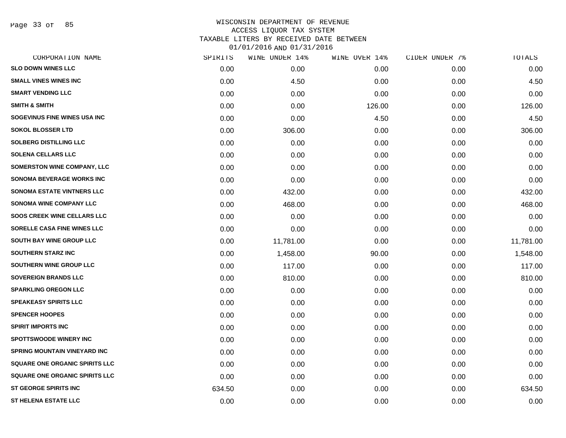Page 33 of 85

| CORPORATION NAME                      | SPIRITS | WINE UNDER 14% | WINE OVER 14% | CIDER UNDER 7% | TOTALS    |
|---------------------------------------|---------|----------------|---------------|----------------|-----------|
| <b>SLO DOWN WINES LLC</b>             | 0.00    | 0.00           | 0.00          | 0.00           | 0.00      |
| <b>SMALL VINES WINES INC</b>          | 0.00    | 4.50           | 0.00          | 0.00           | 4.50      |
| <b>SMART VENDING LLC</b>              | 0.00    | 0.00           | 0.00          | 0.00           | 0.00      |
| <b>SMITH &amp; SMITH</b>              | 0.00    | 0.00           | 126.00        | 0.00           | 126.00    |
| SOGEVINUS FINE WINES USA INC          | 0.00    | 0.00           | 4.50          | 0.00           | 4.50      |
| <b>SOKOL BLOSSER LTD</b>              | 0.00    | 306.00         | 0.00          | 0.00           | 306.00    |
| <b>SOLBERG DISTILLING LLC</b>         | 0.00    | 0.00           | 0.00          | 0.00           | 0.00      |
| <b>SOLENA CELLARS LLC</b>             | 0.00    | 0.00           | 0.00          | 0.00           | 0.00      |
| <b>SOMERSTON WINE COMPANY, LLC</b>    | 0.00    | 0.00           | 0.00          | 0.00           | 0.00      |
| <b>SONOMA BEVERAGE WORKS INC</b>      | 0.00    | 0.00           | 0.00          | 0.00           | 0.00      |
| <b>SONOMA ESTATE VINTNERS LLC</b>     | 0.00    | 432.00         | 0.00          | 0.00           | 432.00    |
| <b>SONOMA WINE COMPANY LLC</b>        | 0.00    | 468.00         | 0.00          | 0.00           | 468.00    |
| <b>SOOS CREEK WINE CELLARS LLC</b>    | 0.00    | 0.00           | 0.00          | 0.00           | 0.00      |
| <b>SORELLE CASA FINE WINES LLC</b>    | 0.00    | 0.00           | 0.00          | 0.00           | 0.00      |
| <b>SOUTH BAY WINE GROUP LLC</b>       | 0.00    | 11,781.00      | 0.00          | 0.00           | 11,781.00 |
| <b>SOUTHERN STARZ INC</b>             | 0.00    | 1,458.00       | 90.00         | 0.00           | 1,548.00  |
| <b>SOUTHERN WINE GROUP LLC</b>        | 0.00    | 117.00         | 0.00          | 0.00           | 117.00    |
| <b>SOVEREIGN BRANDS LLC</b>           | 0.00    | 810.00         | 0.00          | 0.00           | 810.00    |
| <b>SPARKLING OREGON LLC</b>           | 0.00    | 0.00           | 0.00          | 0.00           | 0.00      |
| <b>SPEAKEASY SPIRITS LLC</b>          | 0.00    | 0.00           | 0.00          | 0.00           | 0.00      |
| <b>SPENCER HOOPES</b>                 | 0.00    | 0.00           | 0.00          | 0.00           | 0.00      |
| <b>SPIRIT IMPORTS INC</b>             | 0.00    | 0.00           | 0.00          | 0.00           | 0.00      |
| <b>SPOTTSWOODE WINERY INC</b>         | 0.00    | 0.00           | 0.00          | 0.00           | 0.00      |
| SPRING MOUNTAIN VINEYARD INC          | 0.00    | 0.00           | 0.00          | 0.00           | 0.00      |
| <b>SQUARE ONE ORGANIC SPIRITS LLC</b> | 0.00    | 0.00           | 0.00          | 0.00           | 0.00      |
| <b>SQUARE ONE ORGANIC SPIRITS LLC</b> | 0.00    | 0.00           | 0.00          | 0.00           | 0.00      |
| <b>ST GEORGE SPIRITS INC</b>          | 634.50  | 0.00           | 0.00          | 0.00           | 634.50    |
| <b>ST HELENA ESTATE LLC</b>           | 0.00    | 0.00           | 0.00          | 0.00           | 0.00      |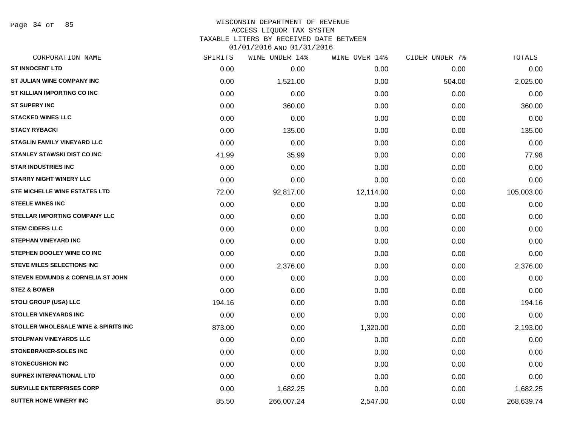Page 34 of 85

### WISCONSIN DEPARTMENT OF REVENUE ACCESS LIQUOR TAX SYSTEM TAXABLE LITERS BY RECEIVED DATE BETWEEN

| CORPORATION NAME                                | SPIRITS | WINE UNDER 14% | WINE OVER 14% | CIDER UNDER 7% | TOTALS     |
|-------------------------------------------------|---------|----------------|---------------|----------------|------------|
| <b>ST INNOCENT LTD</b>                          | 0.00    | 0.00           | 0.00          | 0.00           | 0.00       |
| ST JULIAN WINE COMPANY INC                      | 0.00    | 1,521.00       | 0.00          | 504.00         | 2,025.00   |
| ST KILLIAN IMPORTING CO INC                     | 0.00    | 0.00           | 0.00          | 0.00           | 0.00       |
| <b>ST SUPERY INC</b>                            | 0.00    | 360.00         | 0.00          | 0.00           | 360.00     |
| <b>STACKED WINES LLC</b>                        | 0.00    | 0.00           | 0.00          | 0.00           | 0.00       |
| <b>STACY RYBACKI</b>                            | 0.00    | 135.00         | 0.00          | 0.00           | 135.00     |
| <b>STAGLIN FAMILY VINEYARD LLC</b>              | 0.00    | 0.00           | 0.00          | 0.00           | 0.00       |
| <b>STANLEY STAWSKI DIST CO INC</b>              | 41.99   | 35.99          | 0.00          | 0.00           | 77.98      |
| <b>STAR INDUSTRIES INC</b>                      | 0.00    | 0.00           | 0.00          | 0.00           | 0.00       |
| <b>STARRY NIGHT WINERY LLC</b>                  | 0.00    | 0.00           | 0.00          | 0.00           | 0.00       |
| <b>STE MICHELLE WINE ESTATES LTD</b>            | 72.00   | 92,817.00      | 12,114.00     | 0.00           | 105,003.00 |
| <b>STEELE WINES INC</b>                         | 0.00    | 0.00           | 0.00          | 0.00           | 0.00       |
| <b>STELLAR IMPORTING COMPANY LLC</b>            | 0.00    | 0.00           | 0.00          | 0.00           | 0.00       |
| <b>STEM CIDERS LLC</b>                          | 0.00    | 0.00           | 0.00          | 0.00           | 0.00       |
| <b>STEPHAN VINEYARD INC</b>                     | 0.00    | 0.00           | 0.00          | 0.00           | 0.00       |
| STEPHEN DOOLEY WINE CO INC                      | 0.00    | 0.00           | 0.00          | 0.00           | 0.00       |
| <b>STEVE MILES SELECTIONS INC</b>               | 0.00    | 2,376.00       | 0.00          | 0.00           | 2,376.00   |
| STEVEN EDMUNDS & CORNELIA ST JOHN               | 0.00    | 0.00           | 0.00          | 0.00           | 0.00       |
| <b>STEZ &amp; BOWER</b>                         | 0.00    | 0.00           | 0.00          | 0.00           | 0.00       |
| <b>STOLI GROUP (USA) LLC</b>                    | 194.16  | 0.00           | 0.00          | 0.00           | 194.16     |
| <b>STOLLER VINEYARDS INC</b>                    | 0.00    | 0.00           | 0.00          | 0.00           | 0.00       |
| <b>STOLLER WHOLESALE WINE &amp; SPIRITS INC</b> | 873.00  | 0.00           | 1,320.00      | 0.00           | 2,193.00   |
| <b>STOLPMAN VINEYARDS LLC</b>                   | 0.00    | 0.00           | 0.00          | 0.00           | 0.00       |
| <b>STONEBRAKER-SOLES INC</b>                    | 0.00    | 0.00           | 0.00          | 0.00           | 0.00       |
| <b>STONECUSHION INC</b>                         | 0.00    | 0.00           | 0.00          | 0.00           | 0.00       |
| <b>SUPREX INTERNATIONAL LTD</b>                 | 0.00    | 0.00           | 0.00          | 0.00           | 0.00       |
| <b>SURVILLE ENTERPRISES CORP</b>                | 0.00    | 1,682.25       | 0.00          | 0.00           | 1,682.25   |
| <b>SUTTER HOME WINERY INC</b>                   | 85.50   | 266,007.24     | 2,547.00      | 0.00           | 268,639.74 |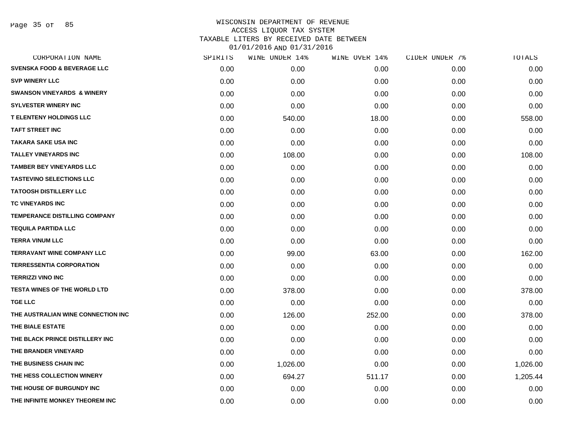| CORPORATION NAME                       | SPIRITS | WINE UNDER 14% | WINE OVER 14% | CIDER UNDER 7% | TOTALS   |
|----------------------------------------|---------|----------------|---------------|----------------|----------|
| <b>SVENSKA FOOD &amp; BEVERAGE LLC</b> | 0.00    | 0.00           | 0.00          | 0.00           | 0.00     |
| <b>SVP WINERY LLC</b>                  | 0.00    | 0.00           | 0.00          | 0.00           | 0.00     |
| <b>SWANSON VINEYARDS &amp; WINERY</b>  | 0.00    | 0.00           | 0.00          | 0.00           | 0.00     |
| <b>SYLVESTER WINERY INC</b>            | 0.00    | 0.00           | 0.00          | 0.00           | 0.00     |
| <b>T ELENTENY HOLDINGS LLC</b>         | 0.00    | 540.00         | 18.00         | 0.00           | 558.00   |
| <b>TAFT STREET INC</b>                 | 0.00    | 0.00           | 0.00          | 0.00           | 0.00     |
| <b>TAKARA SAKE USA INC</b>             | 0.00    | 0.00           | 0.00          | 0.00           | 0.00     |
| <b>TALLEY VINEYARDS INC</b>            | 0.00    | 108.00         | 0.00          | 0.00           | 108.00   |
| <b>TAMBER BEY VINEYARDS LLC</b>        | 0.00    | 0.00           | 0.00          | 0.00           | 0.00     |
| <b>TASTEVINO SELECTIONS LLC</b>        | 0.00    | 0.00           | 0.00          | 0.00           | 0.00     |
| <b>TATOOSH DISTILLERY LLC</b>          | 0.00    | 0.00           | 0.00          | 0.00           | 0.00     |
| <b>TC VINEYARDS INC</b>                | 0.00    | 0.00           | 0.00          | 0.00           | 0.00     |
| <b>TEMPERANCE DISTILLING COMPANY</b>   | 0.00    | 0.00           | 0.00          | 0.00           | 0.00     |
| <b>TEQUILA PARTIDA LLC</b>             | 0.00    | 0.00           | 0.00          | 0.00           | 0.00     |
| <b>TERRA VINUM LLC</b>                 | 0.00    | 0.00           | 0.00          | 0.00           | 0.00     |
| <b>TERRAVANT WINE COMPANY LLC</b>      | 0.00    | 99.00          | 63.00         | 0.00           | 162.00   |
| <b>TERRESSENTIA CORPORATION</b>        | 0.00    | 0.00           | 0.00          | 0.00           | 0.00     |
| <b>TERRIZZI VINO INC</b>               | 0.00    | 0.00           | 0.00          | 0.00           | 0.00     |
| <b>TESTA WINES OF THE WORLD LTD</b>    | 0.00    | 378.00         | 0.00          | 0.00           | 378.00   |
| <b>TGE LLC</b>                         | 0.00    | 0.00           | 0.00          | 0.00           | 0.00     |
| THE AUSTRALIAN WINE CONNECTION INC     | 0.00    | 126.00         | 252.00        | 0.00           | 378.00   |
| THE BIALE ESTATE                       | 0.00    | 0.00           | 0.00          | 0.00           | 0.00     |
| THE BLACK PRINCE DISTILLERY INC        | 0.00    | 0.00           | 0.00          | 0.00           | 0.00     |
| THE BRANDER VINEYARD                   | 0.00    | 0.00           | 0.00          | 0.00           | 0.00     |
| THE BUSINESS CHAIN INC                 | 0.00    | 1,026.00       | 0.00          | 0.00           | 1,026.00 |
| THE HESS COLLECTION WINERY             | 0.00    | 694.27         | 511.17        | 0.00           | 1,205.44 |
| THE HOUSE OF BURGUNDY INC              | 0.00    | 0.00           | 0.00          | 0.00           | 0.00     |
| THE INFINITE MONKEY THEOREM INC        | 0.00    | 0.00           | 0.00          | 0.00           | 0.00     |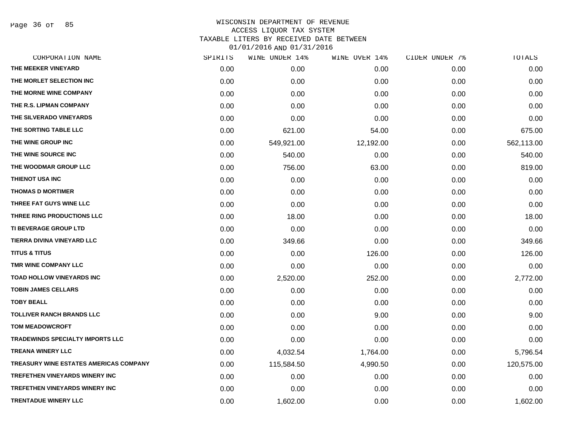Page 36 of 85

| CORPORATION NAME                        | SPIRITS | WINE UNDER 14% | WINE OVER 14% | CIDER UNDER 7% | TOTALS     |
|-----------------------------------------|---------|----------------|---------------|----------------|------------|
| THE MEEKER VINEYARD                     | 0.00    | 0.00           | 0.00          | 0.00           | 0.00       |
| THE MORLET SELECTION INC                | 0.00    | 0.00           | 0.00          | 0.00           | 0.00       |
| THE MORNE WINE COMPANY                  | 0.00    | 0.00           | 0.00          | 0.00           | 0.00       |
| THE R.S. LIPMAN COMPANY                 | 0.00    | 0.00           | 0.00          | 0.00           | 0.00       |
| THE SILVERADO VINEYARDS                 | 0.00    | 0.00           | 0.00          | 0.00           | 0.00       |
| THE SORTING TABLE LLC                   | 0.00    | 621.00         | 54.00         | 0.00           | 675.00     |
| THE WINE GROUP INC                      | 0.00    | 549,921.00     | 12,192.00     | 0.00           | 562,113.00 |
| THE WINE SOURCE INC                     | 0.00    | 540.00         | 0.00          | 0.00           | 540.00     |
| THE WOODMAR GROUP LLC                   | 0.00    | 756.00         | 63.00         | 0.00           | 819.00     |
| THIENOT USA INC                         | 0.00    | 0.00           | 0.00          | 0.00           | 0.00       |
| <b>THOMAS D MORTIMER</b>                | 0.00    | 0.00           | 0.00          | 0.00           | 0.00       |
| THREE FAT GUYS WINE LLC                 | 0.00    | 0.00           | 0.00          | 0.00           | 0.00       |
| THREE RING PRODUCTIONS LLC              | 0.00    | 18.00          | 0.00          | 0.00           | 18.00      |
| <b>TI BEVERAGE GROUP LTD</b>            | 0.00    | 0.00           | 0.00          | 0.00           | 0.00       |
| TIERRA DIVINA VINEYARD LLC              | 0.00    | 349.66         | 0.00          | 0.00           | 349.66     |
| <b>TITUS &amp; TITUS</b>                | 0.00    | 0.00           | 126.00        | 0.00           | 126.00     |
| <b>TMR WINE COMPANY LLC</b>             | 0.00    | 0.00           | 0.00          | 0.00           | 0.00       |
| <b>TOAD HOLLOW VINEYARDS INC</b>        | 0.00    | 2,520.00       | 252.00        | 0.00           | 2,772.00   |
| <b>TOBIN JAMES CELLARS</b>              | 0.00    | 0.00           | 0.00          | 0.00           | 0.00       |
| <b>TOBY BEALL</b>                       | 0.00    | 0.00           | 0.00          | 0.00           | 0.00       |
| <b>TOLLIVER RANCH BRANDS LLC</b>        | 0.00    | 0.00           | 9.00          | 0.00           | 9.00       |
| <b>TOM MEADOWCROFT</b>                  | 0.00    | 0.00           | 0.00          | 0.00           | 0.00       |
| <b>TRADEWINDS SPECIALTY IMPORTS LLC</b> | 0.00    | 0.00           | 0.00          | 0.00           | 0.00       |
| <b>TREANA WINERY LLC</b>                | 0.00    | 4,032.54       | 1,764.00      | 0.00           | 5,796.54   |
| TREASURY WINE ESTATES AMERICAS COMPANY  | 0.00    | 115,584.50     | 4,990.50      | 0.00           | 120,575.00 |
| <b>TREFETHEN VINEYARDS WINERY INC</b>   | 0.00    | 0.00           | 0.00          | 0.00           | 0.00       |
| <b>TREFETHEN VINEYARDS WINERY INC</b>   | 0.00    | 0.00           | 0.00          | 0.00           | 0.00       |
| <b>TRENTADUE WINERY LLC</b>             | 0.00    | 1,602.00       | 0.00          | 0.00           | 1,602.00   |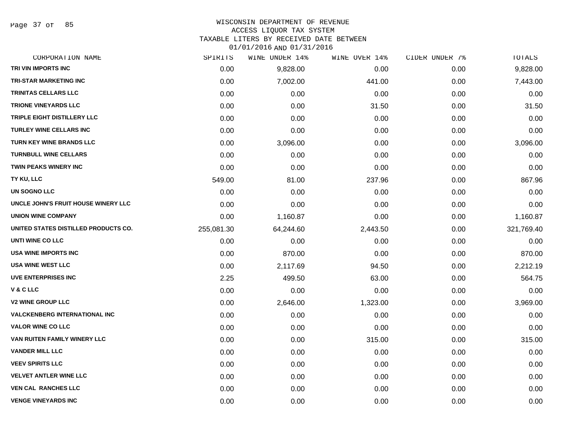Page 37 of 85

# WISCONSIN DEPARTMENT OF REVENUE

## ACCESS LIQUOR TAX SYSTEM

TAXABLE LITERS BY RECEIVED DATE BETWEEN

| CORPORATION NAME                     | SPIRITS    | WINE UNDER 14% | WINE OVER 14% | CIDER UNDER 7% | TOTALS     |
|--------------------------------------|------------|----------------|---------------|----------------|------------|
| TRI VIN IMPORTS INC                  | 0.00       | 9,828.00       | 0.00          | 0.00           | 9,828.00   |
| <b>TRI-STAR MARKETING INC</b>        | 0.00       | 7,002.00       | 441.00        | 0.00           | 7,443.00   |
| <b>TRINITAS CELLARS LLC</b>          | 0.00       | 0.00           | 0.00          | 0.00           | 0.00       |
| <b>TRIONE VINEYARDS LLC</b>          | 0.00       | 0.00           | 31.50         | 0.00           | 31.50      |
| TRIPLE EIGHT DISTILLERY LLC          | 0.00       | 0.00           | 0.00          | 0.00           | 0.00       |
| <b>TURLEY WINE CELLARS INC</b>       | 0.00       | 0.00           | 0.00          | 0.00           | 0.00       |
| TURN KEY WINE BRANDS LLC             | 0.00       | 3,096.00       | 0.00          | 0.00           | 3,096.00   |
| <b>TURNBULL WINE CELLARS</b>         | 0.00       | 0.00           | 0.00          | 0.00           | 0.00       |
| <b>TWIN PEAKS WINERY INC</b>         | 0.00       | 0.00           | 0.00          | 0.00           | 0.00       |
| TY KU, LLC                           | 549.00     | 81.00          | 237.96        | 0.00           | 867.96     |
| UN SOGNO LLC                         | 0.00       | 0.00           | 0.00          | 0.00           | 0.00       |
| UNCLE JOHN'S FRUIT HOUSE WINERY LLC  | 0.00       | 0.00           | 0.00          | 0.00           | 0.00       |
| <b>UNION WINE COMPANY</b>            | 0.00       | 1,160.87       | 0.00          | 0.00           | 1,160.87   |
| UNITED STATES DISTILLED PRODUCTS CO. | 255,081.30 | 64,244.60      | 2,443.50      | 0.00           | 321,769.40 |
| UNTI WINE CO LLC                     | 0.00       | 0.00           | 0.00          | 0.00           | 0.00       |
| <b>USA WINE IMPORTS INC</b>          | 0.00       | 870.00         | 0.00          | 0.00           | 870.00     |
| <b>USA WINE WEST LLC</b>             | 0.00       | 2,117.69       | 94.50         | 0.00           | 2,212.19   |
| <b>UVE ENTERPRISES INC</b>           | 2.25       | 499.50         | 63.00         | 0.00           | 564.75     |
| V & C LLC                            | 0.00       | 0.00           | 0.00          | 0.00           | 0.00       |
| <b>V2 WINE GROUP LLC</b>             | 0.00       | 2,646.00       | 1,323.00      | 0.00           | 3,969.00   |
| <b>VALCKENBERG INTERNATIONAL INC</b> | 0.00       | 0.00           | 0.00          | 0.00           | 0.00       |
| <b>VALOR WINE CO LLC</b>             | 0.00       | 0.00           | 0.00          | 0.00           | 0.00       |
| VAN RUITEN FAMILY WINERY LLC         | 0.00       | 0.00           | 315.00        | 0.00           | 315.00     |
| <b>VANDER MILL LLC</b>               | 0.00       | 0.00           | 0.00          | 0.00           | 0.00       |
| <b>VEEV SPIRITS LLC</b>              | 0.00       | 0.00           | 0.00          | 0.00           | 0.00       |
| <b>VELVET ANTLER WINE LLC</b>        | 0.00       | 0.00           | 0.00          | 0.00           | 0.00       |
| <b>VEN CAL RANCHES LLC</b>           | 0.00       | 0.00           | 0.00          | 0.00           | 0.00       |
| <b>VENGE VINEYARDS INC</b>           | 0.00       | 0.00           | 0.00          | 0.00           | 0.00       |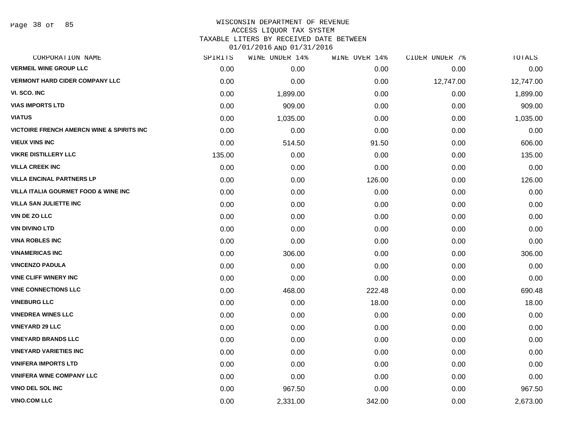Page 38 of 85

#### WISCONSIN DEPARTMENT OF REVENUE ACCESS LIQUOR TAX SYSTEM

TAXABLE LITERS BY RECEIVED DATE BETWEEN

| CORPORATION NAME                                     | SPIRITS | WINE UNDER 14% | WINE OVER 14% | CIDER UNDER 7% | TOTALS    |
|------------------------------------------------------|---------|----------------|---------------|----------------|-----------|
| <b>VERMEIL WINE GROUP LLC</b>                        | 0.00    | 0.00           | 0.00          | 0.00           | 0.00      |
| <b>VERMONT HARD CIDER COMPANY LLC</b>                | 0.00    | 0.00           | 0.00          | 12,747.00      | 12,747.00 |
| VI. SCO. INC                                         | 0.00    | 1,899.00       | 0.00          | 0.00           | 1,899.00  |
| <b>VIAS IMPORTS LTD</b>                              | 0.00    | 909.00         | 0.00          | 0.00           | 909.00    |
| <b>VIATUS</b>                                        | 0.00    | 1,035.00       | 0.00          | 0.00           | 1,035.00  |
| <b>VICTOIRE FRENCH AMERCN WINE &amp; SPIRITS INC</b> | 0.00    | 0.00           | 0.00          | 0.00           | 0.00      |
| <b>VIEUX VINS INC</b>                                | 0.00    | 514.50         | 91.50         | 0.00           | 606.00    |
| <b>VIKRE DISTILLERY LLC</b>                          | 135.00  | 0.00           | 0.00          | 0.00           | 135.00    |
| <b>VILLA CREEK INC</b>                               | 0.00    | 0.00           | 0.00          | 0.00           | 0.00      |
| <b>VILLA ENCINAL PARTNERS LP</b>                     | 0.00    | 0.00           | 126.00        | 0.00           | 126.00    |
| <b>VILLA ITALIA GOURMET FOOD &amp; WINE INC</b>      | 0.00    | 0.00           | 0.00          | 0.00           | 0.00      |
| <b>VILLA SAN JULIETTE INC</b>                        | 0.00    | 0.00           | 0.00          | 0.00           | 0.00      |
| <b>VIN DE ZO LLC</b>                                 | 0.00    | 0.00           | 0.00          | 0.00           | 0.00      |
| <b>VIN DIVINO LTD</b>                                | 0.00    | 0.00           | 0.00          | 0.00           | 0.00      |
| <b>VINA ROBLES INC</b>                               | 0.00    | 0.00           | 0.00          | 0.00           | 0.00      |
| <b>VINAMERICAS INC</b>                               | 0.00    | 306.00         | 0.00          | 0.00           | 306.00    |
| <b>VINCENZO PADULA</b>                               | 0.00    | 0.00           | 0.00          | 0.00           | 0.00      |
| <b>VINE CLIFF WINERY INC</b>                         | 0.00    | 0.00           | 0.00          | 0.00           | 0.00      |
| <b>VINE CONNECTIONS LLC</b>                          | 0.00    | 468.00         | 222.48        | 0.00           | 690.48    |
| <b>VINEBURG LLC</b>                                  | 0.00    | 0.00           | 18.00         | 0.00           | 18.00     |
| <b>VINEDREA WINES LLC</b>                            | 0.00    | 0.00           | 0.00          | 0.00           | 0.00      |
| <b>VINEYARD 29 LLC</b>                               | 0.00    | 0.00           | 0.00          | 0.00           | 0.00      |
| <b>VINEYARD BRANDS LLC</b>                           | 0.00    | 0.00           | 0.00          | 0.00           | 0.00      |
| <b>VINEYARD VARIETIES INC</b>                        | 0.00    | 0.00           | 0.00          | 0.00           | 0.00      |
| <b>VINIFERA IMPORTS LTD</b>                          | 0.00    | 0.00           | 0.00          | 0.00           | 0.00      |
| <b>VINIFERA WINE COMPANY LLC</b>                     | 0.00    | 0.00           | 0.00          | 0.00           | 0.00      |
| <b>VINO DEL SOL INC</b>                              | 0.00    | 967.50         | 0.00          | 0.00           | 967.50    |
| <b>VINO.COM LLC</b>                                  | 0.00    | 2,331.00       | 342.00        | 0.00           | 2,673.00  |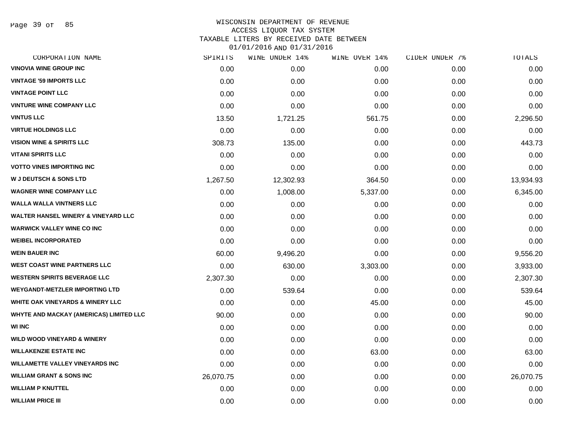Page 39 of 85

## WISCONSIN DEPARTMENT OF REVENUE ACCESS LIQUOR TAX SYSTEM TAXABLE LITERS BY RECEIVED DATE BETWEEN

| CORPORATION NAME                               | SPIRITS   | WINE UNDER 14% | WINE OVER 14% | CIDER UNDER 7% | TOTALS    |
|------------------------------------------------|-----------|----------------|---------------|----------------|-----------|
| <b>VINOVIA WINE GROUP INC</b>                  | 0.00      | 0.00           | 0.00          | 0.00           | 0.00      |
| <b>VINTAGE '59 IMPORTS LLC</b>                 | 0.00      | 0.00           | 0.00          | 0.00           | 0.00      |
| <b>VINTAGE POINT LLC</b>                       | 0.00      | 0.00           | 0.00          | 0.00           | 0.00      |
| <b>VINTURE WINE COMPANY LLC</b>                | 0.00      | 0.00           | 0.00          | 0.00           | 0.00      |
| <b>VINTUS LLC</b>                              | 13.50     | 1,721.25       | 561.75        | 0.00           | 2,296.50  |
| <b>VIRTUE HOLDINGS LLC</b>                     | 0.00      | 0.00           | 0.00          | 0.00           | 0.00      |
| <b>VISION WINE &amp; SPIRITS LLC</b>           | 308.73    | 135.00         | 0.00          | 0.00           | 443.73    |
| <b>VITANI SPIRITS LLC</b>                      | 0.00      | 0.00           | 0.00          | 0.00           | 0.00      |
| <b>VOTTO VINES IMPORTING INC</b>               | 0.00      | 0.00           | 0.00          | 0.00           | 0.00      |
| <b>W J DEUTSCH &amp; SONS LTD</b>              | 1,267.50  | 12,302.93      | 364.50        | 0.00           | 13,934.93 |
| <b>WAGNER WINE COMPANY LLC</b>                 | 0.00      | 1,008.00       | 5,337.00      | 0.00           | 6,345.00  |
| <b>WALLA WALLA VINTNERS LLC</b>                | 0.00      | 0.00           | 0.00          | 0.00           | 0.00      |
| <b>WALTER HANSEL WINERY &amp; VINEYARD LLC</b> | 0.00      | 0.00           | 0.00          | 0.00           | 0.00      |
| <b>WARWICK VALLEY WINE CO INC</b>              | 0.00      | 0.00           | 0.00          | 0.00           | 0.00      |
| <b>WEIBEL INCORPORATED</b>                     | 0.00      | 0.00           | 0.00          | 0.00           | 0.00      |
| <b>WEIN BAUER INC</b>                          | 60.00     | 9,496.20       | 0.00          | 0.00           | 9,556.20  |
| <b>WEST COAST WINE PARTNERS LLC</b>            | 0.00      | 630.00         | 3,303.00      | 0.00           | 3,933.00  |
| <b>WESTERN SPIRITS BEVERAGE LLC</b>            | 2,307.30  | 0.00           | 0.00          | 0.00           | 2,307.30  |
| <b>WEYGANDT-METZLER IMPORTING LTD</b>          | 0.00      | 539.64         | 0.00          | 0.00           | 539.64    |
| WHITE OAK VINEYARDS & WINERY LLC               | 0.00      | 0.00           | 45.00         | 0.00           | 45.00     |
| <b>WHYTE AND MACKAY (AMERICAS) LIMITED LLC</b> | 90.00     | 0.00           | 0.00          | 0.00           | 90.00     |
| <b>WI INC</b>                                  | 0.00      | 0.00           | 0.00          | 0.00           | 0.00      |
| <b>WILD WOOD VINEYARD &amp; WINERY</b>         | 0.00      | 0.00           | 0.00          | 0.00           | 0.00      |
| <b>WILLAKENZIE ESTATE INC</b>                  | 0.00      | 0.00           | 63.00         | 0.00           | 63.00     |
| <b>WILLAMETTE VALLEY VINEYARDS INC</b>         | 0.00      | 0.00           | 0.00          | 0.00           | 0.00      |
| <b>WILLIAM GRANT &amp; SONS INC</b>            | 26,070.75 | 0.00           | 0.00          | 0.00           | 26,070.75 |
| <b>WILLIAM P KNUTTEL</b>                       | 0.00      | 0.00           | 0.00          | 0.00           | 0.00      |
| <b>WILLIAM PRICE III</b>                       | 0.00      | 0.00           | 0.00          | 0.00           | 0.00      |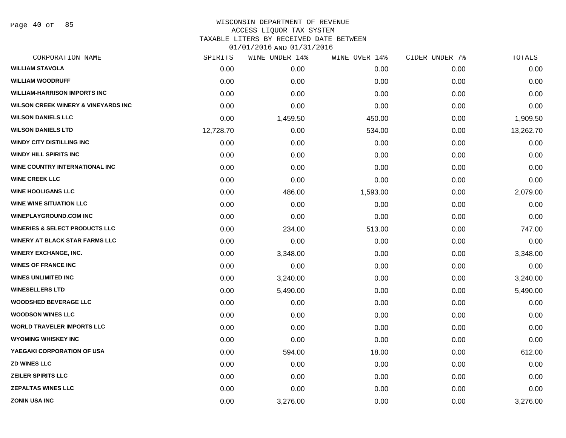Page 40 of 85

| CORPORATION NAME                               | SPIRITS   | WINE UNDER 14% | WINE OVER 14% | CIDER UNDER 7% | TOTALS    |
|------------------------------------------------|-----------|----------------|---------------|----------------|-----------|
| <b>WILLIAM STAVOLA</b>                         | 0.00      | 0.00           | 0.00          | 0.00           | 0.00      |
| <b>WILLIAM WOODRUFF</b>                        | 0.00      | 0.00           | 0.00          | 0.00           | 0.00      |
| <b>WILLIAM-HARRISON IMPORTS INC</b>            | 0.00      | 0.00           | 0.00          | 0.00           | 0.00      |
| <b>WILSON CREEK WINERY &amp; VINEYARDS INC</b> | 0.00      | 0.00           | 0.00          | 0.00           | 0.00      |
| <b>WILSON DANIELS LLC</b>                      | 0.00      | 1,459.50       | 450.00        | 0.00           | 1,909.50  |
| <b>WILSON DANIELS LTD</b>                      | 12,728.70 | 0.00           | 534.00        | 0.00           | 13,262.70 |
| <b>WINDY CITY DISTILLING INC</b>               | 0.00      | 0.00           | 0.00          | 0.00           | 0.00      |
| <b>WINDY HILL SPIRITS INC</b>                  | 0.00      | 0.00           | 0.00          | 0.00           | 0.00      |
| WINE COUNTRY INTERNATIONAL INC                 | 0.00      | 0.00           | 0.00          | 0.00           | 0.00      |
| <b>WINE CREEK LLC</b>                          | 0.00      | 0.00           | 0.00          | 0.00           | 0.00      |
| <b>WINE HOOLIGANS LLC</b>                      | 0.00      | 486.00         | 1,593.00      | 0.00           | 2,079.00  |
| <b>WINE WINE SITUATION LLC</b>                 | 0.00      | 0.00           | 0.00          | 0.00           | 0.00      |
| <b>WINEPLAYGROUND.COM INC</b>                  | 0.00      | 0.00           | 0.00          | 0.00           | 0.00      |
| <b>WINERIES &amp; SELECT PRODUCTS LLC</b>      | 0.00      | 234.00         | 513.00        | 0.00           | 747.00    |
| <b>WINERY AT BLACK STAR FARMS LLC</b>          | 0.00      | 0.00           | 0.00          | 0.00           | 0.00      |
| <b>WINERY EXCHANGE, INC.</b>                   | 0.00      | 3,348.00       | 0.00          | 0.00           | 3,348.00  |
| <b>WINES OF FRANCE INC</b>                     | 0.00      | 0.00           | 0.00          | 0.00           | 0.00      |
| <b>WINES UNLIMITED INC</b>                     | 0.00      | 3,240.00       | 0.00          | 0.00           | 3,240.00  |
| <b>WINESELLERS LTD</b>                         | 0.00      | 5,490.00       | 0.00          | 0.00           | 5,490.00  |
| <b>WOODSHED BEVERAGE LLC</b>                   | 0.00      | 0.00           | 0.00          | 0.00           | 0.00      |
| <b>WOODSON WINES LLC</b>                       | 0.00      | 0.00           | 0.00          | 0.00           | 0.00      |
| <b>WORLD TRAVELER IMPORTS LLC</b>              | 0.00      | 0.00           | 0.00          | 0.00           | 0.00      |
| <b>WYOMING WHISKEY INC</b>                     | 0.00      | 0.00           | 0.00          | 0.00           | 0.00      |
| YAEGAKI CORPORATION OF USA                     | 0.00      | 594.00         | 18.00         | 0.00           | 612.00    |
| <b>ZD WINES LLC</b>                            | 0.00      | 0.00           | 0.00          | 0.00           | 0.00      |
| <b>ZEILER SPIRITS LLC</b>                      | 0.00      | 0.00           | 0.00          | 0.00           | 0.00      |
| <b>ZEPALTAS WINES LLC</b>                      | 0.00      | 0.00           | 0.00          | 0.00           | 0.00      |
| <b>ZONIN USA INC</b>                           | 0.00      | 3,276.00       | 0.00          | 0.00           | 3,276.00  |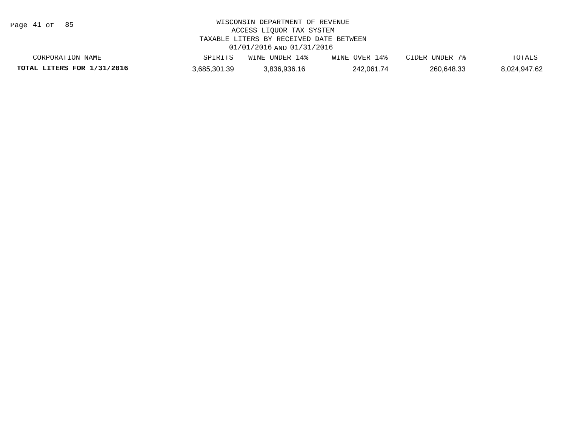Page 41 of 85

| CORPORATION NAME           | SPIRITS      | WINE UNDER 14% | WINE OVER 14% | CIDER UNDER 7% | TOTALS       |
|----------------------------|--------------|----------------|---------------|----------------|--------------|
| TOTAL LITERS FOR 1/31/2016 | 3,685,301.39 | 3,836,936.16   | 242,061.74    | 260,648.33     | 8,024,947.62 |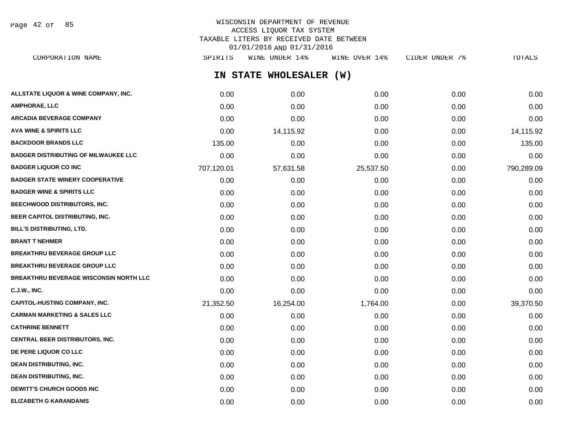Page 42 of 85

#### WISCONSIN DEPARTMENT OF REVENUE ACCESS LIQUOR TAX SYSTEM TAXABLE LITERS BY RECEIVED DATE BETWEEN 01/01/2016 AND 01/31/2016 CORPORATION NAME SPIRITS WINE UNDER 14% WINE OVER 14% CIDER UNDER 7% TOTALS

|                                               |            | IN STATE WHOLESALER (W) |           |      |            |
|-----------------------------------------------|------------|-------------------------|-----------|------|------------|
| ALLSTATE LIQUOR & WINE COMPANY, INC.          | 0.00       | 0.00                    | 0.00      | 0.00 | 0.00       |
| <b>AMPHORAE, LLC</b>                          | 0.00       | 0.00                    | 0.00      | 0.00 | 0.00       |
| <b>ARCADIA BEVERAGE COMPANY</b>               | 0.00       | 0.00                    | 0.00      | 0.00 | 0.00       |
| AVA WINE & SPIRITS LLC                        | 0.00       | 14,115.92               | 0.00      | 0.00 | 14,115.92  |
| <b>BACKDOOR BRANDS LLC</b>                    | 135.00     | 0.00                    | 0.00      | 0.00 | 135.00     |
| <b>BADGER DISTRIBUTING OF MILWAUKEE LLC</b>   | 0.00       | 0.00                    | 0.00      | 0.00 | 0.00       |
| <b>BADGER LIQUOR CO INC</b>                   | 707,120.01 | 57,631.58               | 25,537.50 | 0.00 | 790,289.09 |
| <b>BADGER STATE WINERY COOPERATIVE</b>        | 0.00       | 0.00                    | 0.00      | 0.00 | 0.00       |
| <b>BADGER WINE &amp; SPIRITS LLC</b>          | 0.00       | 0.00                    | 0.00      | 0.00 | 0.00       |
| BEECHWOOD DISTRIBUTORS, INC.                  | 0.00       | 0.00                    | 0.00      | 0.00 | 0.00       |
| BEER CAPITOL DISTRIBUTING, INC.               | 0.00       | 0.00                    | 0.00      | 0.00 | 0.00       |
| <b>BILL'S DISTRIBUTING, LTD.</b>              | 0.00       | 0.00                    | 0.00      | 0.00 | 0.00       |
| <b>BRANT T NEHMER</b>                         | 0.00       | 0.00                    | 0.00      | 0.00 | 0.00       |
| <b>BREAKTHRU BEVERAGE GROUP LLC</b>           | 0.00       | 0.00                    | 0.00      | 0.00 | 0.00       |
| <b>BREAKTHRU BEVERAGE GROUP LLC</b>           | 0.00       | 0.00                    | 0.00      | 0.00 | 0.00       |
| <b>BREAKTHRU BEVERAGE WISCONSIN NORTH LLC</b> | 0.00       | 0.00                    | 0.00      | 0.00 | 0.00       |
| <b>C.J.W., INC.</b>                           | 0.00       | 0.00                    | 0.00      | 0.00 | 0.00       |
| <b>CAPITOL-HUSTING COMPANY, INC.</b>          | 21,352.50  | 16,254.00               | 1,764.00  | 0.00 | 39,370.50  |
| <b>CARMAN MARKETING &amp; SALES LLC</b>       | 0.00       | 0.00                    | 0.00      | 0.00 | 0.00       |
| <b>CATHRINE BENNETT</b>                       | 0.00       | 0.00                    | 0.00      | 0.00 | 0.00       |
| <b>CENTRAL BEER DISTRIBUTORS, INC.</b>        | 0.00       | 0.00                    | 0.00      | 0.00 | 0.00       |
| DE PERE LIQUOR CO LLC                         | 0.00       | 0.00                    | 0.00      | 0.00 | 0.00       |
| <b>DEAN DISTRIBUTING, INC.</b>                | 0.00       | 0.00                    | 0.00      | 0.00 | 0.00       |
| <b>DEAN DISTRIBUTING, INC.</b>                | 0.00       | 0.00                    | 0.00      | 0.00 | 0.00       |
| <b>DEWITT'S CHURCH GOODS INC</b>              | 0.00       | 0.00                    | 0.00      | 0.00 | 0.00       |

**ELIZABETH G KARANDANIS** 0.00 0.00 0.00 0.00 0.00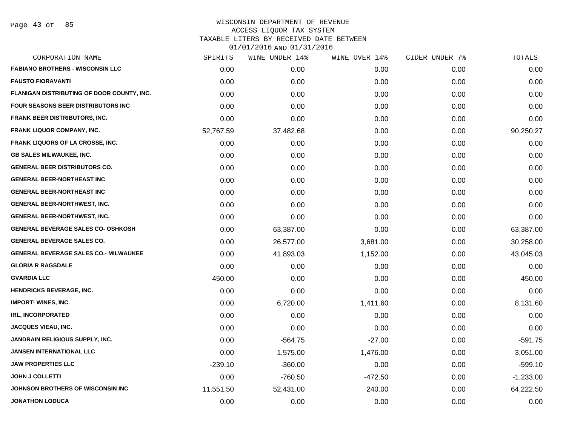| SPIRITS   | WINE UNDER 14% | WINE OVER 14% | CIDER UNDER 7% | TOTALS      |
|-----------|----------------|---------------|----------------|-------------|
| 0.00      | 0.00           | 0.00          | 0.00           | 0.00        |
| 0.00      | 0.00           | 0.00          | 0.00           | 0.00        |
| 0.00      | 0.00           | 0.00          | 0.00           | 0.00        |
| 0.00      | 0.00           | 0.00          | 0.00           | 0.00        |
| 0.00      | 0.00           | 0.00          | 0.00           | 0.00        |
| 52,767.59 | 37,482.68      | 0.00          | 0.00           | 90,250.27   |
| 0.00      | 0.00           | 0.00          | 0.00           | 0.00        |
| 0.00      | 0.00           | 0.00          | 0.00           | 0.00        |
| 0.00      | 0.00           | 0.00          | 0.00           | 0.00        |
| 0.00      | 0.00           | 0.00          | 0.00           | 0.00        |
| 0.00      | 0.00           | 0.00          | 0.00           | 0.00        |
| 0.00      | 0.00           | 0.00          | 0.00           | 0.00        |
| 0.00      | 0.00           | 0.00          | 0.00           | 0.00        |
| 0.00      | 63,387.00      | 0.00          | 0.00           | 63,387.00   |
| 0.00      | 26,577.00      | 3,681.00      | 0.00           | 30,258.00   |
| 0.00      | 41,893.03      | 1,152.00      | 0.00           | 43,045.03   |
| 0.00      | 0.00           | 0.00          | 0.00           | 0.00        |
| 450.00    | 0.00           | 0.00          | 0.00           | 450.00      |
| 0.00      | 0.00           | 0.00          | 0.00           | 0.00        |
| 0.00      | 6,720.00       | 1,411.60      | 0.00           | 8,131.60    |
| 0.00      | 0.00           | 0.00          | 0.00           | 0.00        |
| 0.00      | 0.00           | 0.00          | 0.00           | 0.00        |
| 0.00      | $-564.75$      | $-27.00$      | 0.00           | $-591.75$   |
| 0.00      | 1,575.00       | 1,476.00      | 0.00           | 3,051.00    |
| $-239.10$ | $-360.00$      | 0.00          | 0.00           | $-599.10$   |
| 0.00      | $-760.50$      | $-472.50$     | 0.00           | $-1,233.00$ |
| 11,551.50 | 52,431.00      | 240.00        | 0.00           | 64,222.50   |
| 0.00      | 0.00           | 0.00          | 0.00           | 0.00        |
|           |                |               |                |             |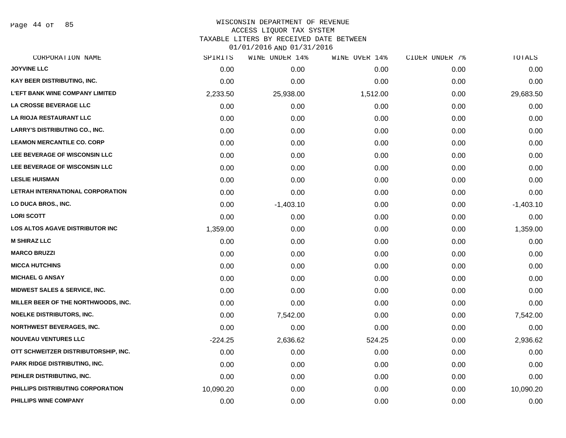Page 44 of 85

## WISCONSIN DEPARTMENT OF REVENUE ACCESS LIQUOR TAX SYSTEM TAXABLE LITERS BY RECEIVED DATE BETWEEN

| CORPORATION NAME                       | SPIRITS   | WINE UNDER 14% | WINE OVER 14% | CIDER UNDER 7% | TOTALS      |
|----------------------------------------|-----------|----------------|---------------|----------------|-------------|
| <b>JOYVINE LLC</b>                     | 0.00      | 0.00           | 0.00          | 0.00           | 0.00        |
| KAY BEER DISTRIBUTING, INC.            | 0.00      | 0.00           | 0.00          | 0.00           | 0.00        |
| <b>L'EFT BANK WINE COMPANY LIMITED</b> | 2,233.50  | 25,938.00      | 1,512.00      | 0.00           | 29,683.50   |
| LA CROSSE BEVERAGE LLC                 | 0.00      | 0.00           | 0.00          | 0.00           | 0.00        |
| LA RIOJA RESTAURANT LLC                | 0.00      | 0.00           | 0.00          | 0.00           | 0.00        |
| <b>LARRY'S DISTRIBUTING CO., INC.</b>  | 0.00      | 0.00           | 0.00          | 0.00           | 0.00        |
| <b>LEAMON MERCANTILE CO. CORP</b>      | 0.00      | 0.00           | 0.00          | 0.00           | 0.00        |
| LEE BEVERAGE OF WISCONSIN LLC          | 0.00      | 0.00           | 0.00          | 0.00           | 0.00        |
| LEE BEVERAGE OF WISCONSIN LLC          | 0.00      | 0.00           | 0.00          | 0.00           | 0.00        |
| <b>LESLIE HUISMAN</b>                  | 0.00      | 0.00           | 0.00          | 0.00           | 0.00        |
| LETRAH INTERNATIONAL CORPORATION       | 0.00      | 0.00           | 0.00          | 0.00           | 0.00        |
| LO DUCA BROS., INC.                    | 0.00      | $-1,403.10$    | 0.00          | 0.00           | $-1,403.10$ |
| <b>LORI SCOTT</b>                      | 0.00      | 0.00           | 0.00          | 0.00           | 0.00        |
| <b>LOS ALTOS AGAVE DISTRIBUTOR INC</b> | 1,359.00  | 0.00           | 0.00          | 0.00           | 1,359.00    |
| <b>M SHIRAZ LLC</b>                    | 0.00      | 0.00           | 0.00          | 0.00           | 0.00        |
| <b>MARCO BRUZZI</b>                    | 0.00      | 0.00           | 0.00          | 0.00           | 0.00        |
| <b>MICCA HUTCHINS</b>                  | 0.00      | 0.00           | 0.00          | 0.00           | 0.00        |
| <b>MICHAEL G ANSAY</b>                 | 0.00      | 0.00           | 0.00          | 0.00           | 0.00        |
| MIDWEST SALES & SERVICE, INC.          | 0.00      | 0.00           | 0.00          | 0.00           | 0.00        |
| MILLER BEER OF THE NORTHWOODS, INC.    | 0.00      | 0.00           | 0.00          | 0.00           | 0.00        |
| <b>NOELKE DISTRIBUTORS, INC.</b>       | 0.00      | 7,542.00       | 0.00          | 0.00           | 7,542.00    |
| <b>NORTHWEST BEVERAGES, INC.</b>       | 0.00      | 0.00           | 0.00          | 0.00           | 0.00        |
| <b>NOUVEAU VENTURES LLC</b>            | $-224.25$ | 2,636.62       | 524.25        | 0.00           | 2,936.62    |
| OTT SCHWEITZER DISTRIBUTORSHIP, INC.   | 0.00      | 0.00           | 0.00          | 0.00           | 0.00        |
| PARK RIDGE DISTRIBUTING, INC.          | 0.00      | 0.00           | 0.00          | 0.00           | 0.00        |
| PEHLER DISTRIBUTING, INC.              | 0.00      | 0.00           | 0.00          | 0.00           | 0.00        |
| PHILLIPS DISTRIBUTING CORPORATION      | 10,090.20 | 0.00           | 0.00          | 0.00           | 10,090.20   |
| PHILLIPS WINE COMPANY                  | 0.00      | 0.00           | 0.00          | 0.00           | 0.00        |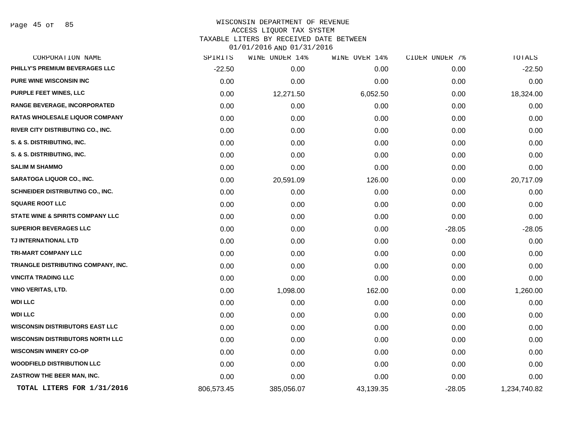Page 45 of 85

### WISCONSIN DEPARTMENT OF REVENUE ACCESS LIQUOR TAX SYSTEM TAXABLE LITERS BY RECEIVED DATE BETWEEN

| CORPORATION NAME                            | SPIRITS    | WINE UNDER 14% | WINE OVER 14% | CIDER UNDER 7% | TOTALS       |
|---------------------------------------------|------------|----------------|---------------|----------------|--------------|
| PHILLY'S PREMIUM BEVERAGES LLC              | $-22.50$   | 0.00           | 0.00          | 0.00           | $-22.50$     |
| PURE WINE WISCONSIN INC                     | 0.00       | 0.00           | 0.00          | 0.00           | 0.00         |
| PURPLE FEET WINES, LLC                      | 0.00       | 12,271.50      | 6,052.50      | 0.00           | 18,324.00    |
| <b>RANGE BEVERAGE, INCORPORATED</b>         | 0.00       | 0.00           | 0.00          | 0.00           | 0.00         |
| <b>RATAS WHOLESALE LIQUOR COMPANY</b>       | 0.00       | 0.00           | 0.00          | 0.00           | 0.00         |
| RIVER CITY DISTRIBUTING CO., INC.           | 0.00       | 0.00           | 0.00          | 0.00           | 0.00         |
| S. & S. DISTRIBUTING, INC.                  | 0.00       | 0.00           | 0.00          | 0.00           | 0.00         |
| S. & S. DISTRIBUTING, INC.                  | 0.00       | 0.00           | 0.00          | 0.00           | 0.00         |
| <b>SALIM M SHAMMO</b>                       | 0.00       | 0.00           | 0.00          | 0.00           | 0.00         |
| <b>SARATOGA LIQUOR CO., INC.</b>            | 0.00       | 20,591.09      | 126.00        | 0.00           | 20,717.09    |
| SCHNEIDER DISTRIBUTING CO., INC.            | 0.00       | 0.00           | 0.00          | 0.00           | 0.00         |
| <b>SQUARE ROOT LLC</b>                      | 0.00       | 0.00           | 0.00          | 0.00           | 0.00         |
| <b>STATE WINE &amp; SPIRITS COMPANY LLC</b> | 0.00       | 0.00           | 0.00          | 0.00           | 0.00         |
| <b>SUPERIOR BEVERAGES LLC</b>               | 0.00       | 0.00           | 0.00          | $-28.05$       | $-28.05$     |
| TJ INTERNATIONAL LTD                        | 0.00       | 0.00           | 0.00          | 0.00           | 0.00         |
| <b>TRI-MART COMPANY LLC</b>                 | 0.00       | 0.00           | 0.00          | 0.00           | 0.00         |
| TRIANGLE DISTRIBUTING COMPANY, INC.         | 0.00       | 0.00           | 0.00          | 0.00           | 0.00         |
| <b>VINCITA TRADING LLC</b>                  | 0.00       | 0.00           | 0.00          | 0.00           | 0.00         |
| <b>VINO VERITAS, LTD.</b>                   | 0.00       | 1,098.00       | 162.00        | 0.00           | 1,260.00     |
| <b>WDI LLC</b>                              | 0.00       | 0.00           | 0.00          | 0.00           | 0.00         |
| <b>WDI LLC</b>                              | 0.00       | 0.00           | 0.00          | 0.00           | 0.00         |
| <b>WISCONSIN DISTRIBUTORS EAST LLC</b>      | 0.00       | 0.00           | 0.00          | 0.00           | 0.00         |
| <b>WISCONSIN DISTRIBUTORS NORTH LLC</b>     | 0.00       | 0.00           | 0.00          | 0.00           | 0.00         |
| <b>WISCONSIN WINERY CO-OP</b>               | 0.00       | 0.00           | 0.00          | 0.00           | 0.00         |
| <b>WOODFIELD DISTRIBUTION LLC</b>           | 0.00       | 0.00           | 0.00          | 0.00           | 0.00         |
| ZASTROW THE BEER MAN, INC.                  | 0.00       | 0.00           | 0.00          | 0.00           | 0.00         |
| TOTAL LITERS FOR 1/31/2016                  | 806,573.45 | 385,056.07     | 43,139.35     | $-28.05$       | 1,234,740.82 |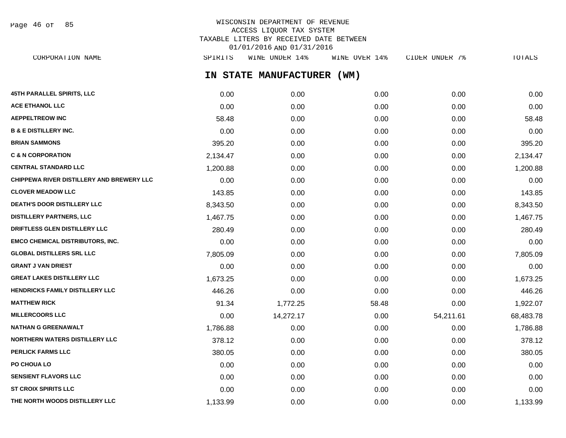WISCONSIN DEPARTMENT OF REVENUE ACCESS LIQUOR TAX SYSTEM TAXABLE LITERS BY RECEIVED DATE BETWEEN 01/01/2016 AND 01/31/2016 CORPORATION NAME SPIRITS WINE UNDER 14% WINE OVER 14% CIDER UNDER 7% TOTALS Page 46 of 85

**IN STATE MANUFACTURER (WM)**

| 45TH PARALLEL SPIRITS, LLC                | 0.00     | 0.00      | 0.00  | 0.00      | 0.00      |
|-------------------------------------------|----------|-----------|-------|-----------|-----------|
| <b>ACE ETHANOL LLC</b>                    | 0.00     | 0.00      | 0.00  | 0.00      | 0.00      |
| <b>AEPPELTREOW INC</b>                    | 58.48    | 0.00      | 0.00  | 0.00      | 58.48     |
| <b>B &amp; E DISTILLERY INC.</b>          | 0.00     | 0.00      | 0.00  | 0.00      | 0.00      |
| <b>BRIAN SAMMONS</b>                      | 395.20   | 0.00      | 0.00  | 0.00      | 395.20    |
| <b>C &amp; N CORPORATION</b>              | 2,134.47 | 0.00      | 0.00  | 0.00      | 2,134.47  |
| <b>CENTRAL STANDARD LLC</b>               | 1,200.88 | 0.00      | 0.00  | 0.00      | 1,200.88  |
| CHIPPEWA RIVER DISTILLERY AND BREWERY LLC | 0.00     | 0.00      | 0.00  | 0.00      | 0.00      |
| <b>CLOVER MEADOW LLC</b>                  | 143.85   | 0.00      | 0.00  | 0.00      | 143.85    |
| DEATH'S DOOR DISTILLERY LLC               | 8,343.50 | 0.00      | 0.00  | 0.00      | 8,343.50  |
| <b>DISTILLERY PARTNERS, LLC</b>           | 1,467.75 | 0.00      | 0.00  | 0.00      | 1,467.75  |
| DRIFTLESS GLEN DISTILLERY LLC             | 280.49   | 0.00      | 0.00  | 0.00      | 280.49    |
| <b>EMCO CHEMICAL DISTRIBUTORS, INC.</b>   | 0.00     | 0.00      | 0.00  | 0.00      | 0.00      |
| <b>GLOBAL DISTILLERS SRL LLC</b>          | 7,805.09 | 0.00      | 0.00  | 0.00      | 7,805.09  |
| <b>GRANT J VAN DRIEST</b>                 | 0.00     | 0.00      | 0.00  | 0.00      | 0.00      |
| <b>GREAT LAKES DISTILLERY LLC</b>         | 1,673.25 | 0.00      | 0.00  | 0.00      | 1,673.25  |
| <b>HENDRICKS FAMILY DISTILLERY LLC</b>    | 446.26   | 0.00      | 0.00  | 0.00      | 446.26    |
| <b>MATTHEW RICK</b>                       | 91.34    | 1,772.25  | 58.48 | 0.00      | 1,922.07  |
| <b>MILLERCOORS LLC</b>                    | 0.00     | 14,272.17 | 0.00  | 54,211.61 | 68,483.78 |
| <b>NATHAN G GREENAWALT</b>                | 1,786.88 | 0.00      | 0.00  | 0.00      | 1,786.88  |
| <b>NORTHERN WATERS DISTILLERY LLC</b>     | 378.12   | 0.00      | 0.00  | 0.00      | 378.12    |
| <b>PERLICK FARMS LLC</b>                  | 380.05   | 0.00      | 0.00  | 0.00      | 380.05    |
| PO CHOUA LO                               | 0.00     | 0.00      | 0.00  | 0.00      | 0.00      |
| <b>SENSIENT FLAVORS LLC</b>               | 0.00     | 0.00      | 0.00  | 0.00      | 0.00      |
| <b>ST CROIX SPIRITS LLC</b>               | 0.00     | 0.00      | 0.00  | 0.00      | 0.00      |
| THE NORTH WOODS DISTILLERY LLC            | 1,133.99 | 0.00      | 0.00  | 0.00      | 1,133.99  |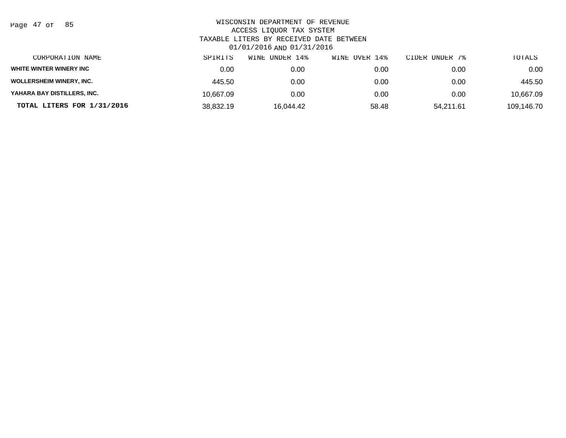| Page | 47 of |  | 85 |
|------|-------|--|----|
|------|-------|--|----|

| CORPORATION NAME                | SPIRITS   | UNDER 14%<br>WINE | WINE OVER 14% | CIDER UNDER 7% | TOTALS     |
|---------------------------------|-----------|-------------------|---------------|----------------|------------|
| WHITE WINTER WINERY INC         | 0.00      | 0.00              | 0.00          | 0.00           | 0.00       |
| <b>WOLLERSHEIM WINERY, INC.</b> | 445.50    | 0.00              | 0.00          | 0.00           | 445.50     |
| YAHARA BAY DISTILLERS, INC.     | 10.667.09 | 0.00              | 0.00          | 0.00           | 10,667.09  |
| TOTAL LITERS FOR 1/31/2016      | 38,832.19 | 16,044.42         | 58.48         | 54,211.61      | 109,146.70 |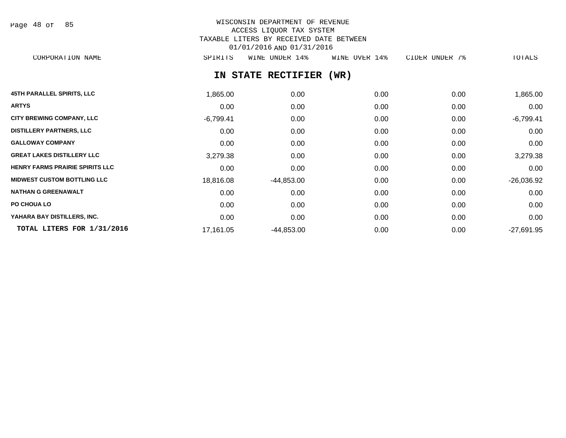| Page | 48 of |  | 85 |
|------|-------|--|----|
|------|-------|--|----|

# WISCONSIN DEPARTMENT OF REVENUE ACCESS LIQUOR TAX SYSTEM TAXABLE LITERS BY RECEIVED DATE BETWEEN 01/01/2016 AND 01/31/2016

CORPORATION NAME SPIRITS WINE UNDER 14% WINE OVER 14% CIDER UNDER 7% TOTALS

# **IN STATE RECTIFIER (WR)**

| <b>45TH PARALLEL SPIRITS, LLC</b>      | 1,865.00    | 0.00         | 0.00 | 0.00 | 1,865.00     |
|----------------------------------------|-------------|--------------|------|------|--------------|
| <b>ARTYS</b>                           | 0.00        | 0.00         | 0.00 | 0.00 | 0.00         |
| <b>CITY BREWING COMPANY, LLC</b>       | $-6,799.41$ | 0.00         | 0.00 | 0.00 | $-6,799.41$  |
| <b>DISTILLERY PARTNERS, LLC</b>        | 0.00        | 0.00         | 0.00 | 0.00 | 0.00         |
| <b>GALLOWAY COMPANY</b>                | 0.00        | 0.00         | 0.00 | 0.00 | 0.00         |
| <b>GREAT LAKES DISTILLERY LLC</b>      | 3,279.38    | 0.00         | 0.00 | 0.00 | 3,279.38     |
| <b>HENRY FARMS PRAIRIE SPIRITS LLC</b> | 0.00        | 0.00         | 0.00 | 0.00 | 0.00         |
| <b>MIDWEST CUSTOM BOTTLING LLC</b>     | 18,816.08   | $-44,853.00$ | 0.00 | 0.00 | $-26,036.92$ |
| <b>NATHAN G GREENAWALT</b>             | 0.00        | 0.00         | 0.00 | 0.00 | 0.00         |
| <b>PO CHOUA LO</b>                     | 0.00        | 0.00         | 0.00 | 0.00 | 0.00         |
| YAHARA BAY DISTILLERS, INC.            | 0.00        | 0.00         | 0.00 | 0.00 | 0.00         |
| TOTAL LITERS FOR 1/31/2016             | 17,161.05   | -44,853.00   | 0.00 | 0.00 | $-27,691.95$ |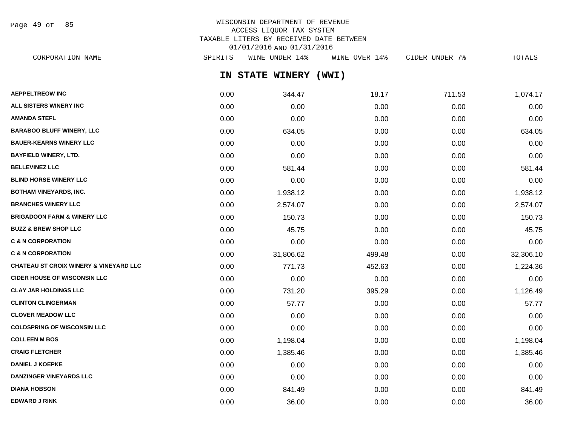Page 49 of 85

# WISCONSIN DEPARTMENT OF REVENUE ACCESS LIQUOR TAX SYSTEM TAXABLE LITERS BY RECEIVED DATE BETWEEN 01/01/2016 AND 01/31/2016

**IN STATE WINERY (WWI) AEPPELTREOW INC** 1,074.17 18.17 1.53 1,074.17 **ALL SISTERS WINERY INC** 0.00 0.00 0.00 0.00 0.00 **AMANDA STEFL** 0.00 0.00 0.00 0.00 0.00 **BARABOO BLUFF WINERY, LLC** 0.00 634.05 0.00 0.00 634.05 **BAUER-KEARNS WINERY LLC** 0.00 0.00 0.00 0.00 0.00 **BAYFIELD WINERY, LTD.** 0.00 0.00 0.00 0.00 0.00 **BELLEVINEZ LLC** 0.00 581.44 0.00 0.00 581.44 **BLIND HORSE WINERY LLC** 0.00 0.00 0.00 0.00 0.00 **BOTHAM VINEYARDS, INC.** 0.00 1,938.12 0.00 0.00 1,938.12 **BRANCHES WINERY LLC** 2,574.07 **0.00** 2,574.07 0.00 0.00 0.00 0.00 0.00 0.00 0.574.07 **BRIGADOON FARM & WINERY LLC** 0.00 150.73 0.00 0.00 150.73 **BUZZ & BREW SHOP LLC** 0.00 45.75 0.00 0.00 45.75 **C & N CORPORATION** 0.00 0.00 0.00 0.00 0.00 **C & N CORPORATION** 0.00 31,806.62 499.48 0.00 32,306.10 **CHATEAU ST CROIX WINERY & VINEYARD LLC** 0.00 771.73 452.63 0.00 1,224.36 **CIDER HOUSE OF WISCONSIN LLC** 0.00 0.00 0.00 0.00 0.00 **CLAY JAR HOLDINGS LLC** 0.00 731.20 395.29 0.00 1,126.49 **CLINTON CLINGERMAN** 0.00 57.77 0.00 0.00 57.77 **CLOVER MEADOW LLC** 0.00 0.00 0.00 0.00 0.00 **COLDSPRING OF WISCONSIN LLC** 0.00 0.00 0.00 0.00 0.00 **COLLEEN M BOS** 0.00 1,198.04 0.00 0.00 1,198.04 **CRAIG FLETCHER** 0.00 1,385.46 0.00 0.00 1,385.46 **DANIEL J KOEPKE** 0.00 0.00 0.00 0.00 0.00 **DANZINGER VINEYARDS LLC** 0.00 0.00 0.00 0.00 0.00 **DIANA HOBSON** 0.00 841.49 0.00 0.00 841.49 CORPORATION NAME SPIRITS WINE UNDER 14% WINE OVER 14% CIDER UNDER 7% TOTALS

**EDWARD J RINK** 0.00 36.00 0.00 0.00 36.00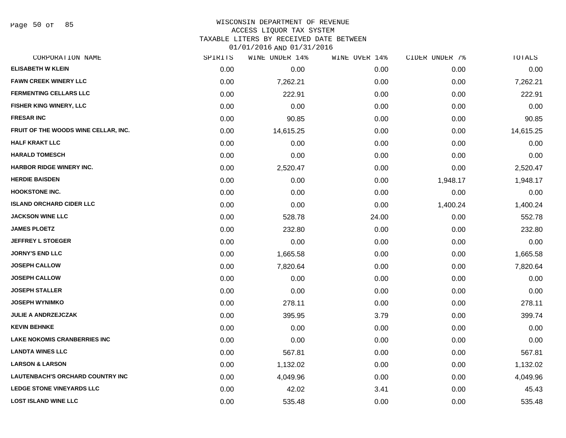Page 50 of 85

#### WISCONSIN DEPARTMENT OF REVENUE ACCESS LIQUOR TAX SYSTEM

TAXABLE LITERS BY RECEIVED DATE BETWEEN

| CORPORATION NAME                        | SPIRITS | WINE UNDER 14% | WINE OVER 14% | CIDER UNDER 7% | TOTALS    |
|-----------------------------------------|---------|----------------|---------------|----------------|-----------|
| <b>ELISABETH W KLEIN</b>                | 0.00    | 0.00           | 0.00          | 0.00           | 0.00      |
| <b>FAWN CREEK WINERY LLC</b>            | 0.00    | 7,262.21       | 0.00          | 0.00           | 7,262.21  |
| <b>FERMENTING CELLARS LLC</b>           | 0.00    | 222.91         | 0.00          | 0.00           | 222.91    |
| <b>FISHER KING WINERY, LLC</b>          | 0.00    | 0.00           | 0.00          | 0.00           | 0.00      |
| <b>FRESAR INC</b>                       | 0.00    | 90.85          | 0.00          | 0.00           | 90.85     |
| FRUIT OF THE WOODS WINE CELLAR, INC.    | 0.00    | 14,615.25      | 0.00          | 0.00           | 14,615.25 |
| <b>HALF KRAKT LLC</b>                   | 0.00    | 0.00           | 0.00          | 0.00           | 0.00      |
| <b>HARALD TOMESCH</b>                   | 0.00    | 0.00           | 0.00          | 0.00           | 0.00      |
| <b>HARBOR RIDGE WINERY INC.</b>         | 0.00    | 2,520.47       | 0.00          | 0.00           | 2,520.47  |
| <b>HERDIE BAISDEN</b>                   | 0.00    | 0.00           | 0.00          | 1,948.17       | 1,948.17  |
| <b>HOOKSTONE INC.</b>                   | 0.00    | 0.00           | 0.00          | 0.00           | 0.00      |
| <b>ISLAND ORCHARD CIDER LLC</b>         | 0.00    | 0.00           | 0.00          | 1,400.24       | 1,400.24  |
| <b>JACKSON WINE LLC</b>                 | 0.00    | 528.78         | 24.00         | 0.00           | 552.78    |
| <b>JAMES PLOETZ</b>                     | 0.00    | 232.80         | 0.00          | 0.00           | 232.80    |
| <b>JEFFREY L STOEGER</b>                | 0.00    | 0.00           | 0.00          | 0.00           | 0.00      |
| <b>JORNY'S END LLC</b>                  | 0.00    | 1,665.58       | 0.00          | 0.00           | 1,665.58  |
| <b>JOSEPH CALLOW</b>                    | 0.00    | 7,820.64       | 0.00          | 0.00           | 7,820.64  |
| <b>JOSEPH CALLOW</b>                    | 0.00    | 0.00           | 0.00          | 0.00           | 0.00      |
| <b>JOSEPH STALLER</b>                   | 0.00    | 0.00           | 0.00          | 0.00           | 0.00      |
| <b>JOSEPH WYNIMKO</b>                   | 0.00    | 278.11         | 0.00          | 0.00           | 278.11    |
| <b>JULIE A ANDRZEJCZAK</b>              | 0.00    | 395.95         | 3.79          | 0.00           | 399.74    |
| <b>KEVIN BEHNKE</b>                     | 0.00    | 0.00           | 0.00          | 0.00           | 0.00      |
| <b>LAKE NOKOMIS CRANBERRIES INC</b>     | 0.00    | 0.00           | 0.00          | 0.00           | 0.00      |
| <b>LANDTA WINES LLC</b>                 | 0.00    | 567.81         | 0.00          | 0.00           | 567.81    |
| <b>LARSON &amp; LARSON</b>              | 0.00    | 1,132.02       | 0.00          | 0.00           | 1,132.02  |
| <b>LAUTENBACH'S ORCHARD COUNTRY INC</b> | 0.00    | 4,049.96       | 0.00          | 0.00           | 4,049.96  |
| <b>LEDGE STONE VINEYARDS LLC</b>        | 0.00    | 42.02          | 3.41          | 0.00           | 45.43     |
| <b>LOST ISLAND WINE LLC</b>             | 0.00    | 535.48         | 0.00          | 0.00           | 535.48    |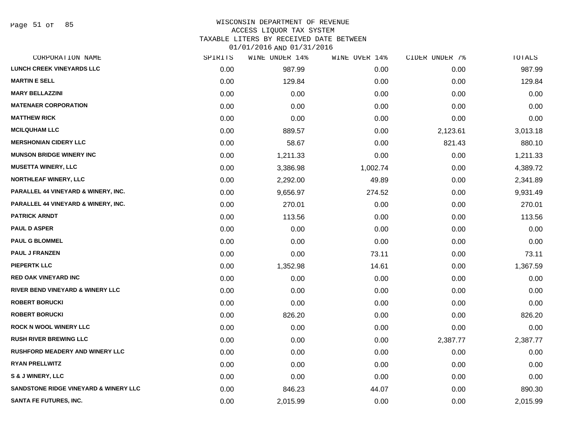Page 51 of 85

# WISCONSIN DEPARTMENT OF REVENUE

## ACCESS LIQUOR TAX SYSTEM

TAXABLE LITERS BY RECEIVED DATE BETWEEN

| CORPORATION NAME                                 | SPIRITS | WINE UNDER 14% | WINE OVER 14% | CIDER UNDER 7% | TOTALS   |
|--------------------------------------------------|---------|----------------|---------------|----------------|----------|
| <b>LUNCH CREEK VINEYARDS LLC</b>                 | 0.00    | 987.99         | 0.00          | 0.00           | 987.99   |
| <b>MARTIN E SELL</b>                             | 0.00    | 129.84         | 0.00          | 0.00           | 129.84   |
| <b>MARY BELLAZZINI</b>                           | 0.00    | 0.00           | 0.00          | 0.00           | 0.00     |
| <b>MATENAER CORPORATION</b>                      | 0.00    | 0.00           | 0.00          | 0.00           | 0.00     |
| <b>MATTHEW RICK</b>                              | 0.00    | 0.00           | 0.00          | 0.00           | 0.00     |
| <b>MCILQUHAM LLC</b>                             | 0.00    | 889.57         | 0.00          | 2,123.61       | 3,013.18 |
| <b>MERSHONIAN CIDERY LLC</b>                     | 0.00    | 58.67          | 0.00          | 821.43         | 880.10   |
| <b>MUNSON BRIDGE WINERY INC</b>                  | 0.00    | 1,211.33       | 0.00          | 0.00           | 1,211.33 |
| <b>MUSETTA WINERY, LLC</b>                       | 0.00    | 3,386.98       | 1,002.74      | 0.00           | 4,389.72 |
| <b>NORTHLEAF WINERY, LLC</b>                     | 0.00    | 2,292.00       | 49.89         | 0.00           | 2,341.89 |
| PARALLEL 44 VINEYARD & WINERY, INC.              | 0.00    | 9,656.97       | 274.52        | 0.00           | 9,931.49 |
| PARALLEL 44 VINEYARD & WINERY, INC.              | 0.00    | 270.01         | 0.00          | 0.00           | 270.01   |
| <b>PATRICK ARNDT</b>                             | 0.00    | 113.56         | 0.00          | 0.00           | 113.56   |
| <b>PAUL D ASPER</b>                              | 0.00    | 0.00           | 0.00          | 0.00           | 0.00     |
| <b>PAUL G BLOMMEL</b>                            | 0.00    | 0.00           | 0.00          | 0.00           | 0.00     |
| <b>PAUL J FRANZEN</b>                            | 0.00    | 0.00           | 73.11         | 0.00           | 73.11    |
| <b>PIEPERTK LLC</b>                              | 0.00    | 1,352.98       | 14.61         | 0.00           | 1,367.59 |
| <b>RED OAK VINEYARD INC</b>                      | 0.00    | 0.00           | 0.00          | 0.00           | 0.00     |
| <b>RIVER BEND VINEYARD &amp; WINERY LLC</b>      | 0.00    | 0.00           | 0.00          | 0.00           | 0.00     |
| <b>ROBERT BORUCKI</b>                            | 0.00    | 0.00           | 0.00          | 0.00           | 0.00     |
| <b>ROBERT BORUCKI</b>                            | 0.00    | 826.20         | 0.00          | 0.00           | 826.20   |
| <b>ROCK N WOOL WINERY LLC</b>                    | 0.00    | 0.00           | 0.00          | 0.00           | 0.00     |
| <b>RUSH RIVER BREWING LLC</b>                    | 0.00    | 0.00           | 0.00          | 2,387.77       | 2,387.77 |
| <b>RUSHFORD MEADERY AND WINERY LLC</b>           | 0.00    | 0.00           | 0.00          | 0.00           | 0.00     |
| <b>RYAN PRELLWITZ</b>                            | 0.00    | 0.00           | 0.00          | 0.00           | 0.00     |
| S & J WINERY, LLC                                | 0.00    | 0.00           | 0.00          | 0.00           | 0.00     |
| <b>SANDSTONE RIDGE VINEYARD &amp; WINERY LLC</b> | 0.00    | 846.23         | 44.07         | 0.00           | 890.30   |
| <b>SANTA FE FUTURES, INC.</b>                    | 0.00    | 2,015.99       | 0.00          | 0.00           | 2,015.99 |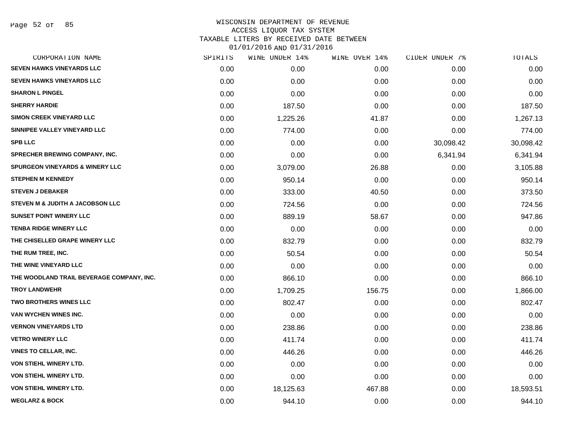#### WISCONSIN DEPARTMENT OF REVENUE ACCESS LIQUOR TAX SYSTEM TAXABLE LITERS BY RECEIVED DATE BETWEEN

| CORPORATION NAME                           | SPIRITS | WINE UNDER 14% | WINE OVER 14% | CIDER UNDER 7% | TOTALS    |
|--------------------------------------------|---------|----------------|---------------|----------------|-----------|
| <b>SEVEN HAWKS VINEYARDS LLC</b>           | 0.00    | 0.00           | 0.00          | 0.00           | 0.00      |
| <b>SEVEN HAWKS VINEYARDS LLC</b>           | 0.00    | 0.00           | 0.00          | 0.00           | 0.00      |
| <b>SHARON L PINGEL</b>                     | 0.00    | 0.00           | 0.00          | 0.00           | 0.00      |
| <b>SHERRY HARDIE</b>                       | 0.00    | 187.50         | 0.00          | 0.00           | 187.50    |
| <b>SIMON CREEK VINEYARD LLC</b>            | 0.00    | 1,225.26       | 41.87         | 0.00           | 1,267.13  |
| SINNIPEE VALLEY VINEYARD LLC               | 0.00    | 774.00         | 0.00          | 0.00           | 774.00    |
| <b>SPB LLC</b>                             | 0.00    | 0.00           | 0.00          | 30,098.42      | 30,098.42 |
| SPRECHER BREWING COMPANY, INC.             | 0.00    | 0.00           | 0.00          | 6,341.94       | 6,341.94  |
| <b>SPURGEON VINEYARDS &amp; WINERY LLC</b> | 0.00    | 3,079.00       | 26.88         | 0.00           | 3,105.88  |
| <b>STEPHEN M KENNEDY</b>                   | 0.00    | 950.14         | 0.00          | 0.00           | 950.14    |
| <b>STEVEN J DEBAKER</b>                    | 0.00    | 333.00         | 40.50         | 0.00           | 373.50    |
| STEVEN M & JUDITH A JACOBSON LLC           | 0.00    | 724.56         | 0.00          | 0.00           | 724.56    |
| <b>SUNSET POINT WINERY LLC</b>             | 0.00    | 889.19         | 58.67         | 0.00           | 947.86    |
| <b>TENBA RIDGE WINERY LLC</b>              | 0.00    | 0.00           | 0.00          | 0.00           | 0.00      |
| THE CHISELLED GRAPE WINERY LLC             | 0.00    | 832.79         | 0.00          | 0.00           | 832.79    |
| THE RUM TREE, INC.                         | 0.00    | 50.54          | 0.00          | 0.00           | 50.54     |
| THE WINE VINEYARD LLC                      | 0.00    | 0.00           | 0.00          | 0.00           | 0.00      |
| THE WOODLAND TRAIL BEVERAGE COMPANY, INC.  | 0.00    | 866.10         | 0.00          | 0.00           | 866.10    |
| <b>TROY LANDWEHR</b>                       | 0.00    | 1,709.25       | 156.75        | 0.00           | 1,866.00  |
| <b>TWO BROTHERS WINES LLC</b>              | 0.00    | 802.47         | 0.00          | 0.00           | 802.47    |
| VAN WYCHEN WINES INC.                      | 0.00    | 0.00           | 0.00          | 0.00           | 0.00      |
| <b>VERNON VINEYARDS LTD</b>                | 0.00    | 238.86         | 0.00          | 0.00           | 238.86    |
| <b>VETRO WINERY LLC</b>                    | 0.00    | 411.74         | 0.00          | 0.00           | 411.74    |
| <b>VINES TO CELLAR, INC.</b>               | 0.00    | 446.26         | 0.00          | 0.00           | 446.26    |
| <b>VON STIEHL WINERY LTD.</b>              | 0.00    | 0.00           | 0.00          | 0.00           | 0.00      |
| VON STIEHL WINERY LTD.                     | 0.00    | 0.00           | 0.00          | 0.00           | 0.00      |
| VON STIEHL WINERY LTD.                     | 0.00    | 18,125.63      | 467.88        | 0.00           | 18,593.51 |
| <b>WEGLARZ &amp; BOCK</b>                  | 0.00    | 944.10         | 0.00          | 0.00           | 944.10    |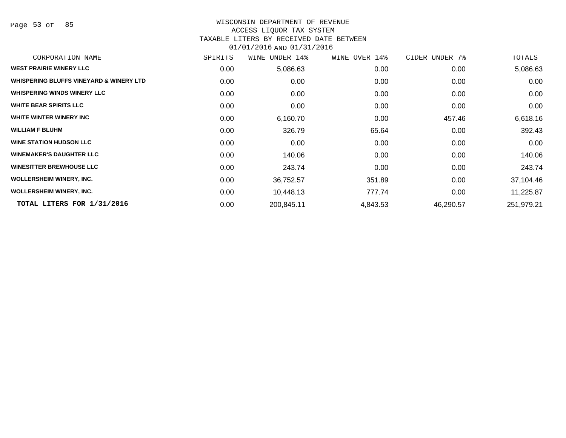Page 53 of 85

#### WISCONSIN DEPARTMENT OF REVENUE ACCESS LIQUOR TAX SYSTEM

### TAXABLE LITERS BY RECEIVED DATE BETWEEN

| CORPORATION NAME                        | SPIRITS           | UNDER 14%<br>WINE | WINE OVER 14% | CIDER UNDER 7% | TOTALS     |
|-----------------------------------------|-------------------|-------------------|---------------|----------------|------------|
| <b>WEST PRAIRIE WINERY LLC</b>          | 0.00              | 5,086.63          | 0.00          | 0.00           | 5,086.63   |
| WHISPERING BLUFFS VINEYARD & WINERY LTD | 0.00              | 0.00              | 0.00          | 0.00           | 0.00       |
| <b>WHISPERING WINDS WINERY LLC</b>      | 0.00              | 0.00              | 0.00          | 0.00           | 0.00       |
| <b>WHITE BEAR SPIRITS LLC</b>           | 0.00              | 0.00              | 0.00          | 0.00           | 0.00       |
| WHITE WINTER WINERY INC                 | 0.00              | 6,160.70          | 0.00          | 457.46         | 6,618.16   |
| <b>WILLIAM F BLUHM</b>                  | 0.00              | 326.79            | 65.64         | 0.00           | 392.43     |
| <b>WINE STATION HUDSON LLC</b>          | 0.00              | 0.00              | 0.00          | 0.00           | 0.00       |
| <b>WINEMAKER'S DAUGHTER LLC</b>         | 0.00              | 140.06            | 0.00          | 0.00           | 140.06     |
| <b>WINESITTER BREWHOUSE LLC</b>         | 0.00              | 243.74            | 0.00          | 0.00           | 243.74     |
| <b>WOLLERSHEIM WINERY, INC.</b>         | 0.00 <sub>1</sub> | 36,752.57         | 351.89        | 0.00           | 37,104.46  |
| <b>WOLLERSHEIM WINERY, INC.</b>         | 0.00              | 10,448.13         | 777.74        | 0.00           | 11,225.87  |
| TOTAL LITERS FOR 1/31/2016              | 0.00              | 200,845.11        | 4,843.53      | 46,290.57      | 251,979.21 |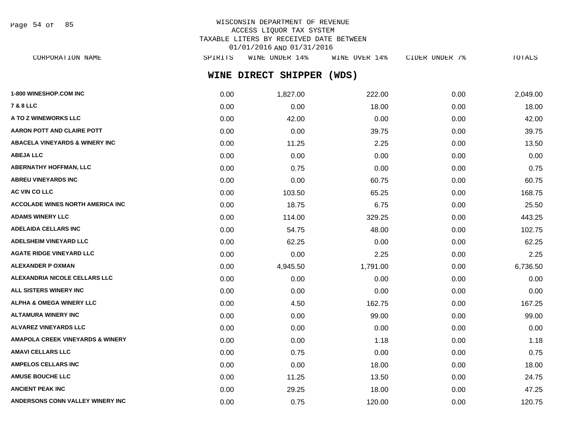Page 54 of 85

# WISCONSIN DEPARTMENT OF REVENUE ACCESS LIQUOR TAX SYSTEM TAXABLE LITERS BY RECEIVED DATE BETWEEN 01/01/2016 AND 01/31/2016

**WINE DIRECT SHIPPER (WDS)** CORPORATION NAME SPIRITS WINE UNDER 14% WINE OVER 14% CIDER UNDER 7% TOTALS

| 1-800 WINESHOP.COM INC                      | 0.00 | 1,827.00 | 222.00   | 0.00 | 2,049.00 |
|---------------------------------------------|------|----------|----------|------|----------|
| <b>7 &amp; 8 LLC</b>                        | 0.00 | 0.00     | 18.00    | 0.00 | 18.00    |
| A TO Z WINEWORKS LLC                        | 0.00 | 42.00    | 0.00     | 0.00 | 42.00    |
| <b>AARON POTT AND CLAIRE POTT</b>           | 0.00 | 0.00     | 39.75    | 0.00 | 39.75    |
| <b>ABACELA VINEYARDS &amp; WINERY INC</b>   | 0.00 | 11.25    | 2.25     | 0.00 | 13.50    |
| <b>ABEJA LLC</b>                            | 0.00 | 0.00     | 0.00     | 0.00 | 0.00     |
| <b>ABERNATHY HOFFMAN, LLC</b>               | 0.00 | 0.75     | 0.00     | 0.00 | 0.75     |
| <b>ABREU VINEYARDS INC</b>                  | 0.00 | 0.00     | 60.75    | 0.00 | 60.75    |
| <b>AC VIN CO LLC</b>                        | 0.00 | 103.50   | 65.25    | 0.00 | 168.75   |
| <b>ACCOLADE WINES NORTH AMERICA INC</b>     | 0.00 | 18.75    | 6.75     | 0.00 | 25.50    |
| <b>ADAMS WINERY LLC</b>                     | 0.00 | 114.00   | 329.25   | 0.00 | 443.25   |
| <b>ADELAIDA CELLARS INC</b>                 | 0.00 | 54.75    | 48.00    | 0.00 | 102.75   |
| <b>ADELSHEIM VINEYARD LLC</b>               | 0.00 | 62.25    | 0.00     | 0.00 | 62.25    |
| <b>AGATE RIDGE VINEYARD LLC</b>             | 0.00 | 0.00     | 2.25     | 0.00 | 2.25     |
| <b>ALEXANDER P OXMAN</b>                    | 0.00 | 4,945.50 | 1,791.00 | 0.00 | 6,736.50 |
| ALEXANDRIA NICOLE CELLARS LLC               | 0.00 | 0.00     | 0.00     | 0.00 | 0.00     |
| ALL SISTERS WINERY INC                      | 0.00 | 0.00     | 0.00     | 0.00 | 0.00     |
| <b>ALPHA &amp; OMEGA WINERY LLC</b>         | 0.00 | 4.50     | 162.75   | 0.00 | 167.25   |
| <b>ALTAMURA WINERY INC</b>                  | 0.00 | 0.00     | 99.00    | 0.00 | 99.00    |
| <b>ALVAREZ VINEYARDS LLC</b>                | 0.00 | 0.00     | 0.00     | 0.00 | 0.00     |
| <b>AMAPOLA CREEK VINEYARDS &amp; WINERY</b> | 0.00 | 0.00     | 1.18     | 0.00 | 1.18     |
| <b>AMAVI CELLARS LLC</b>                    | 0.00 | 0.75     | 0.00     | 0.00 | 0.75     |
| <b>AMPELOS CELLARS INC</b>                  | 0.00 | 0.00     | 18.00    | 0.00 | 18.00    |
| <b>AMUSE BOUCHE LLC</b>                     | 0.00 | 11.25    | 13.50    | 0.00 | 24.75    |
| <b>ANCIENT PEAK INC</b>                     | 0.00 | 29.25    | 18.00    | 0.00 | 47.25    |
| ANDERSONS CONN VALLEY WINERY INC            | 0.00 | 0.75     | 120.00   | 0.00 | 120.75   |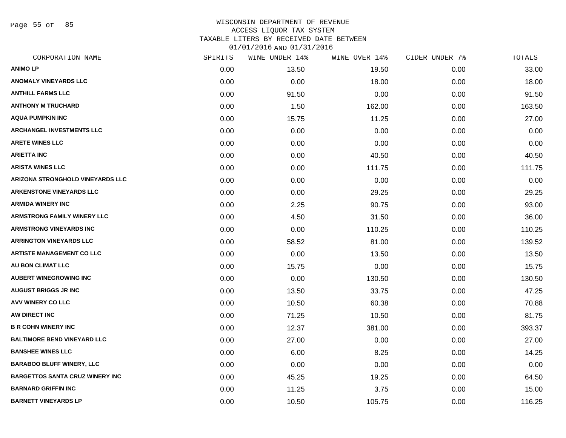Page 55 of 85

### WISCONSIN DEPARTMENT OF REVENUE ACCESS LIQUOR TAX SYSTEM TAXABLE LITERS BY RECEIVED DATE BETWEEN

| CORPORATION NAME                       | SPIRITS | WINE UNDER 14% | WINE OVER 14% | CIDER UNDER 7% | TOTALS |
|----------------------------------------|---------|----------------|---------------|----------------|--------|
| <b>ANIMO LP</b>                        | 0.00    | 13.50          | 19.50         | 0.00           | 33.00  |
| <b>ANOMALY VINEYARDS LLC</b>           | 0.00    | 0.00           | 18.00         | 0.00           | 18.00  |
| <b>ANTHILL FARMS LLC</b>               | 0.00    | 91.50          | 0.00          | 0.00           | 91.50  |
| <b>ANTHONY M TRUCHARD</b>              | 0.00    | 1.50           | 162.00        | 0.00           | 163.50 |
| <b>AQUA PUMPKIN INC</b>                | 0.00    | 15.75          | 11.25         | 0.00           | 27.00  |
| <b>ARCHANGEL INVESTMENTS LLC</b>       | 0.00    | 0.00           | 0.00          | 0.00           | 0.00   |
| <b>ARETE WINES LLC</b>                 | 0.00    | 0.00           | 0.00          | 0.00           | 0.00   |
| <b>ARIETTA INC</b>                     | 0.00    | 0.00           | 40.50         | 0.00           | 40.50  |
| <b>ARISTA WINES LLC</b>                | 0.00    | 0.00           | 111.75        | 0.00           | 111.75 |
| ARIZONA STRONGHOLD VINEYARDS LLC       | 0.00    | 0.00           | 0.00          | 0.00           | 0.00   |
| <b>ARKENSTONE VINEYARDS LLC</b>        | 0.00    | 0.00           | 29.25         | 0.00           | 29.25  |
| <b>ARMIDA WINERY INC</b>               | 0.00    | 2.25           | 90.75         | 0.00           | 93.00  |
| <b>ARMSTRONG FAMILY WINERY LLC</b>     | 0.00    | 4.50           | 31.50         | 0.00           | 36.00  |
| <b>ARMSTRONG VINEYARDS INC</b>         | 0.00    | 0.00           | 110.25        | 0.00           | 110.25 |
| <b>ARRINGTON VINEYARDS LLC</b>         | 0.00    | 58.52          | 81.00         | 0.00           | 139.52 |
| <b>ARTISTE MANAGEMENT CO LLC</b>       | 0.00    | 0.00           | 13.50         | 0.00           | 13.50  |
| <b>AU BON CLIMAT LLC</b>               | 0.00    | 15.75          | 0.00          | 0.00           | 15.75  |
| <b>AUBERT WINEGROWING INC</b>          | 0.00    | 0.00           | 130.50        | 0.00           | 130.50 |
| <b>AUGUST BRIGGS JR INC</b>            | 0.00    | 13.50          | 33.75         | 0.00           | 47.25  |
| AVV WINERY CO LLC                      | 0.00    | 10.50          | 60.38         | 0.00           | 70.88  |
| AW DIRECT INC                          | 0.00    | 71.25          | 10.50         | 0.00           | 81.75  |
| <b>B R COHN WINERY INC</b>             | 0.00    | 12.37          | 381.00        | 0.00           | 393.37 |
| <b>BALTIMORE BEND VINEYARD LLC</b>     | 0.00    | 27.00          | 0.00          | 0.00           | 27.00  |
| <b>BANSHEE WINES LLC</b>               | 0.00    | 6.00           | 8.25          | 0.00           | 14.25  |
| <b>BARABOO BLUFF WINERY, LLC</b>       | 0.00    | 0.00           | 0.00          | 0.00           | 0.00   |
| <b>BARGETTOS SANTA CRUZ WINERY INC</b> | 0.00    | 45.25          | 19.25         | 0.00           | 64.50  |
| <b>BARNARD GRIFFIN INC</b>             | 0.00    | 11.25          | 3.75          | 0.00           | 15.00  |
| <b>BARNETT VINEYARDS LP</b>            | 0.00    | 10.50          | 105.75        | 0.00           | 116.25 |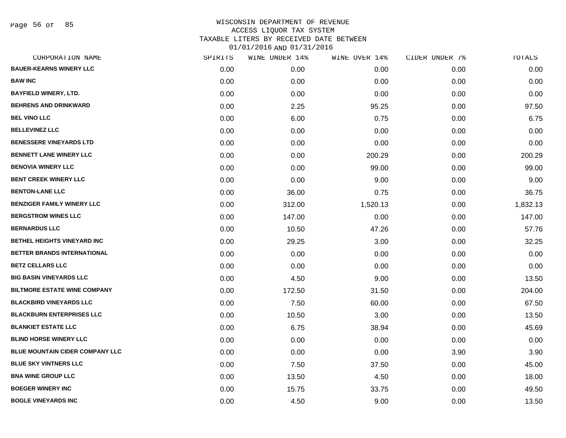Page 56 of 85

| CORPORATION NAME                       | SPIRITS | WINE UNDER 14% | WINE OVER 14% | CIDER UNDER 7% | TOTALS   |
|----------------------------------------|---------|----------------|---------------|----------------|----------|
| <b>BAUER-KEARNS WINERY LLC</b>         | 0.00    | 0.00           | 0.00          | 0.00           | 0.00     |
| <b>BAW INC</b>                         | 0.00    | 0.00           | 0.00          | 0.00           | 0.00     |
| <b>BAYFIELD WINERY, LTD.</b>           | 0.00    | 0.00           | 0.00          | 0.00           | 0.00     |
| <b>BEHRENS AND DRINKWARD</b>           | 0.00    | 2.25           | 95.25         | 0.00           | 97.50    |
| <b>BEL VINO LLC</b>                    | 0.00    | 6.00           | 0.75          | 0.00           | 6.75     |
| <b>BELLEVINEZ LLC</b>                  | 0.00    | 0.00           | 0.00          | 0.00           | 0.00     |
| <b>BENESSERE VINEYARDS LTD</b>         | 0.00    | 0.00           | 0.00          | 0.00           | 0.00     |
| <b>BENNETT LANE WINERY LLC</b>         | 0.00    | 0.00           | 200.29        | 0.00           | 200.29   |
| <b>BENOVIA WINERY LLC</b>              | 0.00    | 0.00           | 99.00         | 0.00           | 99.00    |
| <b>BENT CREEK WINERY LLC</b>           | 0.00    | 0.00           | 9.00          | 0.00           | 9.00     |
| <b>BENTON-LANE LLC</b>                 | 0.00    | 36.00          | 0.75          | 0.00           | 36.75    |
| <b>BENZIGER FAMILY WINERY LLC</b>      | 0.00    | 312.00         | 1,520.13      | 0.00           | 1,832.13 |
| <b>BERGSTROM WINES LLC</b>             | 0.00    | 147.00         | 0.00          | 0.00           | 147.00   |
| <b>BERNARDUS LLC</b>                   | 0.00    | 10.50          | 47.26         | 0.00           | 57.76    |
| <b>BETHEL HEIGHTS VINEYARD INC</b>     | 0.00    | 29.25          | 3.00          | 0.00           | 32.25    |
| BETTER BRANDS INTERNATIONAL            | 0.00    | 0.00           | 0.00          | 0.00           | 0.00     |
| <b>BETZ CELLARS LLC</b>                | 0.00    | 0.00           | 0.00          | 0.00           | 0.00     |
| <b>BIG BASIN VINEYARDS LLC</b>         | 0.00    | 4.50           | 9.00          | 0.00           | 13.50    |
| <b>BILTMORE ESTATE WINE COMPANY</b>    | 0.00    | 172.50         | 31.50         | 0.00           | 204.00   |
| <b>BLACKBIRD VINEYARDS LLC</b>         | 0.00    | 7.50           | 60.00         | 0.00           | 67.50    |
| <b>BLACKBURN ENTERPRISES LLC</b>       | 0.00    | 10.50          | 3.00          | 0.00           | 13.50    |
| <b>BLANKIET ESTATE LLC</b>             | 0.00    | 6.75           | 38.94         | 0.00           | 45.69    |
| <b>BLIND HORSE WINERY LLC</b>          | 0.00    | 0.00           | 0.00          | 0.00           | 0.00     |
| <b>BLUE MOUNTAIN CIDER COMPANY LLC</b> | 0.00    | 0.00           | 0.00          | 3.90           | 3.90     |
| <b>BLUE SKY VINTNERS LLC</b>           | 0.00    | 7.50           | 37.50         | 0.00           | 45.00    |
| <b>BNA WINE GROUP LLC</b>              | 0.00    | 13.50          | 4.50          | 0.00           | 18.00    |
| <b>BOEGER WINERY INC</b>               | 0.00    | 15.75          | 33.75         | 0.00           | 49.50    |
| <b>BOGLE VINEYARDS INC</b>             | 0.00    | 4.50           | 9.00          | 0.00           | 13.50    |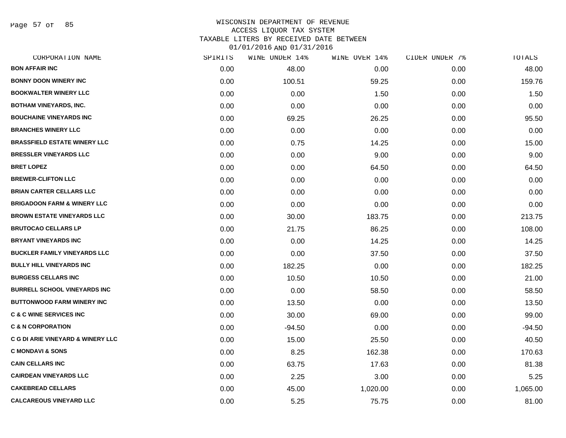Page 57 of 85

| CORPORATION NAME                             | SPIRITS | WINE UNDER 14% | WINE OVER 14% | CIDER UNDER 7% | TOTALS   |
|----------------------------------------------|---------|----------------|---------------|----------------|----------|
| <b>BON AFFAIR INC</b>                        | 0.00    | 48.00          | 0.00          | 0.00           | 48.00    |
| <b>BONNY DOON WINERY INC</b>                 | 0.00    | 100.51         | 59.25         | 0.00           | 159.76   |
| <b>BOOKWALTER WINERY LLC</b>                 | 0.00    | 0.00           | 1.50          | 0.00           | 1.50     |
| <b>BOTHAM VINEYARDS, INC.</b>                | 0.00    | 0.00           | 0.00          | 0.00           | 0.00     |
| <b>BOUCHAINE VINEYARDS INC</b>               | 0.00    | 69.25          | 26.25         | 0.00           | 95.50    |
| <b>BRANCHES WINERY LLC</b>                   | 0.00    | 0.00           | 0.00          | 0.00           | 0.00     |
| <b>BRASSFIELD ESTATE WINERY LLC</b>          | 0.00    | 0.75           | 14.25         | 0.00           | 15.00    |
| <b>BRESSLER VINEYARDS LLC</b>                | 0.00    | 0.00           | 9.00          | 0.00           | 9.00     |
| <b>BRET LOPEZ</b>                            | 0.00    | 0.00           | 64.50         | 0.00           | 64.50    |
| <b>BREWER-CLIFTON LLC</b>                    | 0.00    | 0.00           | 0.00          | 0.00           | 0.00     |
| <b>BRIAN CARTER CELLARS LLC</b>              | 0.00    | 0.00           | 0.00          | 0.00           | 0.00     |
| <b>BRIGADOON FARM &amp; WINERY LLC</b>       | 0.00    | 0.00           | 0.00          | 0.00           | 0.00     |
| <b>BROWN ESTATE VINEYARDS LLC</b>            | 0.00    | 30.00          | 183.75        | 0.00           | 213.75   |
| <b>BRUTOCAO CELLARS LP</b>                   | 0.00    | 21.75          | 86.25         | 0.00           | 108.00   |
| <b>BRYANT VINEYARDS INC</b>                  | 0.00    | 0.00           | 14.25         | 0.00           | 14.25    |
| <b>BUCKLER FAMILY VINEYARDS LLC</b>          | 0.00    | 0.00           | 37.50         | 0.00           | 37.50    |
| <b>BULLY HILL VINEYARDS INC</b>              | 0.00    | 182.25         | 0.00          | 0.00           | 182.25   |
| <b>BURGESS CELLARS INC</b>                   | 0.00    | 10.50          | 10.50         | 0.00           | 21.00    |
| <b>BURRELL SCHOOL VINEYARDS INC</b>          | 0.00    | 0.00           | 58.50         | 0.00           | 58.50    |
| <b>BUTTONWOOD FARM WINERY INC</b>            | 0.00    | 13.50          | 0.00          | 0.00           | 13.50    |
| <b>C &amp; C WINE SERVICES INC</b>           | 0.00    | 30.00          | 69.00         | 0.00           | 99.00    |
| <b>C &amp; N CORPORATION</b>                 | 0.00    | $-94.50$       | 0.00          | 0.00           | $-94.50$ |
| <b>C G DI ARIE VINEYARD &amp; WINERY LLC</b> | 0.00    | 15.00          | 25.50         | 0.00           | 40.50    |
| <b>C MONDAVI &amp; SONS</b>                  | 0.00    | 8.25           | 162.38        | 0.00           | 170.63   |
| <b>CAIN CELLARS INC</b>                      | 0.00    | 63.75          | 17.63         | 0.00           | 81.38    |
| <b>CAIRDEAN VINEYARDS LLC</b>                | 0.00    | 2.25           | 3.00          | 0.00           | 5.25     |
| <b>CAKEBREAD CELLARS</b>                     | 0.00    | 45.00          | 1,020.00      | 0.00           | 1,065.00 |
| <b>CALCAREOUS VINEYARD LLC</b>               | 0.00    | 5.25           | 75.75         | 0.00           | 81.00    |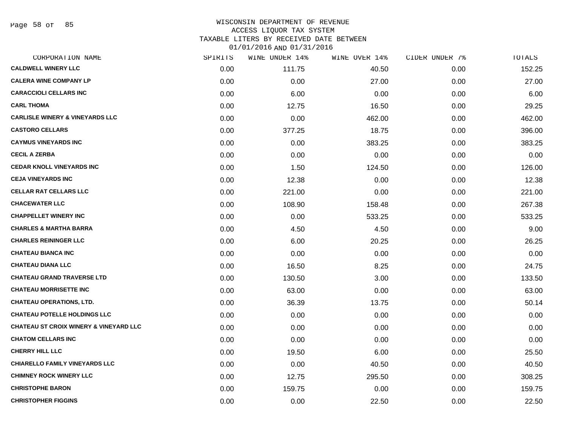Page 58 of 85

# WISCONSIN DEPARTMENT OF REVENUE ACCESS LIQUOR TAX SYSTEM

TAXABLE LITERS BY RECEIVED DATE BETWEEN

| CORPORATION NAME                                  | SPIRITS | WINE UNDER 14% | WINE OVER 14% | CIDER UNDER 7% | TOTALS |
|---------------------------------------------------|---------|----------------|---------------|----------------|--------|
| <b>CALDWELL WINERY LLC</b>                        | 0.00    | 111.75         | 40.50         | 0.00           | 152.25 |
| <b>CALERA WINE COMPANY LP</b>                     | 0.00    | 0.00           | 27.00         | 0.00           | 27.00  |
| <b>CARACCIOLI CELLARS INC</b>                     | 0.00    | 6.00           | 0.00          | 0.00           | 6.00   |
| <b>CARL THOMA</b>                                 | 0.00    | 12.75          | 16.50         | 0.00           | 29.25  |
| <b>CARLISLE WINERY &amp; VINEYARDS LLC</b>        | 0.00    | 0.00           | 462.00        | 0.00           | 462.00 |
| <b>CASTORO CELLARS</b>                            | 0.00    | 377.25         | 18.75         | 0.00           | 396.00 |
| <b>CAYMUS VINEYARDS INC</b>                       | 0.00    | 0.00           | 383.25        | 0.00           | 383.25 |
| <b>CECIL A ZERBA</b>                              | 0.00    | 0.00           | 0.00          | 0.00           | 0.00   |
| <b>CEDAR KNOLL VINEYARDS INC</b>                  | 0.00    | 1.50           | 124.50        | 0.00           | 126.00 |
| <b>CEJA VINEYARDS INC</b>                         | 0.00    | 12.38          | 0.00          | 0.00           | 12.38  |
| <b>CELLAR RAT CELLARS LLC</b>                     | 0.00    | 221.00         | 0.00          | 0.00           | 221.00 |
| <b>CHACEWATER LLC</b>                             | 0.00    | 108.90         | 158.48        | 0.00           | 267.38 |
| <b>CHAPPELLET WINERY INC</b>                      | 0.00    | 0.00           | 533.25        | 0.00           | 533.25 |
| <b>CHARLES &amp; MARTHA BARRA</b>                 | 0.00    | 4.50           | 4.50          | 0.00           | 9.00   |
| <b>CHARLES REININGER LLC</b>                      | 0.00    | 6.00           | 20.25         | 0.00           | 26.25  |
| <b>CHATEAU BIANCA INC</b>                         | 0.00    | 0.00           | 0.00          | 0.00           | 0.00   |
| <b>CHATEAU DIANA LLC</b>                          | 0.00    | 16.50          | 8.25          | 0.00           | 24.75  |
| <b>CHATEAU GRAND TRAVERSE LTD</b>                 | 0.00    | 130.50         | 3.00          | 0.00           | 133.50 |
| <b>CHATEAU MORRISETTE INC</b>                     | 0.00    | 63.00          | 0.00          | 0.00           | 63.00  |
| <b>CHATEAU OPERATIONS, LTD.</b>                   | 0.00    | 36.39          | 13.75         | 0.00           | 50.14  |
| <b>CHATEAU POTELLE HOLDINGS LLC</b>               | 0.00    | 0.00           | 0.00          | 0.00           | 0.00   |
| <b>CHATEAU ST CROIX WINERY &amp; VINEYARD LLC</b> | 0.00    | 0.00           | 0.00          | 0.00           | 0.00   |
| <b>CHATOM CELLARS INC</b>                         | 0.00    | 0.00           | 0.00          | 0.00           | 0.00   |
| <b>CHERRY HILL LLC</b>                            | 0.00    | 19.50          | 6.00          | 0.00           | 25.50  |
| <b>CHIARELLO FAMILY VINEYARDS LLC</b>             | 0.00    | 0.00           | 40.50         | 0.00           | 40.50  |
| <b>CHIMNEY ROCK WINERY LLC</b>                    | 0.00    | 12.75          | 295.50        | 0.00           | 308.25 |
| <b>CHRISTOPHE BARON</b>                           | 0.00    | 159.75         | 0.00          | 0.00           | 159.75 |
| <b>CHRISTOPHER FIGGINS</b>                        | 0.00    | 0.00           | 22.50         | 0.00           | 22.50  |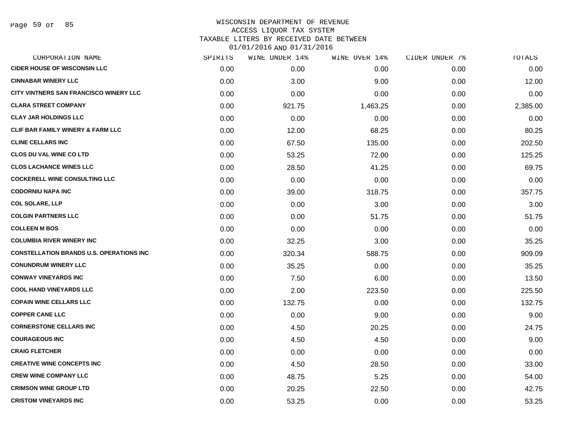## WISCONSIN DEPARTMENT OF REVENUE ACCESS LIQUOR TAX SYSTEM TAXABLE LITERS BY RECEIVED DATE BETWEEN

| CORPORATION NAME                                | SPIRITS | WINE UNDER 14% | WINE OVER 14% | CIDER UNDER 7% | TOTALS   |
|-------------------------------------------------|---------|----------------|---------------|----------------|----------|
| <b>CIDER HOUSE OF WISCONSIN LLC</b>             | 0.00    | 0.00           | 0.00          | 0.00           | 0.00     |
| <b>CINNABAR WINERY LLC</b>                      | 0.00    | 3.00           | 9.00          | 0.00           | 12.00    |
| CITY VINTNERS SAN FRANCISCO WINERY LLC          | 0.00    | 0.00           | 0.00          | 0.00           | 0.00     |
| <b>CLARA STREET COMPANY</b>                     | 0.00    | 921.75         | 1,463.25      | 0.00           | 2,385.00 |
| <b>CLAY JAR HOLDINGS LLC</b>                    | 0.00    | 0.00           | 0.00          | 0.00           | 0.00     |
| <b>CLIF BAR FAMILY WINERY &amp; FARM LLC</b>    | 0.00    | 12.00          | 68.25         | 0.00           | 80.25    |
| <b>CLINE CELLARS INC</b>                        | 0.00    | 67.50          | 135.00        | 0.00           | 202.50   |
| <b>CLOS DU VAL WINE CO LTD</b>                  | 0.00    | 53.25          | 72.00         | 0.00           | 125.25   |
| <b>CLOS LACHANCE WINES LLC</b>                  | 0.00    | 28.50          | 41.25         | 0.00           | 69.75    |
| <b>COCKERELL WINE CONSULTING LLC</b>            | 0.00    | 0.00           | 0.00          | 0.00           | 0.00     |
| <b>CODORNIU NAPA INC</b>                        | 0.00    | 39.00          | 318.75        | 0.00           | 357.75   |
| <b>COL SOLARE, LLP</b>                          | 0.00    | 0.00           | 3.00          | 0.00           | 3.00     |
| <b>COLGIN PARTNERS LLC</b>                      | 0.00    | 0.00           | 51.75         | 0.00           | 51.75    |
| <b>COLLEEN M BOS</b>                            | 0.00    | 0.00           | 0.00          | 0.00           | 0.00     |
| <b>COLUMBIA RIVER WINERY INC</b>                | 0.00    | 32.25          | 3.00          | 0.00           | 35.25    |
| <b>CONSTELLATION BRANDS U.S. OPERATIONS INC</b> | 0.00    | 320.34         | 588.75        | 0.00           | 909.09   |
| <b>CONUNDRUM WINERY LLC</b>                     | 0.00    | 35.25          | 0.00          | 0.00           | 35.25    |
| <b>CONWAY VINEYARDS INC</b>                     | 0.00    | 7.50           | 6.00          | 0.00           | 13.50    |
| <b>COOL HAND VINEYARDS LLC</b>                  | 0.00    | 2.00           | 223.50        | 0.00           | 225.50   |
| <b>COPAIN WINE CELLARS LLC</b>                  | 0.00    | 132.75         | 0.00          | 0.00           | 132.75   |
| <b>COPPER CANE LLC</b>                          | 0.00    | 0.00           | 9.00          | 0.00           | 9.00     |
| <b>CORNERSTONE CELLARS INC</b>                  | 0.00    | 4.50           | 20.25         | 0.00           | 24.75    |
| <b>COURAGEOUS INC</b>                           | 0.00    | 4.50           | 4.50          | 0.00           | 9.00     |
| <b>CRAIG FLETCHER</b>                           | 0.00    | 0.00           | 0.00          | 0.00           | 0.00     |
| <b>CREATIVE WINE CONCEPTS INC</b>               | 0.00    | 4.50           | 28.50         | 0.00           | 33.00    |
| <b>CREW WINE COMPANY LLC</b>                    | 0.00    | 48.75          | 5.25          | 0.00           | 54.00    |
| <b>CRIMSON WINE GROUP LTD</b>                   | 0.00    | 20.25          | 22.50         | 0.00           | 42.75    |
| <b>CRISTOM VINEYARDS INC</b>                    | 0.00    | 53.25          | 0.00          | 0.00           | 53.25    |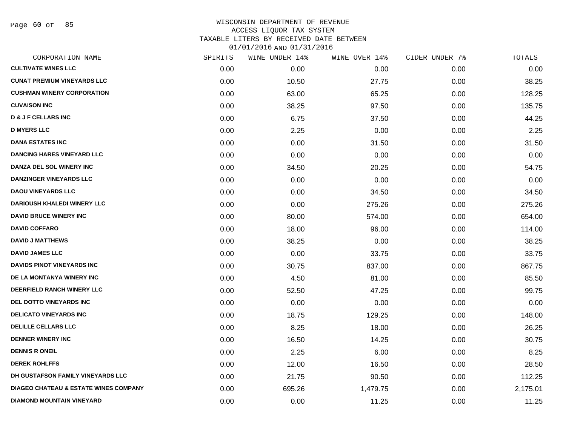Page 60 of 85

# WISCONSIN DEPARTMENT OF REVENUE ACCESS LIQUOR TAX SYSTEM TAXABLE LITERS BY RECEIVED DATE BETWEEN

| CORPORATION NAME                                 | SPIRITS | WINE UNDER 14% | WINE OVER 14% | CIDER UNDER 7% | TOTALS   |
|--------------------------------------------------|---------|----------------|---------------|----------------|----------|
| <b>CULTIVATE WINES LLC</b>                       | 0.00    | 0.00           | 0.00          | 0.00           | 0.00     |
| <b>CUNAT PREMIUM VINEYARDS LLC</b>               | 0.00    | 10.50          | 27.75         | 0.00           | 38.25    |
| <b>CUSHMAN WINERY CORPORATION</b>                | 0.00    | 63.00          | 65.25         | 0.00           | 128.25   |
| <b>CUVAISON INC</b>                              | 0.00    | 38.25          | 97.50         | 0.00           | 135.75   |
| <b>D &amp; J F CELLARS INC</b>                   | 0.00    | 6.75           | 37.50         | 0.00           | 44.25    |
| <b>D MYERS LLC</b>                               | 0.00    | 2.25           | 0.00          | 0.00           | 2.25     |
| <b>DANA ESTATES INC</b>                          | 0.00    | 0.00           | 31.50         | 0.00           | 31.50    |
| <b>DANCING HARES VINEYARD LLC</b>                | 0.00    | 0.00           | 0.00          | 0.00           | 0.00     |
| DANZA DEL SOL WINERY INC                         | 0.00    | 34.50          | 20.25         | 0.00           | 54.75    |
| <b>DANZINGER VINEYARDS LLC</b>                   | 0.00    | 0.00           | 0.00          | 0.00           | 0.00     |
| <b>DAOU VINEYARDS LLC</b>                        | 0.00    | 0.00           | 34.50         | 0.00           | 34.50    |
| <b>DARIOUSH KHALEDI WINERY LLC</b>               | 0.00    | 0.00           | 275.26        | 0.00           | 275.26   |
| <b>DAVID BRUCE WINERY INC</b>                    | 0.00    | 80.00          | 574.00        | 0.00           | 654.00   |
| <b>DAVID COFFARO</b>                             | 0.00    | 18.00          | 96.00         | 0.00           | 114.00   |
| <b>DAVID J MATTHEWS</b>                          | 0.00    | 38.25          | 0.00          | 0.00           | 38.25    |
| <b>DAVID JAMES LLC</b>                           | 0.00    | 0.00           | 33.75         | 0.00           | 33.75    |
| DAVIDS PINOT VINEYARDS INC                       | 0.00    | 30.75          | 837.00        | 0.00           | 867.75   |
| DE LA MONTANYA WINERY INC                        | 0.00    | 4.50           | 81.00         | 0.00           | 85.50    |
| DEERFIELD RANCH WINERY LLC                       | 0.00    | 52.50          | 47.25         | 0.00           | 99.75    |
| <b>DEL DOTTO VINEYARDS INC</b>                   | 0.00    | 0.00           | 0.00          | 0.00           | 0.00     |
| <b>DELICATO VINEYARDS INC</b>                    | 0.00    | 18.75          | 129.25        | 0.00           | 148.00   |
| <b>DELILLE CELLARS LLC</b>                       | 0.00    | 8.25           | 18.00         | 0.00           | 26.25    |
| <b>DENNER WINERY INC</b>                         | 0.00    | 16.50          | 14.25         | 0.00           | 30.75    |
| <b>DENNIS R ONEIL</b>                            | 0.00    | 2.25           | 6.00          | 0.00           | 8.25     |
| <b>DEREK ROHLFFS</b>                             | 0.00    | 12.00          | 16.50         | 0.00           | 28.50    |
| DH GUSTAFSON FAMILY VINEYARDS LLC                | 0.00    | 21.75          | 90.50         | 0.00           | 112.25   |
| <b>DIAGEO CHATEAU &amp; ESTATE WINES COMPANY</b> | 0.00    | 695.26         | 1,479.75      | 0.00           | 2,175.01 |
| <b>DIAMOND MOUNTAIN VINEYARD</b>                 | 0.00    | 0.00           | 11.25         | 0.00           | 11.25    |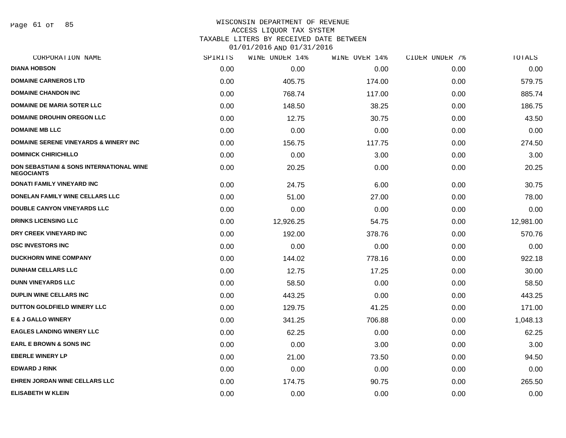Page 61 of 85

### WISCONSIN DEPARTMENT OF REVENUE ACCESS LIQUOR TAX SYSTEM TAXABLE LITERS BY RECEIVED DATE BETWEEN

| CORPORATION NAME                                                         | SPIRITS | WINE UNDER 14% | WINE OVER 14% | CIDER UNDER 7% | TOTALS    |
|--------------------------------------------------------------------------|---------|----------------|---------------|----------------|-----------|
| <b>DIANA HOBSON</b>                                                      | 0.00    | 0.00           | 0.00          | 0.00           | 0.00      |
| <b>DOMAINE CARNEROS LTD</b>                                              | 0.00    | 405.75         | 174.00        | 0.00           | 579.75    |
| <b>DOMAINE CHANDON INC</b>                                               | 0.00    | 768.74         | 117.00        | 0.00           | 885.74    |
| <b>DOMAINE DE MARIA SOTER LLC</b>                                        | 0.00    | 148.50         | 38.25         | 0.00           | 186.75    |
| <b>DOMAINE DROUHIN OREGON LLC</b>                                        | 0.00    | 12.75          | 30.75         | 0.00           | 43.50     |
| <b>DOMAINE MB LLC</b>                                                    | 0.00    | 0.00           | 0.00          | 0.00           | 0.00      |
| <b>DOMAINE SERENE VINEYARDS &amp; WINERY INC</b>                         | 0.00    | 156.75         | 117.75        | 0.00           | 274.50    |
| <b>DOMINICK CHIRICHILLO</b>                                              | 0.00    | 0.00           | 3.00          | 0.00           | 3.00      |
| <b>DON SEBASTIANI &amp; SONS INTERNATIONAL WINE</b><br><b>NEGOCIANTS</b> | 0.00    | 20.25          | 0.00          | 0.00           | 20.25     |
| <b>DONATI FAMILY VINEYARD INC</b>                                        | 0.00    | 24.75          | 6.00          | 0.00           | 30.75     |
| DONELAN FAMILY WINE CELLARS LLC                                          | 0.00    | 51.00          | 27.00         | 0.00           | 78.00     |
| <b>DOUBLE CANYON VINEYARDS LLC</b>                                       | 0.00    | 0.00           | 0.00          | 0.00           | 0.00      |
| <b>DRINKS LICENSING LLC</b>                                              | 0.00    | 12,926.25      | 54.75         | 0.00           | 12,981.00 |
| DRY CREEK VINEYARD INC                                                   | 0.00    | 192.00         | 378.76        | 0.00           | 570.76    |
| <b>DSC INVESTORS INC</b>                                                 | 0.00    | 0.00           | 0.00          | 0.00           | 0.00      |
| <b>DUCKHORN WINE COMPANY</b>                                             | 0.00    | 144.02         | 778.16        | 0.00           | 922.18    |
| <b>DUNHAM CELLARS LLC</b>                                                | 0.00    | 12.75          | 17.25         | 0.00           | 30.00     |
| <b>DUNN VINEYARDS LLC</b>                                                | 0.00    | 58.50          | 0.00          | 0.00           | 58.50     |
| DUPLIN WINE CELLARS INC                                                  | 0.00    | 443.25         | 0.00          | 0.00           | 443.25    |
| DUTTON GOLDFIELD WINERY LLC                                              | 0.00    | 129.75         | 41.25         | 0.00           | 171.00    |
| <b>E &amp; J GALLO WINERY</b>                                            | 0.00    | 341.25         | 706.88        | 0.00           | 1,048.13  |
| <b>EAGLES LANDING WINERY LLC</b>                                         | 0.00    | 62.25          | 0.00          | 0.00           | 62.25     |
| <b>EARL E BROWN &amp; SONS INC</b>                                       | 0.00    | 0.00           | 3.00          | 0.00           | 3.00      |
| <b>EBERLE WINERY LP</b>                                                  | 0.00    | 21.00          | 73.50         | 0.00           | 94.50     |
| <b>EDWARD J RINK</b>                                                     | 0.00    | 0.00           | 0.00          | 0.00           | 0.00      |
| <b>EHREN JORDAN WINE CELLARS LLC</b>                                     | 0.00    | 174.75         | 90.75         | 0.00           | 265.50    |
| <b>ELISABETH W KLEIN</b>                                                 | 0.00    | 0.00           | 0.00          | 0.00           | 0.00      |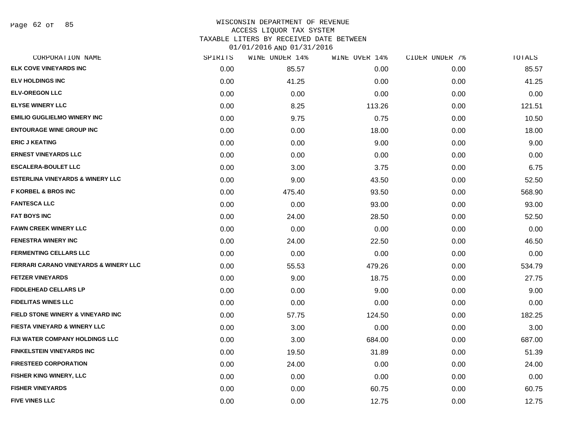Page 62 of 85

## WISCONSIN DEPARTMENT OF REVENUE ACCESS LIQUOR TAX SYSTEM TAXABLE LITERS BY RECEIVED DATE BETWEEN

| CORPORATION NAME                             | SPIRITS | WINE UNDER 14% | WINE OVER 14% | CIDER UNDER 7% | TOTALS |
|----------------------------------------------|---------|----------------|---------------|----------------|--------|
| ELK COVE VINEYARDS INC                       | 0.00    | 85.57          | 0.00          | 0.00           | 85.57  |
| <b>ELV HOLDINGS INC</b>                      | 0.00    | 41.25          | 0.00          | 0.00           | 41.25  |
| <b>ELV-OREGON LLC</b>                        | 0.00    | 0.00           | 0.00          | 0.00           | 0.00   |
| <b>ELYSE WINERY LLC</b>                      | 0.00    | 8.25           | 113.26        | 0.00           | 121.51 |
| <b>EMILIO GUGLIELMO WINERY INC</b>           | 0.00    | 9.75           | 0.75          | 0.00           | 10.50  |
| <b>ENTOURAGE WINE GROUP INC</b>              | 0.00    | 0.00           | 18.00         | 0.00           | 18.00  |
| <b>ERIC J KEATING</b>                        | 0.00    | 0.00           | 9.00          | 0.00           | 9.00   |
| <b>ERNEST VINEYARDS LLC</b>                  | 0.00    | 0.00           | 0.00          | 0.00           | 0.00   |
| <b>ESCALERA-BOULET LLC</b>                   | 0.00    | 3.00           | 3.75          | 0.00           | 6.75   |
| <b>ESTERLINA VINEYARDS &amp; WINERY LLC</b>  | 0.00    | 9.00           | 43.50         | 0.00           | 52.50  |
| <b>F KORBEL &amp; BROS INC</b>               | 0.00    | 475.40         | 93.50         | 0.00           | 568.90 |
| <b>FANTESCA LLC</b>                          | 0.00    | 0.00           | 93.00         | 0.00           | 93.00  |
| <b>FAT BOYS INC</b>                          | 0.00    | 24.00          | 28.50         | 0.00           | 52.50  |
| <b>FAWN CREEK WINERY LLC</b>                 | 0.00    | 0.00           | 0.00          | 0.00           | 0.00   |
| <b>FENESTRA WINERY INC</b>                   | 0.00    | 24.00          | 22.50         | 0.00           | 46.50  |
| <b>FERMENTING CELLARS LLC</b>                | 0.00    | 0.00           | 0.00          | 0.00           | 0.00   |
| FERRARI CARANO VINEYARDS & WINERY LLC        | 0.00    | 55.53          | 479.26        | 0.00           | 534.79 |
| <b>FETZER VINEYARDS</b>                      | 0.00    | 9.00           | 18.75         | 0.00           | 27.75  |
| <b>FIDDLEHEAD CELLARS LP</b>                 | 0.00    | 0.00           | 9.00          | 0.00           | 9.00   |
| <b>FIDELITAS WINES LLC</b>                   | 0.00    | 0.00           | 0.00          | 0.00           | 0.00   |
| <b>FIELD STONE WINERY &amp; VINEYARD INC</b> | 0.00    | 57.75          | 124.50        | 0.00           | 182.25 |
| <b>FIESTA VINEYARD &amp; WINERY LLC</b>      | 0.00    | 3.00           | 0.00          | 0.00           | 3.00   |
| FIJI WATER COMPANY HOLDINGS LLC              | 0.00    | 3.00           | 684.00        | 0.00           | 687.00 |
| <b>FINKELSTEIN VINEYARDS INC</b>             | 0.00    | 19.50          | 31.89         | 0.00           | 51.39  |
| <b>FIRESTEED CORPORATION</b>                 | 0.00    | 24.00          | 0.00          | 0.00           | 24.00  |
| <b>FISHER KING WINERY, LLC</b>               | 0.00    | 0.00           | 0.00          | 0.00           | 0.00   |
| <b>FISHER VINEYARDS</b>                      | 0.00    | 0.00           | 60.75         | 0.00           | 60.75  |
| <b>FIVE VINES LLC</b>                        | 0.00    | 0.00           | 12.75         | 0.00           | 12.75  |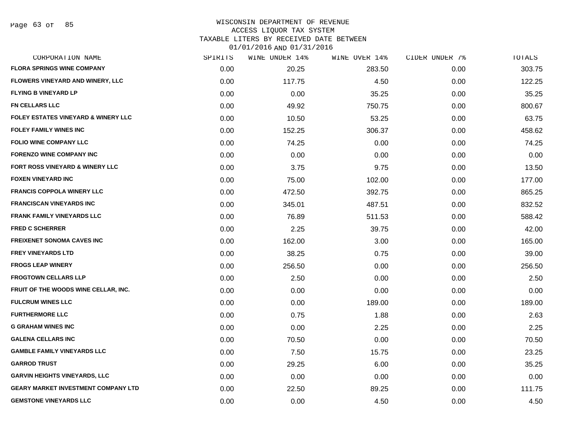#### WISCONSIN DEPARTMENT OF REVENUE ACCESS LIQUOR TAX SYSTEM TAXABLE LITERS BY RECEIVED DATE BETWEEN

| CORPORATION NAME                               | SPIRITS | WINE UNDER 14% | WINE OVER 14% | CIDER UNDER 7% | TOTALS |
|------------------------------------------------|---------|----------------|---------------|----------------|--------|
| <b>FLORA SPRINGS WINE COMPANY</b>              | 0.00    | 20.25          | 283.50        | 0.00           | 303.75 |
| FLOWERS VINEYARD AND WINERY, LLC               | 0.00    | 117.75         | 4.50          | 0.00           | 122.25 |
| <b>FLYING B VINEYARD LP</b>                    | 0.00    | 0.00           | 35.25         | 0.00           | 35.25  |
| <b>FN CELLARS LLC</b>                          | 0.00    | 49.92          | 750.75        | 0.00           | 800.67 |
| <b>FOLEY ESTATES VINEYARD &amp; WINERY LLC</b> | 0.00    | 10.50          | 53.25         | 0.00           | 63.75  |
| <b>FOLEY FAMILY WINES INC</b>                  | 0.00    | 152.25         | 306.37        | 0.00           | 458.62 |
| <b>FOLIO WINE COMPANY LLC</b>                  | 0.00    | 74.25          | 0.00          | 0.00           | 74.25  |
| <b>FORENZO WINE COMPANY INC</b>                | 0.00    | 0.00           | 0.00          | 0.00           | 0.00   |
| FORT ROSS VINEYARD & WINERY LLC                | 0.00    | 3.75           | 9.75          | 0.00           | 13.50  |
| <b>FOXEN VINEYARD INC</b>                      | 0.00    | 75.00          | 102.00        | 0.00           | 177.00 |
| <b>FRANCIS COPPOLA WINERY LLC</b>              | 0.00    | 472.50         | 392.75        | 0.00           | 865.25 |
| FRANCISCAN VINEYARDS INC                       | 0.00    | 345.01         | 487.51        | 0.00           | 832.52 |
| <b>FRANK FAMILY VINEYARDS LLC</b>              | 0.00    | 76.89          | 511.53        | 0.00           | 588.42 |
| <b>FRED C SCHERRER</b>                         | 0.00    | 2.25           | 39.75         | 0.00           | 42.00  |
| <b>FREIXENET SONOMA CAVES INC</b>              | 0.00    | 162.00         | 3.00          | 0.00           | 165.00 |
| <b>FREY VINEYARDS LTD</b>                      | 0.00    | 38.25          | 0.75          | 0.00           | 39.00  |
| <b>FROGS LEAP WINERY</b>                       | 0.00    | 256.50         | 0.00          | 0.00           | 256.50 |
| <b>FROGTOWN CELLARS LLP</b>                    | 0.00    | 2.50           | 0.00          | 0.00           | 2.50   |
| FRUIT OF THE WOODS WINE CELLAR, INC.           | 0.00    | 0.00           | 0.00          | 0.00           | 0.00   |
| <b>FULCRUM WINES LLC</b>                       | 0.00    | 0.00           | 189.00        | 0.00           | 189.00 |
| <b>FURTHERMORE LLC</b>                         | 0.00    | 0.75           | 1.88          | 0.00           | 2.63   |
| <b>G GRAHAM WINES INC</b>                      | 0.00    | 0.00           | 2.25          | 0.00           | 2.25   |
| <b>GALENA CELLARS INC</b>                      | 0.00    | 70.50          | 0.00          | 0.00           | 70.50  |
| <b>GAMBLE FAMILY VINEYARDS LLC</b>             | 0.00    | 7.50           | 15.75         | 0.00           | 23.25  |
| <b>GARROD TRUST</b>                            | 0.00    | 29.25          | 6.00          | 0.00           | 35.25  |
| <b>GARVIN HEIGHTS VINEYARDS, LLC</b>           | 0.00    | 0.00           | 0.00          | 0.00           | 0.00   |
| <b>GEARY MARKET INVESTMENT COMPANY LTD</b>     | 0.00    | 22.50          | 89.25         | 0.00           | 111.75 |
| <b>GEMSTONE VINEYARDS LLC</b>                  | 0.00    | 0.00           | 4.50          | 0.00           | 4.50   |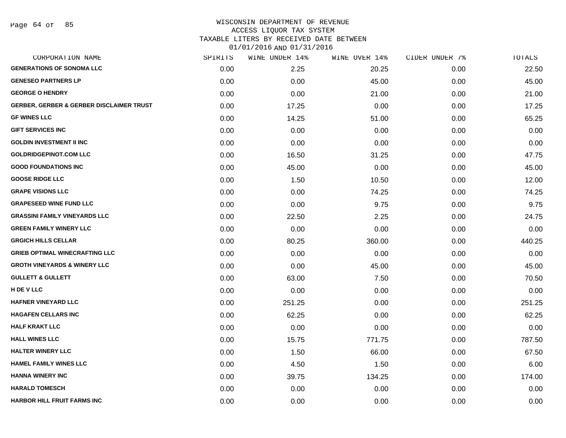#### WISCONSIN DEPARTMENT OF REVENUE ACCESS LIQUOR TAX SYSTEM

TAXABLE LITERS BY RECEIVED DATE BETWEEN

| CORPORATION NAME                                    | SPIRITS | WINE UNDER 14% | WINE OVER 14% | CIDER UNDER 7% | TOTALS |
|-----------------------------------------------------|---------|----------------|---------------|----------------|--------|
| <b>GENERATIONS OF SONOMA LLC</b>                    | 0.00    | 2.25           | 20.25         | 0.00           | 22.50  |
| <b>GENESEO PARTNERS LP</b>                          | 0.00    | 0.00           | 45.00         | 0.00           | 45.00  |
| <b>GEORGE O HENDRY</b>                              | 0.00    | 0.00           | 21.00         | 0.00           | 21.00  |
| <b>GERBER, GERBER &amp; GERBER DISCLAIMER TRUST</b> | 0.00    | 17.25          | 0.00          | 0.00           | 17.25  |
| <b>GF WINES LLC</b>                                 | 0.00    | 14.25          | 51.00         | 0.00           | 65.25  |
| <b>GIFT SERVICES INC</b>                            | 0.00    | 0.00           | 0.00          | 0.00           | 0.00   |
| <b>GOLDIN INVESTMENT II INC</b>                     | 0.00    | 0.00           | 0.00          | 0.00           | 0.00   |
| <b>GOLDRIDGEPINOT.COM LLC</b>                       | 0.00    | 16.50          | 31.25         | 0.00           | 47.75  |
| <b>GOOD FOUNDATIONS INC</b>                         | 0.00    | 45.00          | 0.00          | 0.00           | 45.00  |
| <b>GOOSE RIDGE LLC</b>                              | 0.00    | 1.50           | 10.50         | 0.00           | 12.00  |
| <b>GRAPE VISIONS LLC</b>                            | 0.00    | 0.00           | 74.25         | 0.00           | 74.25  |
| <b>GRAPESEED WINE FUND LLC</b>                      | 0.00    | 0.00           | 9.75          | 0.00           | 9.75   |
| <b>GRASSINI FAMILY VINEYARDS LLC</b>                | 0.00    | 22.50          | 2.25          | 0.00           | 24.75  |
| <b>GREEN FAMILY WINERY LLC</b>                      | 0.00    | 0.00           | 0.00          | 0.00           | 0.00   |
| <b>GRGICH HILLS CELLAR</b>                          | 0.00    | 80.25          | 360.00        | 0.00           | 440.25 |
| <b>GRIEB OPTIMAL WINECRAFTING LLC</b>               | 0.00    | 0.00           | 0.00          | 0.00           | 0.00   |
| <b>GROTH VINEYARDS &amp; WINERY LLC</b>             | 0.00    | 0.00           | 45.00         | 0.00           | 45.00  |
| <b>GULLETT &amp; GULLETT</b>                        | 0.00    | 63.00          | 7.50          | 0.00           | 70.50  |
| H DE V LLC                                          | 0.00    | 0.00           | 0.00          | 0.00           | 0.00   |
| <b>HAFNER VINEYARD LLC</b>                          | 0.00    | 251.25         | 0.00          | 0.00           | 251.25 |
| <b>HAGAFEN CELLARS INC</b>                          | 0.00    | 62.25          | 0.00          | 0.00           | 62.25  |
| <b>HALF KRAKT LLC</b>                               | 0.00    | 0.00           | 0.00          | 0.00           | 0.00   |
| <b>HALL WINES LLC</b>                               | 0.00    | 15.75          | 771.75        | 0.00           | 787.50 |
| <b>HALTER WINERY LLC</b>                            | 0.00    | 1.50           | 66.00         | 0.00           | 67.50  |
| <b>HAMEL FAMILY WINES LLC</b>                       | 0.00    | 4.50           | 1.50          | 0.00           | 6.00   |
| <b>HANNA WINERY INC</b>                             | 0.00    | 39.75          | 134.25        | 0.00           | 174.00 |
| <b>HARALD TOMESCH</b>                               | 0.00    | 0.00           | 0.00          | 0.00           | 0.00   |
| <b>HARBOR HILL FRUIT FARMS INC</b>                  | 0.00    | 0.00           | 0.00          | 0.00           | 0.00   |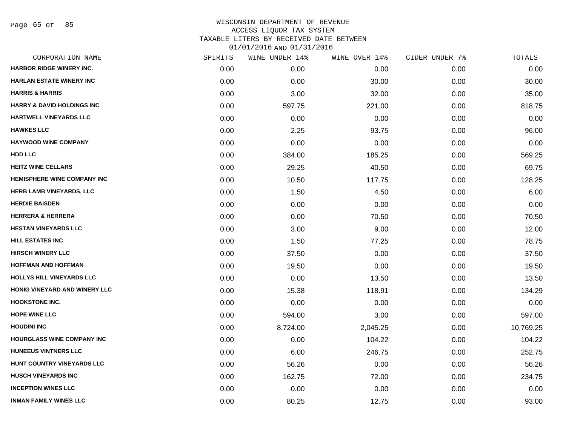Page 65 of 85

| CORPORATION NAME                      | SPIRITS | WINE UNDER 14% | WINE OVER 14% | CIDER UNDER 7% | TOTALS    |
|---------------------------------------|---------|----------------|---------------|----------------|-----------|
| HARBOR RIDGE WINERY INC.              | 0.00    | 0.00           | 0.00          | 0.00           | 0.00      |
| <b>HARLAN ESTATE WINERY INC</b>       | 0.00    | 0.00           | 30.00         | 0.00           | 30.00     |
| <b>HARRIS &amp; HARRIS</b>            | 0.00    | 3.00           | 32.00         | 0.00           | 35.00     |
| <b>HARRY &amp; DAVID HOLDINGS INC</b> | 0.00    | 597.75         | 221.00        | 0.00           | 818.75    |
| <b>HARTWELL VINEYARDS LLC</b>         | 0.00    | 0.00           | 0.00          | 0.00           | 0.00      |
| <b>HAWKES LLC</b>                     | 0.00    | 2.25           | 93.75         | 0.00           | 96.00     |
| <b>HAYWOOD WINE COMPANY</b>           | 0.00    | 0.00           | 0.00          | 0.00           | 0.00      |
| <b>HDD LLC</b>                        | 0.00    | 384.00         | 185.25        | 0.00           | 569.25    |
| <b>HEITZ WINE CELLARS</b>             | 0.00    | 29.25          | 40.50         | 0.00           | 69.75     |
| <b>HEMISPHERE WINE COMPANY INC</b>    | 0.00    | 10.50          | 117.75        | 0.00           | 128.25    |
| <b>HERB LAMB VINEYARDS, LLC</b>       | 0.00    | 1.50           | 4.50          | 0.00           | 6.00      |
| <b>HERDIE BAISDEN</b>                 | 0.00    | 0.00           | 0.00          | 0.00           | 0.00      |
| <b>HERRERA &amp; HERRERA</b>          | 0.00    | 0.00           | 70.50         | 0.00           | 70.50     |
| <b>HESTAN VINEYARDS LLC</b>           | 0.00    | 3.00           | 9.00          | 0.00           | 12.00     |
| <b>HILL ESTATES INC</b>               | 0.00    | 1.50           | 77.25         | 0.00           | 78.75     |
| <b>HIRSCH WINERY LLC</b>              | 0.00    | 37.50          | 0.00          | 0.00           | 37.50     |
| <b>HOFFMAN AND HOFFMAN</b>            | 0.00    | 19.50          | 0.00          | 0.00           | 19.50     |
| <b>HOLLYS HILL VINEYARDS LLC</b>      | 0.00    | 0.00           | 13.50         | 0.00           | 13.50     |
| HONIG VINEYARD AND WINERY LLC         | 0.00    | 15.38          | 118.91        | 0.00           | 134.29    |
| <b>HOOKSTONE INC.</b>                 | 0.00    | 0.00           | 0.00          | 0.00           | 0.00      |
| <b>HOPE WINE LLC</b>                  | 0.00    | 594.00         | 3.00          | 0.00           | 597.00    |
| <b>HOUDINI INC</b>                    | 0.00    | 8,724.00       | 2,045.25      | 0.00           | 10,769.25 |
| <b>HOURGLASS WINE COMPANY INC</b>     | 0.00    | 0.00           | 104.22        | 0.00           | 104.22    |
| <b>HUNEEUS VINTNERS LLC</b>           | 0.00    | 6.00           | 246.75        | 0.00           | 252.75    |
| HUNT COUNTRY VINEYARDS LLC            | 0.00    | 56.26          | 0.00          | 0.00           | 56.26     |
| <b>HUSCH VINEYARDS INC</b>            | 0.00    | 162.75         | 72.00         | 0.00           | 234.75    |
| <b>INCEPTION WINES LLC</b>            | 0.00    | 0.00           | 0.00          | 0.00           | 0.00      |
| <b>INMAN FAMILY WINES LLC</b>         | 0.00    | 80.25          | 12.75         | 0.00           | 93.00     |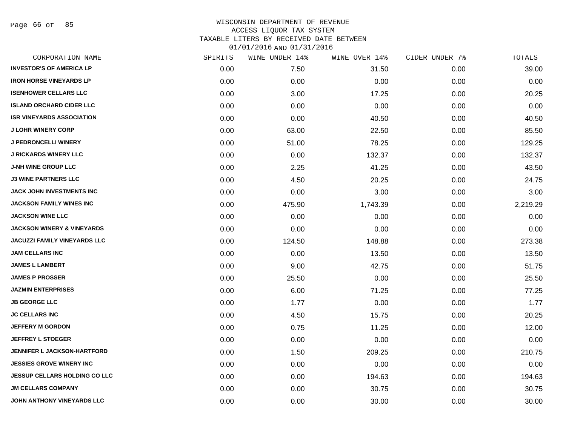Page 66 of 85

| CORPORATION NAME                      | SPIRITS | WINE UNDER 14% | WINE OVER 14% | CIDER UNDER 7% | <b>TOTALS</b> |
|---------------------------------------|---------|----------------|---------------|----------------|---------------|
| <b>INVESTOR'S OF AMERICA LP</b>       | 0.00    | 7.50           | 31.50         | 0.00           | 39.00         |
| <b>IRON HORSE VINEYARDS LP</b>        | 0.00    | 0.00           | 0.00          | 0.00           | 0.00          |
| <b>ISENHOWER CELLARS LLC</b>          | 0.00    | 3.00           | 17.25         | 0.00           | 20.25         |
| <b>ISLAND ORCHARD CIDER LLC</b>       | 0.00    | 0.00           | 0.00          | 0.00           | 0.00          |
| <b>ISR VINEYARDS ASSOCIATION</b>      | 0.00    | 0.00           | 40.50         | 0.00           | 40.50         |
| <b>J LOHR WINERY CORP</b>             | 0.00    | 63.00          | 22.50         | 0.00           | 85.50         |
| <b>J PEDRONCELLI WINERY</b>           | 0.00    | 51.00          | 78.25         | 0.00           | 129.25        |
| <b>J RICKARDS WINERY LLC</b>          | 0.00    | 0.00           | 132.37        | 0.00           | 132.37        |
| <b>J-NH WINE GROUP LLC</b>            | 0.00    | 2.25           | 41.25         | 0.00           | 43.50         |
| <b>J3 WINE PARTNERS LLC</b>           | 0.00    | 4.50           | 20.25         | 0.00           | 24.75         |
| <b>JACK JOHN INVESTMENTS INC</b>      | 0.00    | 0.00           | 3.00          | 0.00           | 3.00          |
| <b>JACKSON FAMILY WINES INC</b>       | 0.00    | 475.90         | 1,743.39      | 0.00           | 2,219.29      |
| <b>JACKSON WINE LLC</b>               | 0.00    | 0.00           | 0.00          | 0.00           | 0.00          |
| <b>JACKSON WINERY &amp; VINEYARDS</b> | 0.00    | 0.00           | 0.00          | 0.00           | 0.00          |
| <b>JACUZZI FAMILY VINEYARDS LLC</b>   | 0.00    | 124.50         | 148.88        | 0.00           | 273.38        |
| <b>JAM CELLARS INC</b>                | 0.00    | 0.00           | 13.50         | 0.00           | 13.50         |
| <b>JAMES L LAMBERT</b>                | 0.00    | 9.00           | 42.75         | 0.00           | 51.75         |
| <b>JAMES P PROSSER</b>                | 0.00    | 25.50          | 0.00          | 0.00           | 25.50         |
| <b>JAZMIN ENTERPRISES</b>             | 0.00    | 6.00           | 71.25         | 0.00           | 77.25         |
| <b>JB GEORGE LLC</b>                  | 0.00    | 1.77           | 0.00          | 0.00           | 1.77          |
| <b>JC CELLARS INC</b>                 | 0.00    | 4.50           | 15.75         | 0.00           | 20.25         |
| <b>JEFFERY M GORDON</b>               | 0.00    | 0.75           | 11.25         | 0.00           | 12.00         |
| <b>JEFFREY L STOEGER</b>              | 0.00    | 0.00           | 0.00          | 0.00           | 0.00          |
| JENNIFER L JACKSON-HARTFORD           | 0.00    | 1.50           | 209.25        | 0.00           | 210.75        |
| <b>JESSIES GROVE WINERY INC</b>       | 0.00    | 0.00           | 0.00          | 0.00           | 0.00          |
| <b>JESSUP CELLARS HOLDING CO LLC</b>  | 0.00    | 0.00           | 194.63        | 0.00           | 194.63        |
| <b>JM CELLARS COMPANY</b>             | 0.00    | 0.00           | 30.75         | 0.00           | 30.75         |
| JOHN ANTHONY VINEYARDS LLC            | 0.00    | 0.00           | 30.00         | 0.00           | 30.00         |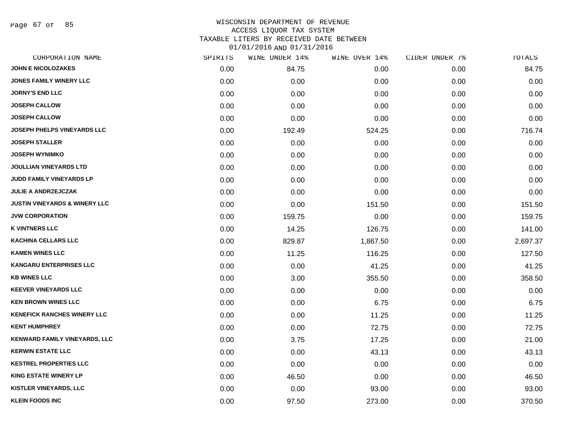Page 67 of 85

#### WISCONSIN DEPARTMENT OF REVENUE ACCESS LIQUOR TAX SYSTEM

TAXABLE LITERS BY RECEIVED DATE BETWEEN

| CORPORATION NAME                         | SPIRITS | WINE UNDER 14% | WINE OVER 14% | CIDER UNDER 7% | TOTALS   |
|------------------------------------------|---------|----------------|---------------|----------------|----------|
| <b>JOHN E NICOLOZAKES</b>                | 0.00    | 84.75          | 0.00          | 0.00           | 84.75    |
| <b>JONES FAMILY WINERY LLC</b>           | 0.00    | 0.00           | 0.00          | 0.00           | 0.00     |
| <b>JORNY'S END LLC</b>                   | 0.00    | 0.00           | 0.00          | 0.00           | 0.00     |
| <b>JOSEPH CALLOW</b>                     | 0.00    | 0.00           | 0.00          | 0.00           | 0.00     |
| <b>JOSEPH CALLOW</b>                     | 0.00    | 0.00           | 0.00          | 0.00           | 0.00     |
| <b>JOSEPH PHELPS VINEYARDS LLC</b>       | 0.00    | 192.49         | 524.25        | 0.00           | 716.74   |
| <b>JOSEPH STALLER</b>                    | 0.00    | 0.00           | 0.00          | 0.00           | 0.00     |
| <b>JOSEPH WYNIMKO</b>                    | 0.00    | 0.00           | 0.00          | 0.00           | 0.00     |
| <b>JOULLIAN VINEYARDS LTD</b>            | 0.00    | 0.00           | 0.00          | 0.00           | 0.00     |
| JUDD FAMILY VINEYARDS LP                 | 0.00    | 0.00           | 0.00          | 0.00           | 0.00     |
| <b>JULIE A ANDRZEJCZAK</b>               | 0.00    | 0.00           | 0.00          | 0.00           | 0.00     |
| <b>JUSTIN VINEYARDS &amp; WINERY LLC</b> | 0.00    | 0.00           | 151.50        | 0.00           | 151.50   |
| <b>JVW CORPORATION</b>                   | 0.00    | 159.75         | 0.00          | 0.00           | 159.75   |
| <b>K VINTNERS LLC</b>                    | 0.00    | 14.25          | 126.75        | 0.00           | 141.00   |
| <b>KACHINA CELLARS LLC</b>               | 0.00    | 829.87         | 1,867.50      | 0.00           | 2,697.37 |
| <b>KAMEN WINES LLC</b>                   | 0.00    | 11.25          | 116.25        | 0.00           | 127.50   |
| <b>KANGARU ENTERPRISES LLC</b>           | 0.00    | 0.00           | 41.25         | 0.00           | 41.25    |
| <b>KB WINES LLC</b>                      | 0.00    | 3.00           | 355.50        | 0.00           | 358.50   |
| <b>KEEVER VINEYARDS LLC</b>              | 0.00    | 0.00           | 0.00          | 0.00           | 0.00     |
| <b>KEN BROWN WINES LLC</b>               | 0.00    | 0.00           | 6.75          | 0.00           | 6.75     |
| <b>KENEFICK RANCHES WINERY LLC</b>       | 0.00    | 0.00           | 11.25         | 0.00           | 11.25    |
| <b>KENT HUMPHREY</b>                     | 0.00    | 0.00           | 72.75         | 0.00           | 72.75    |
| <b>KENWARD FAMILY VINEYARDS, LLC</b>     | 0.00    | 3.75           | 17.25         | 0.00           | 21.00    |
| <b>KERWIN ESTATE LLC</b>                 | 0.00    | 0.00           | 43.13         | 0.00           | 43.13    |
| <b>KESTREL PROPERTIES LLC</b>            | 0.00    | 0.00           | 0.00          | 0.00           | 0.00     |
| <b>KING ESTATE WINERY LP</b>             | 0.00    | 46.50          | 0.00          | 0.00           | 46.50    |
| <b>KISTLER VINEYARDS, LLC</b>            | 0.00    | 0.00           | 93.00         | 0.00           | 93.00    |
| <b>KLEIN FOODS INC</b>                   | 0.00    | 97.50          | 273.00        | 0.00           | 370.50   |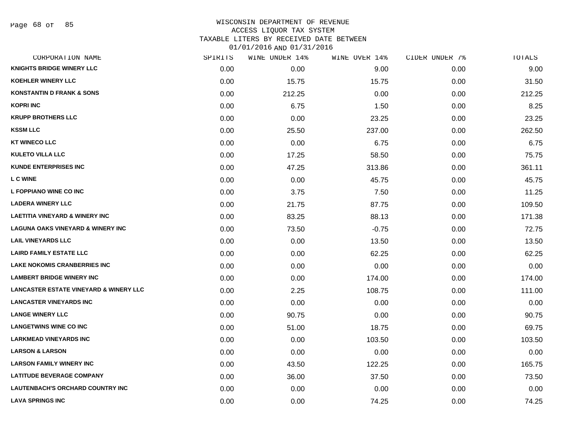#### WISCONSIN DEPARTMENT OF REVENUE ACCESS LIQUOR TAX SYSTEM

TAXABLE LITERS BY RECEIVED DATE BETWEEN

| CORPORATION NAME                                  | SPIRITS | WINE UNDER 14% | WINE OVER 14% | CIDER UNDER 7% | TOTALS |
|---------------------------------------------------|---------|----------------|---------------|----------------|--------|
| <b>KNIGHTS BRIDGE WINERY LLC</b>                  | 0.00    | 0.00           | 9.00          | 0.00           | 9.00   |
| <b>KOEHLER WINERY LLC</b>                         | 0.00    | 15.75          | 15.75         | 0.00           | 31.50  |
| <b>KONSTANTIN D FRANK &amp; SONS</b>              | 0.00    | 212.25         | 0.00          | 0.00           | 212.25 |
| <b>KOPRI INC</b>                                  | 0.00    | 6.75           | 1.50          | 0.00           | 8.25   |
| <b>KRUPP BROTHERS LLC</b>                         | 0.00    | 0.00           | 23.25         | 0.00           | 23.25  |
| <b>KSSM LLC</b>                                   | 0.00    | 25.50          | 237.00        | 0.00           | 262.50 |
| <b>KT WINECO LLC</b>                              | 0.00    | 0.00           | 6.75          | 0.00           | 6.75   |
| <b>KULETO VILLA LLC</b>                           | 0.00    | 17.25          | 58.50         | 0.00           | 75.75  |
| <b>KUNDE ENTERPRISES INC</b>                      | 0.00    | 47.25          | 313.86        | 0.00           | 361.11 |
| <b>L C WINE</b>                                   | 0.00    | 0.00           | 45.75         | 0.00           | 45.75  |
| L FOPPIANO WINE CO INC                            | 0.00    | 3.75           | 7.50          | 0.00           | 11.25  |
| <b>LADERA WINERY LLC</b>                          | 0.00    | 21.75          | 87.75         | 0.00           | 109.50 |
| <b>LAETITIA VINEYARD &amp; WINERY INC</b>         | 0.00    | 83.25          | 88.13         | 0.00           | 171.38 |
| <b>LAGUNA OAKS VINEYARD &amp; WINERY INC</b>      | 0.00    | 73.50          | $-0.75$       | 0.00           | 72.75  |
| <b>LAIL VINEYARDS LLC</b>                         | 0.00    | 0.00           | 13.50         | 0.00           | 13.50  |
| <b>LAIRD FAMILY ESTATE LLC</b>                    | 0.00    | 0.00           | 62.25         | 0.00           | 62.25  |
| <b>LAKE NOKOMIS CRANBERRIES INC</b>               | 0.00    | 0.00           | 0.00          | 0.00           | 0.00   |
| <b>LAMBERT BRIDGE WINERY INC</b>                  | 0.00    | 0.00           | 174.00        | 0.00           | 174.00 |
| <b>LANCASTER ESTATE VINEYARD &amp; WINERY LLC</b> | 0.00    | 2.25           | 108.75        | 0.00           | 111.00 |
| <b>LANCASTER VINEYARDS INC</b>                    | 0.00    | 0.00           | 0.00          | 0.00           | 0.00   |
| <b>LANGE WINERY LLC</b>                           | 0.00    | 90.75          | 0.00          | 0.00           | 90.75  |
| <b>LANGETWINS WINE CO INC</b>                     | 0.00    | 51.00          | 18.75         | 0.00           | 69.75  |
| <b>LARKMEAD VINEYARDS INC</b>                     | 0.00    | 0.00           | 103.50        | 0.00           | 103.50 |
| <b>LARSON &amp; LARSON</b>                        | 0.00    | 0.00           | 0.00          | 0.00           | 0.00   |
| <b>LARSON FAMILY WINERY INC</b>                   | 0.00    | 43.50          | 122.25        | 0.00           | 165.75 |
| <b>LATITUDE BEVERAGE COMPANY</b>                  | 0.00    | 36.00          | 37.50         | 0.00           | 73.50  |
| <b>LAUTENBACH'S ORCHARD COUNTRY INC</b>           | 0.00    | 0.00           | 0.00          | 0.00           | 0.00   |
| <b>LAVA SPRINGS INC</b>                           | 0.00    | 0.00           | 74.25         | 0.00           | 74.25  |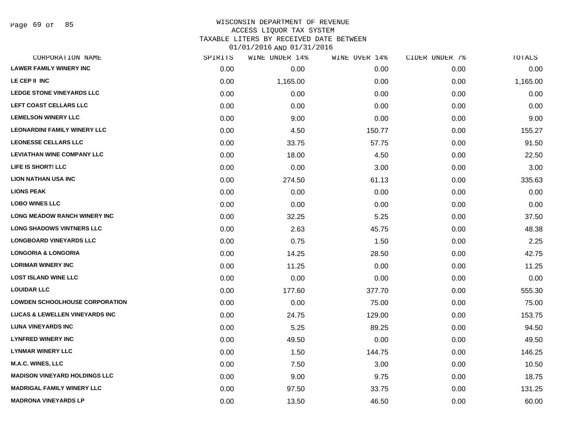Page 69 of 85

#### WISCONSIN DEPARTMENT OF REVENUE ACCESS LIQUOR TAX SYSTEM TAXABLE LITERS BY RECEIVED DATE BETWEEN

| CORPORATION NAME                          | SPIRITS | WINE UNDER 14% | WINE OVER 14% | CIDER UNDER 7% | <b>TOTALS</b> |
|-------------------------------------------|---------|----------------|---------------|----------------|---------------|
| <b>LAWER FAMILY WINERY INC</b>            | 0.00    | 0.00           | 0.00          | 0.00           | 0.00          |
| LE CEP II INC                             | 0.00    | 1,165.00       | 0.00          | 0.00           | 1,165.00      |
| <b>LEDGE STONE VINEYARDS LLC</b>          | 0.00    | 0.00           | 0.00          | 0.00           | 0.00          |
| LEFT COAST CELLARS LLC                    | 0.00    | 0.00           | 0.00          | 0.00           | 0.00          |
| <b>LEMELSON WINERY LLC</b>                | 0.00    | 9.00           | 0.00          | 0.00           | 9.00          |
| <b>LEONARDINI FAMILY WINERY LLC</b>       | 0.00    | 4.50           | 150.77        | 0.00           | 155.27        |
| <b>LEONESSE CELLARS LLC</b>               | 0.00    | 33.75          | 57.75         | 0.00           | 91.50         |
| <b>LEVIATHAN WINE COMPANY LLC</b>         | 0.00    | 18.00          | 4.50          | 0.00           | 22.50         |
| LIFE IS SHORT! LLC                        | 0.00    | 0.00           | 3.00          | 0.00           | 3.00          |
| <b>LION NATHAN USA INC</b>                | 0.00    | 274.50         | 61.13         | 0.00           | 335.63        |
| <b>LIONS PEAK</b>                         | 0.00    | 0.00           | 0.00          | 0.00           | 0.00          |
| <b>LOBO WINES LLC</b>                     | 0.00    | 0.00           | 0.00          | 0.00           | 0.00          |
| <b>LONG MEADOW RANCH WINERY INC</b>       | 0.00    | 32.25          | 5.25          | 0.00           | 37.50         |
| <b>LONG SHADOWS VINTNERS LLC</b>          | 0.00    | 2.63           | 45.75         | 0.00           | 48.38         |
| <b>LONGBOARD VINEYARDS LLC</b>            | 0.00    | 0.75           | 1.50          | 0.00           | 2.25          |
| <b>LONGORIA &amp; LONGORIA</b>            | 0.00    | 14.25          | 28.50         | 0.00           | 42.75         |
| <b>LORIMAR WINERY INC</b>                 | 0.00    | 11.25          | 0.00          | 0.00           | 11.25         |
| <b>LOST ISLAND WINE LLC</b>               | 0.00    | 0.00           | 0.00          | 0.00           | 0.00          |
| <b>LOUIDAR LLC</b>                        | 0.00    | 177.60         | 377.70        | 0.00           | 555.30        |
| <b>LOWDEN SCHOOLHOUSE CORPORATION</b>     | 0.00    | 0.00           | 75.00         | 0.00           | 75.00         |
| <b>LUCAS &amp; LEWELLEN VINEYARDS INC</b> | 0.00    | 24.75          | 129.00        | 0.00           | 153.75        |
| <b>LUNA VINEYARDS INC</b>                 | 0.00    | 5.25           | 89.25         | 0.00           | 94.50         |
| <b>LYNFRED WINERY INC</b>                 | 0.00    | 49.50          | 0.00          | 0.00           | 49.50         |
| <b>LYNMAR WINERY LLC</b>                  | 0.00    | 1.50           | 144.75        | 0.00           | 146.25        |
| <b>M.A.C. WINES, LLC</b>                  | 0.00    | 7.50           | 3.00          | 0.00           | 10.50         |
| <b>MADISON VINEYARD HOLDINGS LLC</b>      | 0.00    | 9.00           | 9.75          | 0.00           | 18.75         |
| <b>MADRIGAL FAMILY WINERY LLC</b>         | 0.00    | 97.50          | 33.75         | 0.00           | 131.25        |
| <b>MADRONA VINEYARDS LP</b>               | 0.00    | 13.50          | 46.50         | 0.00           | 60.00         |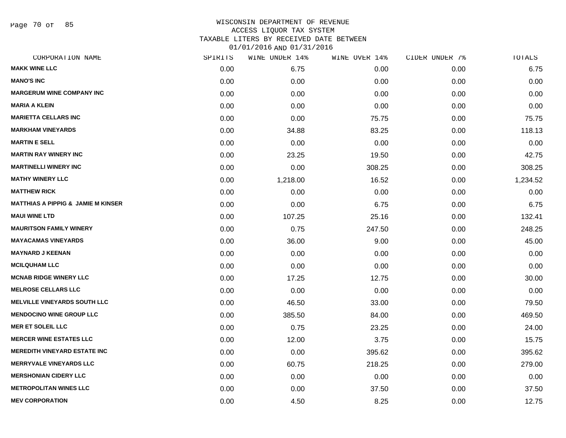Page 70 of 85

# WISCONSIN DEPARTMENT OF REVENUE ACCESS LIQUOR TAX SYSTEM TAXABLE LITERS BY RECEIVED DATE BETWEEN

| CORPORATION NAME                              | SPIRITS | WINE UNDER 14% | WINE OVER 14% | CIDER UNDER 7% | TOTALS   |
|-----------------------------------------------|---------|----------------|---------------|----------------|----------|
| <b>MAKK WINE LLC</b>                          | 0.00    | 6.75           | 0.00          | 0.00           | 6.75     |
| <b>MANO'S INC</b>                             | 0.00    | 0.00           | 0.00          | 0.00           | 0.00     |
| <b>MARGERUM WINE COMPANY INC</b>              | 0.00    | 0.00           | 0.00          | 0.00           | 0.00     |
| <b>MARIA A KLEIN</b>                          | 0.00    | 0.00           | 0.00          | 0.00           | 0.00     |
| <b>MARIETTA CELLARS INC</b>                   | 0.00    | 0.00           | 75.75         | 0.00           | 75.75    |
| <b>MARKHAM VINEYARDS</b>                      | 0.00    | 34.88          | 83.25         | 0.00           | 118.13   |
| <b>MARTIN E SELL</b>                          | 0.00    | 0.00           | 0.00          | 0.00           | 0.00     |
| <b>MARTIN RAY WINERY INC</b>                  | 0.00    | 23.25          | 19.50         | 0.00           | 42.75    |
| <b>MARTINELLI WINERY INC</b>                  | 0.00    | 0.00           | 308.25        | 0.00           | 308.25   |
| <b>MATHY WINERY LLC</b>                       | 0.00    | 1,218.00       | 16.52         | 0.00           | 1,234.52 |
| <b>MATTHEW RICK</b>                           | 0.00    | 0.00           | 0.00          | 0.00           | 0.00     |
| <b>MATTHIAS A PIPPIG &amp; JAMIE M KINSER</b> | 0.00    | 0.00           | 6.75          | 0.00           | 6.75     |
| <b>MAUI WINE LTD</b>                          | 0.00    | 107.25         | 25.16         | 0.00           | 132.41   |
| <b>MAURITSON FAMILY WINERY</b>                | 0.00    | 0.75           | 247.50        | 0.00           | 248.25   |
| <b>MAYACAMAS VINEYARDS</b>                    | 0.00    | 36.00          | 9.00          | 0.00           | 45.00    |
| <b>MAYNARD J KEENAN</b>                       | 0.00    | 0.00           | 0.00          | 0.00           | 0.00     |
| <b>MCILQUHAM LLC</b>                          | 0.00    | 0.00           | 0.00          | 0.00           | 0.00     |
| <b>MCNAB RIDGE WINERY LLC</b>                 | 0.00    | 17.25          | 12.75         | 0.00           | 30.00    |
| <b>MELROSE CELLARS LLC</b>                    | 0.00    | 0.00           | 0.00          | 0.00           | 0.00     |
| <b>MELVILLE VINEYARDS SOUTH LLC</b>           | 0.00    | 46.50          | 33.00         | 0.00           | 79.50    |
| <b>MENDOCINO WINE GROUP LLC</b>               | 0.00    | 385.50         | 84.00         | 0.00           | 469.50   |
| <b>MER ET SOLEIL LLC</b>                      | 0.00    | 0.75           | 23.25         | 0.00           | 24.00    |
| <b>MERCER WINE ESTATES LLC</b>                | 0.00    | 12.00          | 3.75          | 0.00           | 15.75    |
| <b>MEREDITH VINEYARD ESTATE INC</b>           | 0.00    | 0.00           | 395.62        | 0.00           | 395.62   |
| <b>MERRYVALE VINEYARDS LLC</b>                | 0.00    | 60.75          | 218.25        | 0.00           | 279.00   |
| <b>MERSHONIAN CIDERY LLC</b>                  | 0.00    | 0.00           | 0.00          | 0.00           | 0.00     |
| <b>METROPOLITAN WINES LLC</b>                 | 0.00    | 0.00           | 37.50         | 0.00           | 37.50    |
| <b>MEV CORPORATION</b>                        | 0.00    | 4.50           | 8.25          | 0.00           | 12.75    |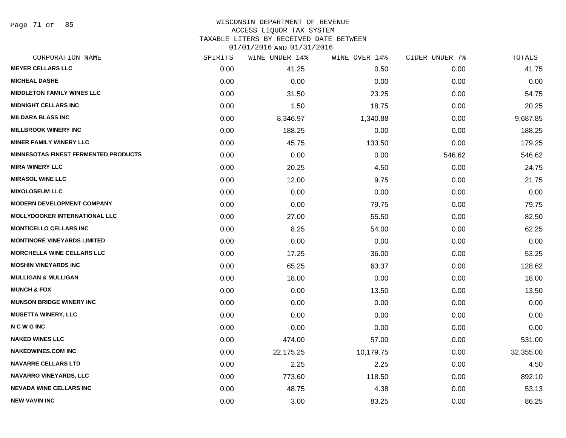Page 71 of 85

# WISCONSIN DEPARTMENT OF REVENUE

## ACCESS LIQUOR TAX SYSTEM

TAXABLE LITERS BY RECEIVED DATE BETWEEN

| CORPORATION NAME                            | SPIRITS | WINE UNDER 14% | WINE OVER 14% | CIDER UNDER 7% | TOTALS    |
|---------------------------------------------|---------|----------------|---------------|----------------|-----------|
| <b>MEYER CELLARS LLC</b>                    | 0.00    | 41.25          | 0.50          | 0.00           | 41.75     |
| <b>MICHEAL DASHE</b>                        | 0.00    | 0.00           | 0.00          | 0.00           | 0.00      |
| <b>MIDDLETON FAMILY WINES LLC</b>           | 0.00    | 31.50          | 23.25         | 0.00           | 54.75     |
| <b>MIDNIGHT CELLARS INC</b>                 | 0.00    | 1.50           | 18.75         | 0.00           | 20.25     |
| <b>MILDARA BLASS INC</b>                    | 0.00    | 8,346.97       | 1,340.88      | 0.00           | 9,687.85  |
| <b>MILLBROOK WINERY INC</b>                 | 0.00    | 188.25         | 0.00          | 0.00           | 188.25    |
| <b>MINER FAMILY WINERY LLC</b>              | 0.00    | 45.75          | 133.50        | 0.00           | 179.25    |
| <b>MINNESOTAS FINEST FERMENTED PRODUCTS</b> | 0.00    | 0.00           | 0.00          | 546.62         | 546.62    |
| <b>MIRA WINERY LLC</b>                      | 0.00    | 20.25          | 4.50          | 0.00           | 24.75     |
| <b>MIRASOL WINE LLC</b>                     | 0.00    | 12.00          | 9.75          | 0.00           | 21.75     |
| <b>MIXOLOSEUM LLC</b>                       | 0.00    | 0.00           | 0.00          | 0.00           | 0.00      |
| <b>MODERN DEVELOPMENT COMPANY</b>           | 0.00    | 0.00           | 79.75         | 0.00           | 79.75     |
| <b>MOLLYDOOKER INTERNATIONAL LLC</b>        | 0.00    | 27.00          | 55.50         | 0.00           | 82.50     |
| <b>MONTICELLO CELLARS INC</b>               | 0.00    | 8.25           | 54.00         | 0.00           | 62.25     |
| <b>MONTINORE VINEYARDS LIMITED</b>          | 0.00    | 0.00           | 0.00          | 0.00           | 0.00      |
| <b>MORCHELLA WINE CELLARS LLC</b>           | 0.00    | 17.25          | 36.00         | 0.00           | 53.25     |
| <b>MOSHIN VINEYARDS INC</b>                 | 0.00    | 65.25          | 63.37         | 0.00           | 128.62    |
| <b>MULLIGAN &amp; MULLIGAN</b>              | 0.00    | 18.00          | 0.00          | 0.00           | 18.00     |
| <b>MUNCH &amp; FOX</b>                      | 0.00    | 0.00           | 13.50         | 0.00           | 13.50     |
| <b>MUNSON BRIDGE WINERY INC</b>             | 0.00    | 0.00           | 0.00          | 0.00           | 0.00      |
| <b>MUSETTA WINERY, LLC</b>                  | 0.00    | 0.00           | 0.00          | 0.00           | 0.00      |
| <b>NCWGINC</b>                              | 0.00    | 0.00           | 0.00          | 0.00           | 0.00      |
| <b>NAKED WINES LLC</b>                      | 0.00    | 474.00         | 57.00         | 0.00           | 531.00    |
| <b>NAKEDWINES.COM INC</b>                   | 0.00    | 22,175.25      | 10,179.75     | 0.00           | 32,355.00 |
| <b>NAVARRE CELLARS LTD</b>                  | 0.00    | 2.25           | 2.25          | 0.00           | 4.50      |
| <b>NAVARRO VINEYARDS, LLC</b>               | 0.00    | 773.60         | 118.50        | 0.00           | 892.10    |
| <b>NEVADA WINE CELLARS INC</b>              | 0.00    | 48.75          | 4.38          | 0.00           | 53.13     |
| <b>NEW VAVIN INC</b>                        | 0.00    | 3.00           | 83.25         | 0.00           | 86.25     |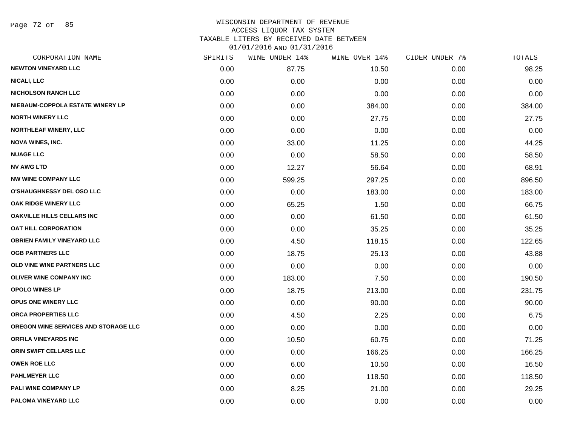Page 72 of 85

### WISCONSIN DEPARTMENT OF REVENUE ACCESS LIQUOR TAX SYSTEM TAXABLE LITERS BY RECEIVED DATE BETWEEN

| CORPORATION NAME                     | SPIRITS | WINE UNDER 14% | WINE OVER 14% | CIDER UNDER 7% | TOTALS |
|--------------------------------------|---------|----------------|---------------|----------------|--------|
| <b>NEWTON VINEYARD LLC</b>           | 0.00    | 87.75          | 10.50         | 0.00           | 98.25  |
| <b>NICALI, LLC</b>                   | 0.00    | 0.00           | 0.00          | 0.00           | 0.00   |
| <b>NICHOLSON RANCH LLC</b>           | 0.00    | 0.00           | 0.00          | 0.00           | 0.00   |
| NIEBAUM-COPPOLA ESTATE WINERY LP     | 0.00    | 0.00           | 384.00        | 0.00           | 384.00 |
| <b>NORTH WINERY LLC</b>              | 0.00    | 0.00           | 27.75         | 0.00           | 27.75  |
| NORTHLEAF WINERY, LLC                | 0.00    | 0.00           | 0.00          | 0.00           | 0.00   |
| <b>NOVA WINES, INC.</b>              | 0.00    | 33.00          | 11.25         | 0.00           | 44.25  |
| <b>NUAGE LLC</b>                     | 0.00    | 0.00           | 58.50         | 0.00           | 58.50  |
| <b>NV AWG LTD</b>                    | 0.00    | 12.27          | 56.64         | 0.00           | 68.91  |
| <b>NW WINE COMPANY LLC</b>           | 0.00    | 599.25         | 297.25        | 0.00           | 896.50 |
| O'SHAUGHNESSY DEL OSO LLC            | 0.00    | 0.00           | 183.00        | 0.00           | 183.00 |
| OAK RIDGE WINERY LLC                 | 0.00    | 65.25          | 1.50          | 0.00           | 66.75  |
| <b>OAKVILLE HILLS CELLARS INC</b>    | 0.00    | 0.00           | 61.50         | 0.00           | 61.50  |
| <b>OAT HILL CORPORATION</b>          | 0.00    | 0.00           | 35.25         | 0.00           | 35.25  |
| <b>OBRIEN FAMILY VINEYARD LLC</b>    | 0.00    | 4.50           | 118.15        | 0.00           | 122.65 |
| <b>OGB PARTNERS LLC</b>              | 0.00    | 18.75          | 25.13         | 0.00           | 43.88  |
| OLD VINE WINE PARTNERS LLC           | 0.00    | 0.00           | 0.00          | 0.00           | 0.00   |
| <b>OLIVER WINE COMPANY INC</b>       | 0.00    | 183.00         | 7.50          | 0.00           | 190.50 |
| <b>OPOLO WINES LP</b>                | 0.00    | 18.75          | 213.00        | 0.00           | 231.75 |
| <b>OPUS ONE WINERY LLC</b>           | 0.00    | 0.00           | 90.00         | 0.00           | 90.00  |
| ORCA PROPERTIES LLC                  | 0.00    | 4.50           | 2.25          | 0.00           | 6.75   |
| OREGON WINE SERVICES AND STORAGE LLC | 0.00    | 0.00           | 0.00          | 0.00           | 0.00   |
| ORFILA VINEYARDS INC                 | 0.00    | 10.50          | 60.75         | 0.00           | 71.25  |
| ORIN SWIFT CELLARS LLC               | 0.00    | 0.00           | 166.25        | 0.00           | 166.25 |
| <b>OWEN ROE LLC</b>                  | 0.00    | 6.00           | 10.50         | 0.00           | 16.50  |
| <b>PAHLMEYER LLC</b>                 | 0.00    | 0.00           | 118.50        | 0.00           | 118.50 |
| PALI WINE COMPANY LP                 | 0.00    | 8.25           | 21.00         | 0.00           | 29.25  |
| PALOMA VINEYARD LLC                  | 0.00    | 0.00           | 0.00          | 0.00           | 0.00   |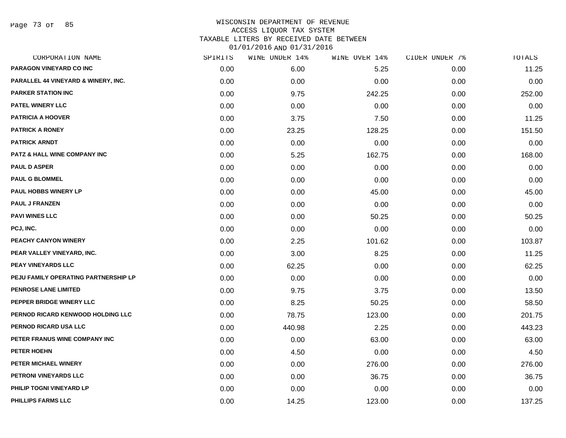Page 73 of 85

| CORPORATION NAME                     | SPIRITS | WINE UNDER 14% | WINE OVER 14% | CIDER UNDER 7% | <b>TOTALS</b> |
|--------------------------------------|---------|----------------|---------------|----------------|---------------|
| PARAGON VINEYARD CO INC              | 0.00    | 6.00           | 5.25          | 0.00           | 11.25         |
| PARALLEL 44 VINEYARD & WINERY, INC.  | 0.00    | 0.00           | 0.00          | 0.00           | 0.00          |
| <b>PARKER STATION INC</b>            | 0.00    | 9.75           | 242.25        | 0.00           | 252.00        |
| PATEL WINERY LLC                     | 0.00    | 0.00           | 0.00          | 0.00           | 0.00          |
| <b>PATRICIA A HOOVER</b>             | 0.00    | 3.75           | 7.50          | 0.00           | 11.25         |
| <b>PATRICK A RONEY</b>               | 0.00    | 23.25          | 128.25        | 0.00           | 151.50        |
| <b>PATRICK ARNDT</b>                 | 0.00    | 0.00           | 0.00          | 0.00           | 0.00          |
| PATZ & HALL WINE COMPANY INC         | 0.00    | 5.25           | 162.75        | 0.00           | 168.00        |
| <b>PAUL D ASPER</b>                  | 0.00    | 0.00           | 0.00          | 0.00           | 0.00          |
| <b>PAUL G BLOMMEL</b>                | 0.00    | 0.00           | 0.00          | 0.00           | 0.00          |
| <b>PAUL HOBBS WINERY LP</b>          | 0.00    | 0.00           | 45.00         | 0.00           | 45.00         |
| <b>PAUL J FRANZEN</b>                | 0.00    | 0.00           | 0.00          | 0.00           | 0.00          |
| <b>PAVI WINES LLC</b>                | 0.00    | 0.00           | 50.25         | 0.00           | 50.25         |
| PCJ, INC.                            | 0.00    | 0.00           | 0.00          | 0.00           | 0.00          |
| PEACHY CANYON WINERY                 | 0.00    | 2.25           | 101.62        | 0.00           | 103.87        |
| PEAR VALLEY VINEYARD, INC.           | 0.00    | 3.00           | 8.25          | 0.00           | 11.25         |
| PEAY VINEYARDS LLC                   | 0.00    | 62.25          | 0.00          | 0.00           | 62.25         |
| PEJU FAMILY OPERATING PARTNERSHIP LP | 0.00    | 0.00           | 0.00          | 0.00           | 0.00          |
| <b>PENROSE LANE LIMITED</b>          | 0.00    | 9.75           | 3.75          | 0.00           | 13.50         |
| PEPPER BRIDGE WINERY LLC             | 0.00    | 8.25           | 50.25         | 0.00           | 58.50         |
| PERNOD RICARD KENWOOD HOLDING LLC    | 0.00    | 78.75          | 123.00        | 0.00           | 201.75        |
| PERNOD RICARD USA LLC                | 0.00    | 440.98         | 2.25          | 0.00           | 443.23        |
| PETER FRANUS WINE COMPANY INC        | 0.00    | 0.00           | 63.00         | 0.00           | 63.00         |
| PETER HOEHN                          | 0.00    | 4.50           | 0.00          | 0.00           | 4.50          |
| PETER MICHAEL WINERY                 | 0.00    | 0.00           | 276.00        | 0.00           | 276.00        |
| PETRONI VINEYARDS LLC                | 0.00    | 0.00           | 36.75         | 0.00           | 36.75         |
| PHILIP TOGNI VINEYARD LP             | 0.00    | 0.00           | 0.00          | 0.00           | 0.00          |
| PHILLIPS FARMS LLC                   | 0.00    | 14.25          | 123.00        | 0.00           | 137.25        |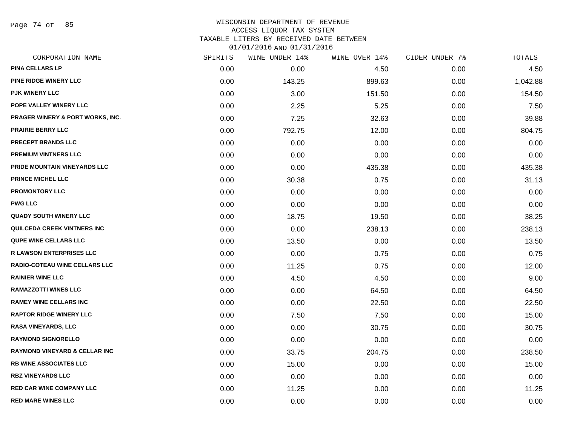Page 74 of 85

#### WISCONSIN DEPARTMENT OF REVENUE ACCESS LIQUOR TAX SYSTEM TAXABLE LITERS BY RECEIVED DATE BETWEEN

| CORPORATION NAME                         | SPIRITS | <b>WINE UNDER 14%</b> | WINE OVER 14% | CIDER UNDER 7% | TOTALS   |
|------------------------------------------|---------|-----------------------|---------------|----------------|----------|
| <b>PINA CELLARS LP</b>                   | 0.00    | 0.00                  | 4.50          | 0.00           | 4.50     |
| PINE RIDGE WINERY LLC                    | 0.00    | 143.25                | 899.63        | 0.00           | 1,042.88 |
| <b>PJK WINERY LLC</b>                    | 0.00    | 3.00                  | 151.50        | 0.00           | 154.50   |
| POPE VALLEY WINERY LLC                   | 0.00    | 2.25                  | 5.25          | 0.00           | 7.50     |
| PRAGER WINERY & PORT WORKS, INC.         | 0.00    | 7.25                  | 32.63         | 0.00           | 39.88    |
| <b>PRAIRIE BERRY LLC</b>                 | 0.00    | 792.75                | 12.00         | 0.00           | 804.75   |
| PRECEPT BRANDS LLC                       | 0.00    | 0.00                  | 0.00          | 0.00           | 0.00     |
| PREMIUM VINTNERS LLC                     | 0.00    | 0.00                  | 0.00          | 0.00           | 0.00     |
| PRIDE MOUNTAIN VINEYARDS LLC             | 0.00    | 0.00                  | 435.38        | 0.00           | 435.38   |
| <b>PRINCE MICHEL LLC</b>                 | 0.00    | 30.38                 | 0.75          | 0.00           | 31.13    |
| <b>PROMONTORY LLC</b>                    | 0.00    | 0.00                  | 0.00          | 0.00           | 0.00     |
| <b>PWG LLC</b>                           | 0.00    | 0.00                  | 0.00          | 0.00           | 0.00     |
| <b>QUADY SOUTH WINERY LLC</b>            | 0.00    | 18.75                 | 19.50         | 0.00           | 38.25    |
| <b>QUILCEDA CREEK VINTNERS INC</b>       | 0.00    | 0.00                  | 238.13        | 0.00           | 238.13   |
| QUPE WINE CELLARS LLC                    | 0.00    | 13.50                 | 0.00          | 0.00           | 13.50    |
| <b>R LAWSON ENTERPRISES LLC</b>          | 0.00    | 0.00                  | 0.75          | 0.00           | 0.75     |
| <b>RADIO-COTEAU WINE CELLARS LLC</b>     | 0.00    | 11.25                 | 0.75          | 0.00           | 12.00    |
| <b>RAINIER WINE LLC</b>                  | 0.00    | 4.50                  | 4.50          | 0.00           | 9.00     |
| <b>RAMAZZOTTI WINES LLC</b>              | 0.00    | 0.00                  | 64.50         | 0.00           | 64.50    |
| <b>RAMEY WINE CELLARS INC</b>            | 0.00    | 0.00                  | 22.50         | 0.00           | 22.50    |
| <b>RAPTOR RIDGE WINERY LLC</b>           | 0.00    | 7.50                  | 7.50          | 0.00           | 15.00    |
| RASA VINEYARDS, LLC                      | 0.00    | 0.00                  | 30.75         | 0.00           | 30.75    |
| <b>RAYMOND SIGNORELLO</b>                | 0.00    | 0.00                  | 0.00          | 0.00           | 0.00     |
| <b>RAYMOND VINEYARD &amp; CELLAR INC</b> | 0.00    | 33.75                 | 204.75        | 0.00           | 238.50   |
| <b>RB WINE ASSOCIATES LLC</b>            | 0.00    | 15.00                 | 0.00          | 0.00           | 15.00    |
| <b>RBZ VINEYARDS LLC</b>                 | 0.00    | 0.00                  | 0.00          | 0.00           | 0.00     |
| <b>RED CAR WINE COMPANY LLC</b>          | 0.00    | 11.25                 | 0.00          | 0.00           | 11.25    |
| <b>RED MARE WINES LLC</b>                | 0.00    | 0.00                  | 0.00          | 0.00           | 0.00     |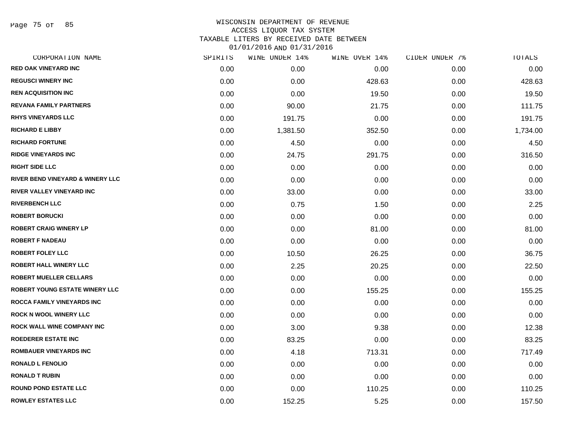Page 75 of 85

| CORPORATION NAME                            | SPIRITS | WINE UNDER 14% | WINE OVER 14% | CIDER UNDER 7% | TOTALS   |
|---------------------------------------------|---------|----------------|---------------|----------------|----------|
| <b>RED OAK VINEYARD INC</b>                 | 0.00    | 0.00           | 0.00          | 0.00           | 0.00     |
| <b>REGUSCI WINERY INC</b>                   | 0.00    | 0.00           | 428.63        | 0.00           | 428.63   |
| <b>REN ACQUISITION INC</b>                  | 0.00    | 0.00           | 19.50         | 0.00           | 19.50    |
| <b>REVANA FAMILY PARTNERS</b>               | 0.00    | 90.00          | 21.75         | 0.00           | 111.75   |
| <b>RHYS VINEYARDS LLC</b>                   | 0.00    | 191.75         | 0.00          | 0.00           | 191.75   |
| <b>RICHARD E LIBBY</b>                      | 0.00    | 1,381.50       | 352.50        | 0.00           | 1,734.00 |
| <b>RICHARD FORTUNE</b>                      | 0.00    | 4.50           | 0.00          | 0.00           | 4.50     |
| <b>RIDGE VINEYARDS INC</b>                  | 0.00    | 24.75          | 291.75        | 0.00           | 316.50   |
| <b>RIGHT SIDE LLC</b>                       | 0.00    | 0.00           | 0.00          | 0.00           | 0.00     |
| <b>RIVER BEND VINEYARD &amp; WINERY LLC</b> | 0.00    | 0.00           | 0.00          | 0.00           | 0.00     |
| <b>RIVER VALLEY VINEYARD INC</b>            | 0.00    | 33.00          | 0.00          | 0.00           | 33.00    |
| <b>RIVERBENCH LLC</b>                       | 0.00    | 0.75           | 1.50          | 0.00           | 2.25     |
| <b>ROBERT BORUCKI</b>                       | 0.00    | 0.00           | 0.00          | 0.00           | 0.00     |
| <b>ROBERT CRAIG WINERY LP</b>               | 0.00    | 0.00           | 81.00         | 0.00           | 81.00    |
| <b>ROBERT F NADEAU</b>                      | 0.00    | 0.00           | 0.00          | 0.00           | 0.00     |
| <b>ROBERT FOLEY LLC</b>                     | 0.00    | 10.50          | 26.25         | 0.00           | 36.75    |
| <b>ROBERT HALL WINERY LLC</b>               | 0.00    | 2.25           | 20.25         | 0.00           | 22.50    |
| <b>ROBERT MUELLER CELLARS</b>               | 0.00    | 0.00           | 0.00          | 0.00           | 0.00     |
| ROBERT YOUNG ESTATE WINERY LLC              | 0.00    | 0.00           | 155.25        | 0.00           | 155.25   |
| ROCCA FAMILY VINEYARDS INC                  | 0.00    | 0.00           | 0.00          | 0.00           | 0.00     |
| <b>ROCK N WOOL WINERY LLC</b>               | 0.00    | 0.00           | 0.00          | 0.00           | 0.00     |
| ROCK WALL WINE COMPANY INC                  | 0.00    | 3.00           | 9.38          | 0.00           | 12.38    |
| <b>ROEDERER ESTATE INC</b>                  | 0.00    | 83.25          | 0.00          | 0.00           | 83.25    |
| ROMBAUER VINEYARDS INC                      | 0.00    | 4.18           | 713.31        | 0.00           | 717.49   |
| <b>RONALD L FENOLIO</b>                     | 0.00    | 0.00           | 0.00          | 0.00           | 0.00     |
| <b>RONALD T RUBIN</b>                       | 0.00    | 0.00           | 0.00          | 0.00           | 0.00     |
| <b>ROUND POND ESTATE LLC</b>                | 0.00    | 0.00           | 110.25        | 0.00           | 110.25   |
| <b>ROWLEY ESTATES LLC</b>                   | 0.00    | 152.25         | 5.25          | 0.00           | 157.50   |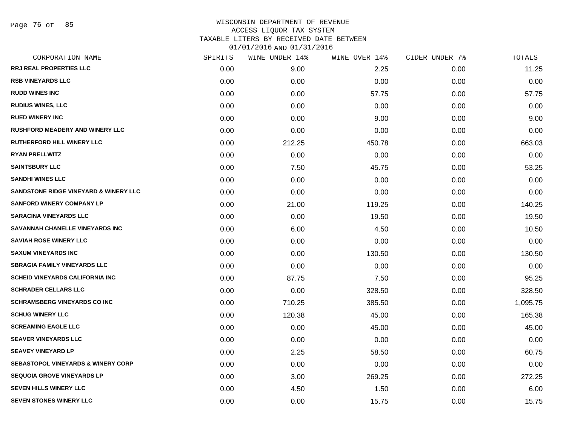# WISCONSIN DEPARTMENT OF REVENUE ACCESS LIQUOR TAX SYSTEM TAXABLE LITERS BY RECEIVED DATE BETWEEN

| CORPORATION NAME                              | SPIRITS | WINE UNDER 14% | WINE OVER 14% | CIDER UNDER 7% | TOTALS   |
|-----------------------------------------------|---------|----------------|---------------|----------------|----------|
| RRJ REAL PROPERTIES LLC                       | 0.00    | 9.00           | 2.25          | 0.00           | 11.25    |
| <b>RSB VINEYARDS LLC</b>                      | 0.00    | 0.00           | 0.00          | 0.00           | 0.00     |
| <b>RUDD WINES INC</b>                         | 0.00    | 0.00           | 57.75         | 0.00           | 57.75    |
| <b>RUDIUS WINES, LLC</b>                      | 0.00    | 0.00           | 0.00          | 0.00           | 0.00     |
| <b>RUED WINERY INC</b>                        | 0.00    | 0.00           | 9.00          | 0.00           | 9.00     |
| <b>RUSHFORD MEADERY AND WINERY LLC</b>        | 0.00    | 0.00           | 0.00          | 0.00           | 0.00     |
| RUTHERFORD HILL WINERY LLC                    | 0.00    | 212.25         | 450.78        | 0.00           | 663.03   |
| <b>RYAN PRELLWITZ</b>                         | 0.00    | 0.00           | 0.00          | 0.00           | 0.00     |
| <b>SAINTSBURY LLC</b>                         | 0.00    | 7.50           | 45.75         | 0.00           | 53.25    |
| <b>SANDHI WINES LLC</b>                       | 0.00    | 0.00           | 0.00          | 0.00           | 0.00     |
| SANDSTONE RIDGE VINEYARD & WINERY LLC         | 0.00    | 0.00           | 0.00          | 0.00           | 0.00     |
| <b>SANFORD WINERY COMPANY LP</b>              | 0.00    | 21.00          | 119.25        | 0.00           | 140.25   |
| <b>SARACINA VINEYARDS LLC</b>                 | 0.00    | 0.00           | 19.50         | 0.00           | 19.50    |
| SAVANNAH CHANELLE VINEYARDS INC               | 0.00    | 6.00           | 4.50          | 0.00           | 10.50    |
| <b>SAVIAH ROSE WINERY LLC</b>                 | 0.00    | 0.00           | 0.00          | 0.00           | 0.00     |
| <b>SAXUM VINEYARDS INC</b>                    | 0.00    | 0.00           | 130.50        | 0.00           | 130.50   |
| <b>SBRAGIA FAMILY VINEYARDS LLC</b>           | 0.00    | 0.00           | 0.00          | 0.00           | 0.00     |
| <b>SCHEID VINEYARDS CALIFORNIA INC.</b>       | 0.00    | 87.75          | 7.50          | 0.00           | 95.25    |
| <b>SCHRADER CELLARS LLC</b>                   | 0.00    | 0.00           | 328.50        | 0.00           | 328.50   |
| <b>SCHRAMSBERG VINEYARDS CO INC</b>           | 0.00    | 710.25         | 385.50        | 0.00           | 1,095.75 |
| <b>SCHUG WINERY LLC</b>                       | 0.00    | 120.38         | 45.00         | 0.00           | 165.38   |
| <b>SCREAMING EAGLE LLC</b>                    | 0.00    | 0.00           | 45.00         | 0.00           | 45.00    |
| <b>SEAVER VINEYARDS LLC</b>                   | 0.00    | 0.00           | 0.00          | 0.00           | 0.00     |
| <b>SEAVEY VINEYARD LP</b>                     | 0.00    | 2.25           | 58.50         | 0.00           | 60.75    |
| <b>SEBASTOPOL VINEYARDS &amp; WINERY CORP</b> | 0.00    | 0.00           | 0.00          | 0.00           | 0.00     |
| <b>SEQUOIA GROVE VINEYARDS LP</b>             | 0.00    | 3.00           | 269.25        | 0.00           | 272.25   |
| <b>SEVEN HILLS WINERY LLC</b>                 | 0.00    | 4.50           | 1.50          | 0.00           | 6.00     |
| <b>SEVEN STONES WINERY LLC</b>                | 0.00    | 0.00           | 15.75         | 0.00           | 15.75    |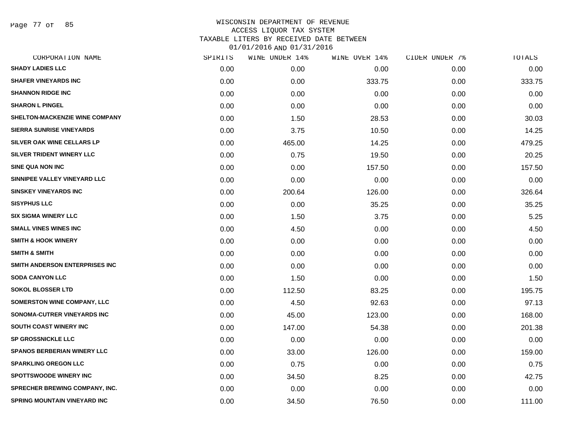Page 77 of 85

| CORPORATION NAME                      | SPIRITS | WINE UNDER 14% | WINE OVER 14% | CIDER UNDER 7% | TOTALS |
|---------------------------------------|---------|----------------|---------------|----------------|--------|
| <b>SHADY LADIES LLC</b>               | 0.00    | 0.00           | 0.00          | 0.00           | 0.00   |
| <b>SHAFER VINEYARDS INC</b>           | 0.00    | 0.00           | 333.75        | 0.00           | 333.75 |
| <b>SHANNON RIDGE INC</b>              | 0.00    | 0.00           | 0.00          | 0.00           | 0.00   |
| <b>SHARON L PINGEL</b>                | 0.00    | 0.00           | 0.00          | 0.00           | 0.00   |
| SHELTON-MACKENZIE WINE COMPANY        | 0.00    | 1.50           | 28.53         | 0.00           | 30.03  |
| <b>SIERRA SUNRISE VINEYARDS</b>       | 0.00    | 3.75           | 10.50         | 0.00           | 14.25  |
| SILVER OAK WINE CELLARS LP            | 0.00    | 465.00         | 14.25         | 0.00           | 479.25 |
| SILVER TRIDENT WINERY LLC             | 0.00    | 0.75           | 19.50         | 0.00           | 20.25  |
| <b>SINE QUA NON INC</b>               | 0.00    | 0.00           | 157.50        | 0.00           | 157.50 |
| SINNIPEE VALLEY VINEYARD LLC          | 0.00    | 0.00           | 0.00          | 0.00           | 0.00   |
| <b>SINSKEY VINEYARDS INC</b>          | 0.00    | 200.64         | 126.00        | 0.00           | 326.64 |
| <b>SISYPHUS LLC</b>                   | 0.00    | 0.00           | 35.25         | 0.00           | 35.25  |
| <b>SIX SIGMA WINERY LLC</b>           | 0.00    | 1.50           | 3.75          | 0.00           | 5.25   |
| <b>SMALL VINES WINES INC</b>          | 0.00    | 4.50           | 0.00          | 0.00           | 4.50   |
| <b>SMITH &amp; HOOK WINERY</b>        | 0.00    | 0.00           | 0.00          | 0.00           | 0.00   |
| <b>SMITH &amp; SMITH</b>              | 0.00    | 0.00           | 0.00          | 0.00           | 0.00   |
| SMITH ANDERSON ENTERPRISES INC        | 0.00    | 0.00           | 0.00          | 0.00           | 0.00   |
| <b>SODA CANYON LLC</b>                | 0.00    | 1.50           | 0.00          | 0.00           | 1.50   |
| <b>SOKOL BLOSSER LTD</b>              | 0.00    | 112.50         | 83.25         | 0.00           | 195.75 |
| <b>SOMERSTON WINE COMPANY, LLC</b>    | 0.00    | 4.50           | 92.63         | 0.00           | 97.13  |
| SONOMA-CUTRER VINEYARDS INC           | 0.00    | 45.00          | 123.00        | 0.00           | 168.00 |
| <b>SOUTH COAST WINERY INC</b>         | 0.00    | 147.00         | 54.38         | 0.00           | 201.38 |
| <b>SP GROSSNICKLE LLC</b>             | 0.00    | 0.00           | 0.00          | 0.00           | 0.00   |
| SPANOS BERBERIAN WINERY LLC           | 0.00    | 33.00          | 126.00        | 0.00           | 159.00 |
| <b>SPARKLING OREGON LLC</b>           | 0.00    | 0.75           | 0.00          | 0.00           | 0.75   |
| <b>SPOTTSWOODE WINERY INC</b>         | 0.00    | 34.50          | 8.25          | 0.00           | 42.75  |
| <b>SPRECHER BREWING COMPANY, INC.</b> | 0.00    | 0.00           | 0.00          | 0.00           | 0.00   |
| SPRING MOUNTAIN VINEYARD INC          | 0.00    | 34.50          | 76.50         | 0.00           | 111.00 |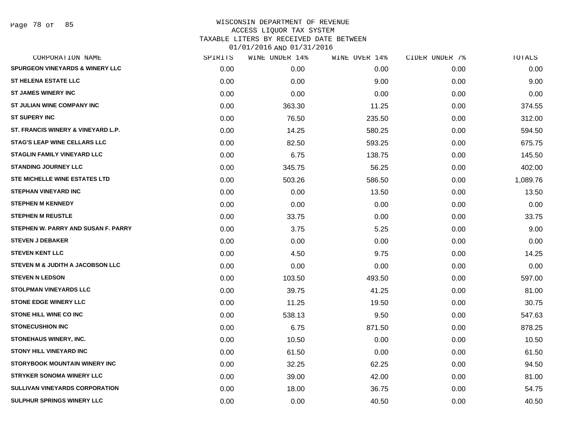Page 78 of 85

| CORPORATION NAME                            | SPIRITS | WINE UNDER 14% | WINE OVER 14% | CIDER UNDER 7% | TOTALS   |
|---------------------------------------------|---------|----------------|---------------|----------------|----------|
| <b>SPURGEON VINEYARDS &amp; WINERY LLC</b>  | 0.00    | 0.00           | 0.00          | 0.00           | 0.00     |
| <b>ST HELENA ESTATE LLC</b>                 | 0.00    | 0.00           | 9.00          | 0.00           | 9.00     |
| <b>ST JAMES WINERY INC</b>                  | 0.00    | 0.00           | 0.00          | 0.00           | 0.00     |
| ST JULIAN WINE COMPANY INC                  | 0.00    | 363.30         | 11.25         | 0.00           | 374.55   |
| <b>ST SUPERY INC</b>                        | 0.00    | 76.50          | 235.50        | 0.00           | 312.00   |
| ST. FRANCIS WINERY & VINEYARD L.P.          | 0.00    | 14.25          | 580.25        | 0.00           | 594.50   |
| <b>STAG'S LEAP WINE CELLARS LLC</b>         | 0.00    | 82.50          | 593.25        | 0.00           | 675.75   |
| <b>STAGLIN FAMILY VINEYARD LLC</b>          | 0.00    | 6.75           | 138.75        | 0.00           | 145.50   |
| <b>STANDING JOURNEY LLC</b>                 | 0.00    | 345.75         | 56.25         | 0.00           | 402.00   |
| <b>STE MICHELLE WINE ESTATES LTD</b>        | 0.00    | 503.26         | 586.50        | 0.00           | 1,089.76 |
| <b>STEPHAN VINEYARD INC</b>                 | 0.00    | 0.00           | 13.50         | 0.00           | 13.50    |
| <b>STEPHEN M KENNEDY</b>                    | 0.00    | 0.00           | 0.00          | 0.00           | 0.00     |
| <b>STEPHEN M REUSTLE</b>                    | 0.00    | 33.75          | 0.00          | 0.00           | 33.75    |
| STEPHEN W. PARRY AND SUSAN F. PARRY         | 0.00    | 3.75           | 5.25          | 0.00           | 9.00     |
| <b>STEVEN J DEBAKER</b>                     | 0.00    | 0.00           | 0.00          | 0.00           | 0.00     |
| <b>STEVEN KENT LLC</b>                      | 0.00    | 4.50           | 9.75          | 0.00           | 14.25    |
| <b>STEVEN M &amp; JUDITH A JACOBSON LLC</b> | 0.00    | 0.00           | 0.00          | 0.00           | 0.00     |
| <b>STEVEN N LEDSON</b>                      | 0.00    | 103.50         | 493.50        | 0.00           | 597.00   |
| STOLPMAN VINEYARDS LLC                      | 0.00    | 39.75          | 41.25         | 0.00           | 81.00    |
| <b>STONE EDGE WINERY LLC</b>                | 0.00    | 11.25          | 19.50         | 0.00           | 30.75    |
| STONE HILL WINE CO INC                      | 0.00    | 538.13         | 9.50          | 0.00           | 547.63   |
| <b>STONECUSHION INC</b>                     | 0.00    | 6.75           | 871.50        | 0.00           | 878.25   |
| STONEHAUS WINERY, INC.                      | 0.00    | 10.50          | 0.00          | 0.00           | 10.50    |
| <b>STONY HILL VINEYARD INC</b>              | 0.00    | 61.50          | 0.00          | 0.00           | 61.50    |
| <b>STORYBOOK MOUNTAIN WINERY INC</b>        | 0.00    | 32.25          | 62.25         | 0.00           | 94.50    |
| <b>STRYKER SONOMA WINERY LLC</b>            | 0.00    | 39.00          | 42.00         | 0.00           | 81.00    |
| <b>SULLIVAN VINEYARDS CORPORATION</b>       | 0.00    | 18.00          | 36.75         | 0.00           | 54.75    |
| SULPHUR SPRINGS WINERY LLC                  | 0.00    | 0.00           | 40.50         | 0.00           | 40.50    |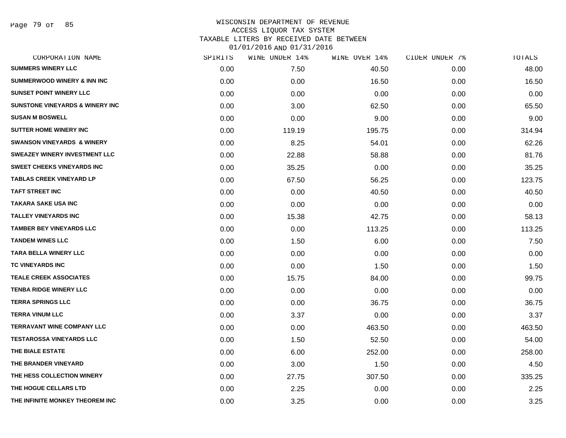Page 79 of 85

| CORPORATION NAME                           | SPIRITS | WINE UNDER 14% | WINE OVER 14% | CIDER UNDER 7% | TOTALS |
|--------------------------------------------|---------|----------------|---------------|----------------|--------|
| <b>SUMMERS WINERY LLC</b>                  | 0.00    | 7.50           | 40.50         | 0.00           | 48.00  |
| <b>SUMMERWOOD WINERY &amp; INN INC</b>     | 0.00    | 0.00           | 16.50         | 0.00           | 16.50  |
| <b>SUNSET POINT WINERY LLC</b>             | 0.00    | 0.00           | 0.00          | 0.00           | 0.00   |
| <b>SUNSTONE VINEYARDS &amp; WINERY INC</b> | 0.00    | 3.00           | 62.50         | 0.00           | 65.50  |
| <b>SUSAN M BOSWELL</b>                     | 0.00    | 0.00           | 9.00          | 0.00           | 9.00   |
| <b>SUTTER HOME WINERY INC</b>              | 0.00    | 119.19         | 195.75        | 0.00           | 314.94 |
| <b>SWANSON VINEYARDS &amp; WINERY</b>      | 0.00    | 8.25           | 54.01         | 0.00           | 62.26  |
| <b>SWEAZEY WINERY INVESTMENT LLC</b>       | 0.00    | 22.88          | 58.88         | 0.00           | 81.76  |
| <b>SWEET CHEEKS VINEYARDS INC</b>          | 0.00    | 35.25          | 0.00          | 0.00           | 35.25  |
| <b>TABLAS CREEK VINEYARD LP</b>            | 0.00    | 67.50          | 56.25         | 0.00           | 123.75 |
| <b>TAFT STREET INC</b>                     | 0.00    | 0.00           | 40.50         | 0.00           | 40.50  |
| <b>TAKARA SAKE USA INC</b>                 | 0.00    | 0.00           | 0.00          | 0.00           | 0.00   |
| <b>TALLEY VINEYARDS INC</b>                | 0.00    | 15.38          | 42.75         | 0.00           | 58.13  |
| TAMBER BEY VINEYARDS LLC                   | 0.00    | 0.00           | 113.25        | 0.00           | 113.25 |
| <b>TANDEM WINES LLC</b>                    | 0.00    | 1.50           | 6.00          | 0.00           | 7.50   |
| <b>TARA BELLA WINERY LLC</b>               | 0.00    | 0.00           | 0.00          | 0.00           | 0.00   |
| <b>TC VINEYARDS INC</b>                    | 0.00    | 0.00           | 1.50          | 0.00           | 1.50   |
| <b>TEALE CREEK ASSOCIATES</b>              | 0.00    | 15.75          | 84.00         | 0.00           | 99.75  |
| <b>TENBA RIDGE WINERY LLC</b>              | 0.00    | 0.00           | 0.00          | 0.00           | 0.00   |
| <b>TERRA SPRINGS LLC</b>                   | 0.00    | 0.00           | 36.75         | 0.00           | 36.75  |
| <b>TERRA VINUM LLC</b>                     | 0.00    | 3.37           | 0.00          | 0.00           | 3.37   |
| <b>TERRAVANT WINE COMPANY LLC</b>          | 0.00    | 0.00           | 463.50        | 0.00           | 463.50 |
| <b>TESTAROSSA VINEYARDS LLC</b>            | 0.00    | 1.50           | 52.50         | 0.00           | 54.00  |
| THE BIALE ESTATE                           | 0.00    | 6.00           | 252.00        | 0.00           | 258.00 |
| THE BRANDER VINEYARD                       | 0.00    | 3.00           | 1.50          | 0.00           | 4.50   |
| THE HESS COLLECTION WINERY                 | 0.00    | 27.75          | 307.50        | 0.00           | 335.25 |
| THE HOGUE CELLARS LTD                      | 0.00    | 2.25           | 0.00          | 0.00           | 2.25   |
| THE INFINITE MONKEY THEOREM INC            | 0.00    | 3.25           | 0.00          | 0.00           | 3.25   |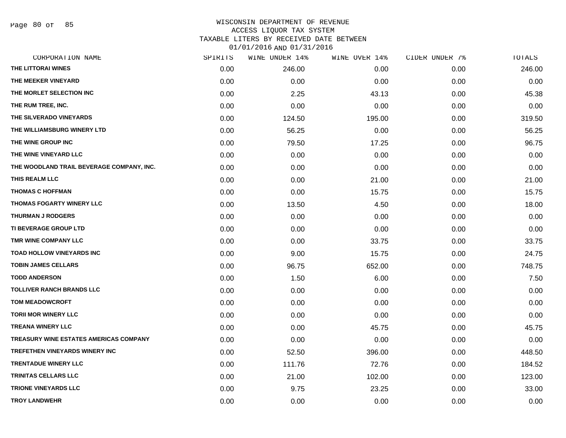Page 80 of 85

#### WISCONSIN DEPARTMENT OF REVENUE ACCESS LIQUOR TAX SYSTEM TAXABLE LITERS BY RECEIVED DATE BETWEEN

| CORPORATION NAME                          | SPIRITS | WINE UNDER 14% | WINE OVER 14% | CIDER UNDER 7% | TOTALS |
|-------------------------------------------|---------|----------------|---------------|----------------|--------|
| THE LITTORAI WINES                        | 0.00    | 246.00         | 0.00          | 0.00           | 246.00 |
| THE MEEKER VINEYARD                       | 0.00    | 0.00           | 0.00          | 0.00           | 0.00   |
| THE MORLET SELECTION INC                  | 0.00    | 2.25           | 43.13         | 0.00           | 45.38  |
| THE RUM TREE, INC.                        | 0.00    | 0.00           | 0.00          | 0.00           | 0.00   |
| THE SILVERADO VINEYARDS                   | 0.00    | 124.50         | 195.00        | 0.00           | 319.50 |
| THE WILLIAMSBURG WINERY LTD               | 0.00    | 56.25          | 0.00          | 0.00           | 56.25  |
| THE WINE GROUP INC                        | 0.00    | 79.50          | 17.25         | 0.00           | 96.75  |
| THE WINE VINEYARD LLC                     | 0.00    | 0.00           | 0.00          | 0.00           | 0.00   |
| THE WOODLAND TRAIL BEVERAGE COMPANY, INC. | 0.00    | 0.00           | 0.00          | 0.00           | 0.00   |
| THIS REALM LLC                            | 0.00    | 0.00           | 21.00         | 0.00           | 21.00  |
| <b>THOMAS C HOFFMAN</b>                   | 0.00    | 0.00           | 15.75         | 0.00           | 15.75  |
| THOMAS FOGARTY WINERY LLC                 | 0.00    | 13.50          | 4.50          | 0.00           | 18.00  |
| <b>THURMAN J RODGERS</b>                  | 0.00    | 0.00           | 0.00          | 0.00           | 0.00   |
| TI BEVERAGE GROUP LTD                     | 0.00    | 0.00           | 0.00          | 0.00           | 0.00   |
| TMR WINE COMPANY LLC                      | 0.00    | 0.00           | 33.75         | 0.00           | 33.75  |
| TOAD HOLLOW VINEYARDS INC                 | 0.00    | 9.00           | 15.75         | 0.00           | 24.75  |
| <b>TOBIN JAMES CELLARS</b>                | 0.00    | 96.75          | 652.00        | 0.00           | 748.75 |
| <b>TODD ANDERSON</b>                      | 0.00    | 1.50           | 6.00          | 0.00           | 7.50   |
| <b>TOLLIVER RANCH BRANDS LLC</b>          | 0.00    | 0.00           | 0.00          | 0.00           | 0.00   |
| <b>TOM MEADOWCROFT</b>                    | 0.00    | 0.00           | 0.00          | 0.00           | 0.00   |
| <b>TORII MOR WINERY LLC</b>               | 0.00    | 0.00           | 0.00          | 0.00           | 0.00   |
| <b>TREANA WINERY LLC</b>                  | 0.00    | 0.00           | 45.75         | 0.00           | 45.75  |
| TREASURY WINE ESTATES AMERICAS COMPANY    | 0.00    | 0.00           | 0.00          | 0.00           | 0.00   |
| TREFETHEN VINEYARDS WINERY INC            | 0.00    | 52.50          | 396.00        | 0.00           | 448.50 |
| <b>TRENTADUE WINERY LLC</b>               | 0.00    | 111.76         | 72.76         | 0.00           | 184.52 |
| TRINITAS CELLARS LLC                      | 0.00    | 21.00          | 102.00        | 0.00           | 123.00 |
| <b>TRIONE VINEYARDS LLC</b>               | 0.00    | 9.75           | 23.25         | 0.00           | 33.00  |
| <b>TROY LANDWEHR</b>                      | 0.00    | 0.00           | 0.00          | 0.00           | 0.00   |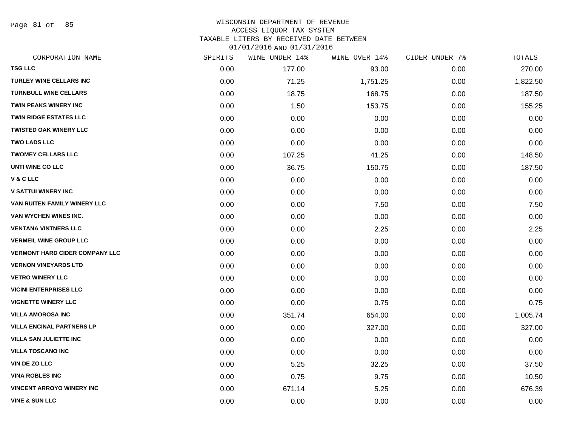Page 81 of 85

#### WISCONSIN DEPARTMENT OF REVENUE ACCESS LIQUOR TAX SYSTEM TAXABLE LITERS BY RECEIVED DATE BETWEEN

| CORPORATION NAME                      | SPIRITS | WINE UNDER 14% | WINE OVER 14% | CIDER UNDER 7% | TOTALS   |
|---------------------------------------|---------|----------------|---------------|----------------|----------|
| <b>TSG LLC</b>                        | 0.00    | 177.00         | 93.00         | 0.00           | 270.00   |
| <b>TURLEY WINE CELLARS INC</b>        | 0.00    | 71.25          | 1,751.25      | 0.00           | 1,822.50 |
| <b>TURNBULL WINE CELLARS</b>          | 0.00    | 18.75          | 168.75        | 0.00           | 187.50   |
| TWIN PEAKS WINERY INC                 | 0.00    | 1.50           | 153.75        | 0.00           | 155.25   |
| <b>TWIN RIDGE ESTATES LLC</b>         | 0.00    | 0.00           | 0.00          | 0.00           | 0.00     |
| <b>TWISTED OAK WINERY LLC</b>         | 0.00    | 0.00           | 0.00          | 0.00           | 0.00     |
| <b>TWO LADS LLC</b>                   | 0.00    | 0.00           | 0.00          | 0.00           | 0.00     |
| <b>TWOMEY CELLARS LLC</b>             | 0.00    | 107.25         | 41.25         | 0.00           | 148.50   |
| UNTI WINE CO LLC                      | 0.00    | 36.75          | 150.75        | 0.00           | 187.50   |
| V & C LLC                             | 0.00    | 0.00           | 0.00          | 0.00           | 0.00     |
| <b>V SATTUI WINERY INC</b>            | 0.00    | 0.00           | 0.00          | 0.00           | 0.00     |
| VAN RUITEN FAMILY WINERY LLC          | 0.00    | 0.00           | 7.50          | 0.00           | 7.50     |
| VAN WYCHEN WINES INC.                 | 0.00    | 0.00           | 0.00          | 0.00           | 0.00     |
| <b>VENTANA VINTNERS LLC</b>           | 0.00    | 0.00           | 2.25          | 0.00           | 2.25     |
| <b>VERMEIL WINE GROUP LLC</b>         | 0.00    | 0.00           | 0.00          | 0.00           | 0.00     |
| <b>VERMONT HARD CIDER COMPANY LLC</b> | 0.00    | 0.00           | 0.00          | 0.00           | 0.00     |
| <b>VERNON VINEYARDS LTD</b>           | 0.00    | 0.00           | 0.00          | 0.00           | 0.00     |
| <b>VETRO WINERY LLC</b>               | 0.00    | 0.00           | 0.00          | 0.00           | 0.00     |
| <b>VICINI ENTERPRISES LLC</b>         | 0.00    | 0.00           | 0.00          | 0.00           | 0.00     |
| <b>VIGNETTE WINERY LLC</b>            | 0.00    | 0.00           | 0.75          | 0.00           | 0.75     |
| <b>VILLA AMOROSA INC</b>              | 0.00    | 351.74         | 654.00        | 0.00           | 1,005.74 |
| <b>VILLA ENCINAL PARTNERS LP</b>      | 0.00    | 0.00           | 327.00        | 0.00           | 327.00   |
| <b>VILLA SAN JULIETTE INC</b>         | 0.00    | 0.00           | 0.00          | 0.00           | 0.00     |
| <b>VILLA TOSCANO INC</b>              | 0.00    | 0.00           | 0.00          | 0.00           | 0.00     |
| VIN DE ZO LLC                         | 0.00    | 5.25           | 32.25         | 0.00           | 37.50    |
| <b>VINA ROBLES INC</b>                | 0.00    | 0.75           | 9.75          | 0.00           | 10.50    |
| <b>VINCENT ARROYO WINERY INC</b>      | 0.00    | 671.14         | 5.25          | 0.00           | 676.39   |
| <b>VINE &amp; SUN LLC</b>             | 0.00    | 0.00           | 0.00          | 0.00           | 0.00     |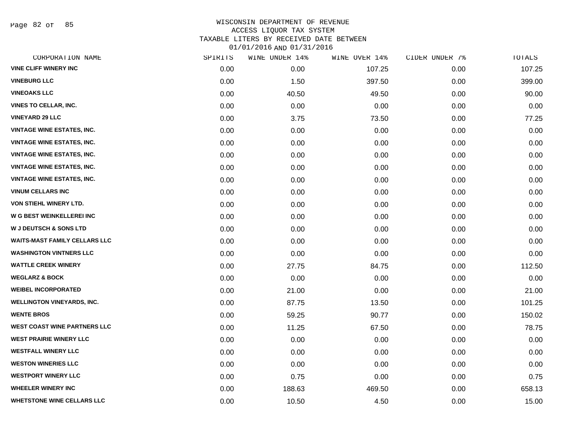Page 82 of 85

| CORPORATION NAME                     | SPIRITS | WINE UNDER 14% | WINE OVER 14% | CIDER UNDER 7% | TOTALS |
|--------------------------------------|---------|----------------|---------------|----------------|--------|
| <b>VINE CLIFF WINERY INC</b>         | 0.00    | 0.00           | 107.25        | 0.00           | 107.25 |
| <b>VINEBURG LLC</b>                  | 0.00    | 1.50           | 397.50        | 0.00           | 399.00 |
| <b>VINEOAKS LLC</b>                  | 0.00    | 40.50          | 49.50         | 0.00           | 90.00  |
| <b>VINES TO CELLAR, INC.</b>         | 0.00    | 0.00           | 0.00          | 0.00           | 0.00   |
| <b>VINEYARD 29 LLC</b>               | 0.00    | 3.75           | 73.50         | 0.00           | 77.25  |
| <b>VINTAGE WINE ESTATES, INC.</b>    | 0.00    | 0.00           | 0.00          | 0.00           | 0.00   |
| <b>VINTAGE WINE ESTATES, INC.</b>    | 0.00    | 0.00           | 0.00          | 0.00           | 0.00   |
| <b>VINTAGE WINE ESTATES, INC.</b>    | 0.00    | 0.00           | 0.00          | 0.00           | 0.00   |
| <b>VINTAGE WINE ESTATES, INC.</b>    | 0.00    | 0.00           | 0.00          | 0.00           | 0.00   |
| <b>VINTAGE WINE ESTATES, INC.</b>    | 0.00    | 0.00           | 0.00          | 0.00           | 0.00   |
| <b>VINUM CELLARS INC</b>             | 0.00    | 0.00           | 0.00          | 0.00           | 0.00   |
| <b>VON STIEHL WINERY LTD.</b>        | 0.00    | 0.00           | 0.00          | 0.00           | 0.00   |
| W G BEST WEINKELLEREI INC            | 0.00    | 0.00           | 0.00          | 0.00           | 0.00   |
| <b>W J DEUTSCH &amp; SONS LTD</b>    | 0.00    | 0.00           | 0.00          | 0.00           | 0.00   |
| <b>WAITS-MAST FAMILY CELLARS LLC</b> | 0.00    | 0.00           | 0.00          | 0.00           | 0.00   |
| <b>WASHINGTON VINTNERS LLC</b>       | 0.00    | 0.00           | 0.00          | 0.00           | 0.00   |
| <b>WATTLE CREEK WINERY</b>           | 0.00    | 27.75          | 84.75         | 0.00           | 112.50 |
| <b>WEGLARZ &amp; BOCK</b>            | 0.00    | 0.00           | 0.00          | 0.00           | 0.00   |
| <b>WEIBEL INCORPORATED</b>           | 0.00    | 21.00          | 0.00          | 0.00           | 21.00  |
| <b>WELLINGTON VINEYARDS, INC.</b>    | 0.00    | 87.75          | 13.50         | 0.00           | 101.25 |
| <b>WENTE BROS</b>                    | 0.00    | 59.25          | 90.77         | 0.00           | 150.02 |
| WEST COAST WINE PARTNERS LLC         | 0.00    | 11.25          | 67.50         | 0.00           | 78.75  |
| <b>WEST PRAIRIE WINERY LLC</b>       | 0.00    | 0.00           | 0.00          | 0.00           | 0.00   |
| <b>WESTFALL WINERY LLC</b>           | 0.00    | 0.00           | 0.00          | 0.00           | 0.00   |
| <b>WESTON WINERIES LLC</b>           | 0.00    | 0.00           | 0.00          | 0.00           | 0.00   |
| <b>WESTPORT WINERY LLC</b>           | 0.00    | 0.75           | 0.00          | 0.00           | 0.75   |
| <b>WHEELER WINERY INC</b>            | 0.00    | 188.63         | 469.50        | 0.00           | 658.13 |
| <b>WHETSTONE WINE CELLARS LLC</b>    | 0.00    | 10.50          | 4.50          | 0.00           | 15.00  |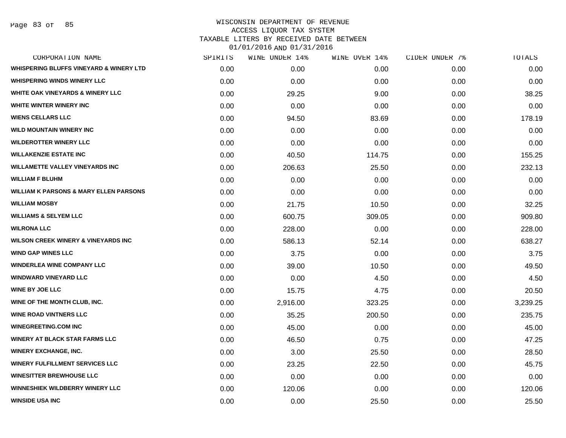Page 83 of 85

| CORPORATION NAME                                   | SPIRITS | WINE UNDER 14% | WINE OVER 14% | CIDER UNDER 7% | TOTALS   |
|----------------------------------------------------|---------|----------------|---------------|----------------|----------|
| <b>WHISPERING BLUFFS VINEYARD &amp; WINERY LTD</b> | 0.00    | 0.00           | 0.00          | 0.00           | 0.00     |
| <b>WHISPERING WINDS WINERY LLC</b>                 | 0.00    | 0.00           | 0.00          | 0.00           | 0.00     |
| <b>WHITE OAK VINEYARDS &amp; WINERY LLC</b>        | 0.00    | 29.25          | 9.00          | 0.00           | 38.25    |
| WHITE WINTER WINERY INC                            | 0.00    | 0.00           | 0.00          | 0.00           | 0.00     |
| <b>WIENS CELLARS LLC</b>                           | 0.00    | 94.50          | 83.69         | 0.00           | 178.19   |
| <b>WILD MOUNTAIN WINERY INC</b>                    | 0.00    | 0.00           | 0.00          | 0.00           | 0.00     |
| <b>WILDEROTTER WINERY LLC</b>                      | 0.00    | 0.00           | 0.00          | 0.00           | 0.00     |
| <b>WILLAKENZIE ESTATE INC</b>                      | 0.00    | 40.50          | 114.75        | 0.00           | 155.25   |
| <b>WILLAMETTE VALLEY VINEYARDS INC</b>             | 0.00    | 206.63         | 25.50         | 0.00           | 232.13   |
| <b>WILLIAM F BLUHM</b>                             | 0.00    | 0.00           | 0.00          | 0.00           | 0.00     |
| <b>WILLIAM K PARSONS &amp; MARY ELLEN PARSONS</b>  | 0.00    | 0.00           | 0.00          | 0.00           | 0.00     |
| <b>WILLIAM MOSBY</b>                               | 0.00    | 21.75          | 10.50         | 0.00           | 32.25    |
| <b>WILLIAMS &amp; SELYEM LLC</b>                   | 0.00    | 600.75         | 309.05        | 0.00           | 909.80   |
| <b>WILRONA LLC</b>                                 | 0.00    | 228.00         | 0.00          | 0.00           | 228.00   |
| <b>WILSON CREEK WINERY &amp; VINEYARDS INC</b>     | 0.00    | 586.13         | 52.14         | 0.00           | 638.27   |
| <b>WIND GAP WINES LLC</b>                          | 0.00    | 3.75           | 0.00          | 0.00           | 3.75     |
| <b>WINDERLEA WINE COMPANY LLC</b>                  | 0.00    | 39.00          | 10.50         | 0.00           | 49.50    |
| <b>WINDWARD VINEYARD LLC</b>                       | 0.00    | 0.00           | 4.50          | 0.00           | 4.50     |
| <b>WINE BY JOE LLC</b>                             | 0.00    | 15.75          | 4.75          | 0.00           | 20.50    |
| WINE OF THE MONTH CLUB, INC.                       | 0.00    | 2,916.00       | 323.25        | 0.00           | 3,239.25 |
| <b>WINE ROAD VINTNERS LLC</b>                      | 0.00    | 35.25          | 200.50        | 0.00           | 235.75   |
| <b>WINEGREETING.COM INC</b>                        | 0.00    | 45.00          | 0.00          | 0.00           | 45.00    |
| <b>WINERY AT BLACK STAR FARMS LLC</b>              | 0.00    | 46.50          | 0.75          | 0.00           | 47.25    |
| <b>WINERY EXCHANGE, INC.</b>                       | 0.00    | 3.00           | 25.50         | 0.00           | 28.50    |
| <b>WINERY FULFILLMENT SERVICES LLC</b>             | 0.00    | 23.25          | 22.50         | 0.00           | 45.75    |
| <b>WINESITTER BREWHOUSE LLC</b>                    | 0.00    | 0.00           | 0.00          | 0.00           | 0.00     |
| WINNESHIEK WILDBERRY WINERY LLC                    | 0.00    | 120.06         | 0.00          | 0.00           | 120.06   |
| <b>WINSIDE USA INC</b>                             | 0.00    | 0.00           | 25.50         | 0.00           | 25.50    |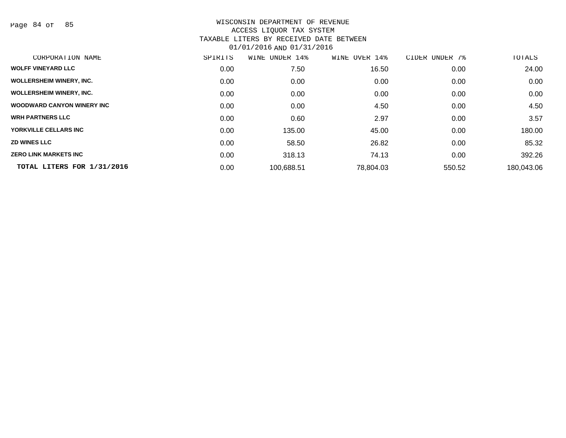Page 84 of 85

| CORPORATION NAME                   | SPIRITS | WINE UNDER 14% | WINE OVER 14% | CIDER UNDER<br>7% | TOTALS     |
|------------------------------------|---------|----------------|---------------|-------------------|------------|
| <b>WOLFF VINEYARD LLC</b>          | 0.00    | 7.50           | 16.50         | 0.00              | 24.00      |
| <b>WOLLERSHEIM WINERY, INC.</b>    | 0.00    | 0.00           | 0.00          | 0.00              | 0.00       |
| <b>WOLLERSHEIM WINERY, INC.</b>    | 0.00    | 0.00           | 0.00          | 0.00              | 0.00       |
| <b>WOODWARD CANYON WINERY INC.</b> | 0.00    | 0.00           | 4.50          | 0.00              | 4.50       |
| <b>WRH PARTNERS LLC</b>            | 0.00    | 0.60           | 2.97          | 0.00              | 3.57       |
| YORKVILLE CELLARS INC              | 0.00    | 135.00         | 45.00         | 0.00              | 180.00     |
| <b>ZD WINES LLC</b>                | 0.00    | 58.50          | 26.82         | 0.00              | 85.32      |
| <b>ZERO LINK MARKETS INC</b>       | 0.00    | 318.13         | 74.13         | 0.00              | 392.26     |
| TOTAL LITERS FOR 1/31/2016         | 0.00    | 100,688.51     | 78,804.03     | 550.52            | 180,043.06 |